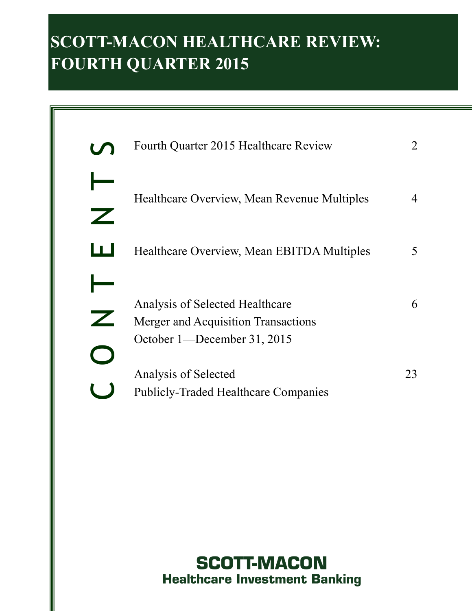# **SCOTT-MACON HEALTHCARE REVIEW: FOURTH QUARTER 2015**

| Fourth Quarter 2015 Healthcare Review                                                                 |    |
|-------------------------------------------------------------------------------------------------------|----|
| Healthcare Overview, Mean Revenue Multiples                                                           | 4  |
| Healthcare Overview, Mean EBITDA Multiples                                                            | 5  |
| Analysis of Selected Healthcare<br>Merger and Acquisition Transactions<br>October 1—December 31, 2015 | 6  |
| Analysis of Selected<br><b>Publicly-Traded Healthcare Companies</b>                                   | 23 |

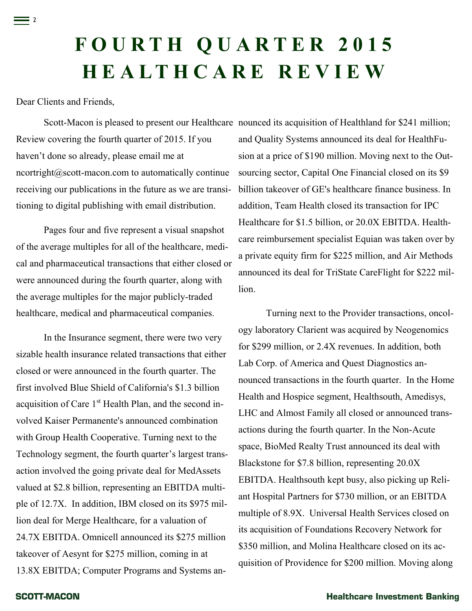# **F O U R T H Q U A R T E R 2 0 1 5 H E A L T H C A R E R E V I E W**

Dear Clients and Friends,

= 2

Scott-Macon is pleased to present our Healthcare nounced its acquisition of Healthland for \$241 million; Review covering the fourth quarter of 2015. If you haven't done so already, please email me at ncortright@scott-macon.com to automatically continue receiving our publications in the future as we are transitioning to digital publishing with email distribution.

Pages four and five represent a visual snapshot of the average multiples for all of the healthcare, medical and pharmaceutical transactions that either closed or were announced during the fourth quarter, along with the average multiples for the major publicly-traded healthcare, medical and pharmaceutical companies.

In the Insurance segment, there were two very sizable health insurance related transactions that either closed or were announced in the fourth quarter. The first involved Blue Shield of California's \$1.3 billion acquisition of Care  $1<sup>st</sup>$  Health Plan, and the second involved Kaiser Permanente's announced combination with Group Health Cooperative. Turning next to the Technology segment, the fourth quarter's largest transaction involved the going private deal for MedAssets valued at \$2.8 billion, representing an EBITDA multiple of 12.7X. In addition, IBM closed on its \$975 million deal for Merge Healthcare, for a valuation of 24.7X EBITDA. Omnicell announced its \$275 million takeover of Aesynt for \$275 million, coming in at 13.8X EBITDA; Computer Programs and Systems an-

and Quality Systems announced its deal for HealthFusion at a price of \$190 million. Moving next to the Outsourcing sector, Capital One Financial closed on its \$9 billion takeover of GE's healthcare finance business. In addition, Team Health closed its transaction for IPC Healthcare for \$1.5 billion, or 20.0X EBITDA. Healthcare reimbursement specialist Equian was taken over by a private equity firm for \$225 million, and Air Methods announced its deal for TriState CareFlight for \$222 million.

Turning next to the Provider transactions, oncology laboratory Clarient was acquired by Neogenomics for \$299 million, or 2.4X revenues. In addition, both Lab Corp. of America and Quest Diagnostics announced transactions in the fourth quarter. In the Home Health and Hospice segment, Healthsouth, Amedisys, LHC and Almost Family all closed or announced transactions during the fourth quarter. In the Non-Acute space, BioMed Realty Trust announced its deal with Blackstone for \$7.8 billion, representing 20.0X EBITDA. Healthsouth kept busy, also picking up Reliant Hospital Partners for \$730 million, or an EBITDA multiple of 8.9X. Universal Health Services closed on its acquisition of Foundations Recovery Network for \$350 million, and Molina Healthcare closed on its acquisition of Providence for \$200 million. Moving along

#### **SCOTT-MACON**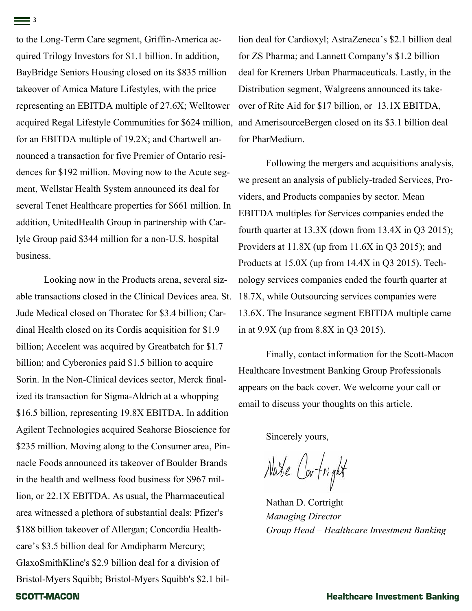to the Long-Term Care segment, Griffin-America acquired Trilogy Investors for \$1.1 billion. In addition, BayBridge Seniors Housing closed on its \$835 million takeover of Amica Mature Lifestyles, with the price representing an EBITDA multiple of 27.6X; Welltower acquired Regal Lifestyle Communities for \$624 million, for an EBITDA multiple of 19.2X; and Chartwell announced a transaction for five Premier of Ontario residences for \$192 million. Moving now to the Acute segment, Wellstar Health System announced its deal for several Tenet Healthcare properties for \$661 million. In addition, UnitedHealth Group in partnership with Carlyle Group paid \$344 million for a non-U.S. hospital business.

Looking now in the Products arena, several sizable transactions closed in the Clinical Devices area. St. Jude Medical closed on Thoratec for \$3.4 billion; Cardinal Health closed on its Cordis acquisition for \$1.9 billion; Accelent was acquired by Greatbatch for \$1.7 billion; and Cyberonics paid \$1.5 billion to acquire Sorin. In the Non-Clinical devices sector, Merck finalized its transaction for Sigma-Aldrich at a whopping \$16.5 billion, representing 19.8X EBITDA. In addition Agilent Technologies acquired Seahorse Bioscience for \$235 million. Moving along to the Consumer area, Pinnacle Foods announced its takeover of Boulder Brands in the health and wellness food business for \$967 million, or 22.1X EBITDA. As usual, the Pharmaceutical area witnessed a plethora of substantial deals: Pfizer's \$188 billion takeover of Allergan; Concordia Healthcare's \$3.5 billion deal for Amdipharm Mercury; GlaxoSmithKline's \$2.9 billion deal for a division of Bristol-Myers Squibb; Bristol-Myers Squibb's \$2.1 bil-**SCOTT-MACON** 

lion deal for Cardioxyl; AstraZeneca's \$2.1 billion deal for ZS Pharma; and Lannett Company's \$1.2 billion deal for Kremers Urban Pharmaceuticals. Lastly, in the Distribution segment, Walgreens announced its takeover of Rite Aid for \$17 billion, or 13.1X EBITDA, and AmerisourceBergen closed on its \$3.1 billion deal for PharMedium.

Following the mergers and acquisitions analysis, we present an analysis of publicly-traded Services, Providers, and Products companies by sector. Mean EBITDA multiples for Services companies ended the fourth quarter at  $13.3X$  (down from  $13.4X$  in Q3 2015); Providers at 11.8X (up from 11.6X in Q3 2015); and Products at 15.0X (up from 14.4X in Q3 2015). Technology services companies ended the fourth quarter at 18.7X, while Outsourcing services companies were 13.6X. The Insurance segment EBITDA multiple came in at 9.9X (up from 8.8X in Q3 2015).

Finally, contact information for the Scott-Macon Healthcare Investment Banking Group Professionals appears on the back cover. We welcome your call or email to discuss your thoughts on this article.

Sincerely yours,

Nate Cortright

Nathan D. Cortright *Managing Director Group Head – Healthcare Investment Banking*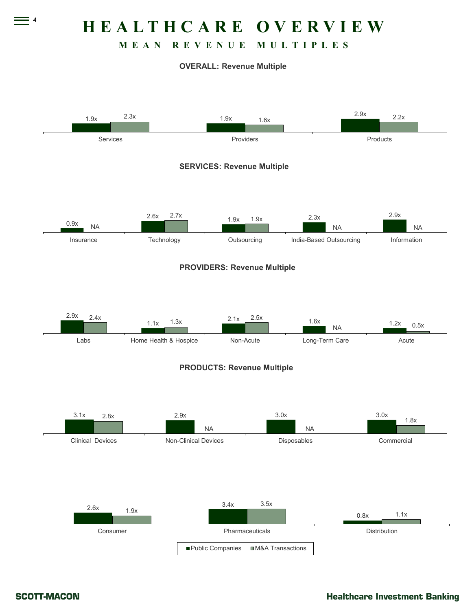**H E A L T H C A R E O V E R V I E W**

#### **M E A N R E V E N U E M U L T I P L E S**

#### **OVERALL: Revenue Multiple**



4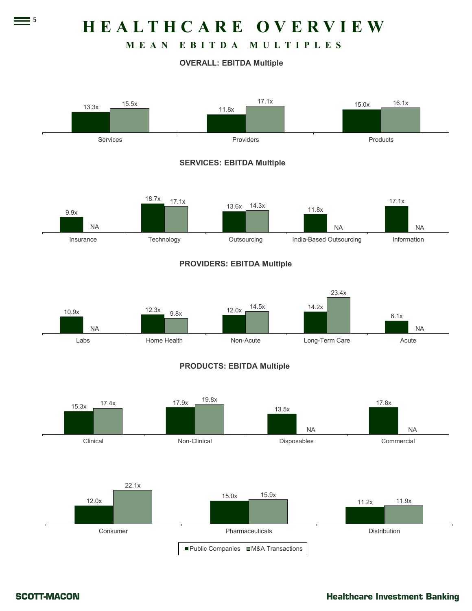**H E A L T H C A R E O V E R V I E W**

# **M E A N E B I T D A M U L T I P L E S**

#### **OVERALL: EBITDA Multiple**



 $\equiv$  5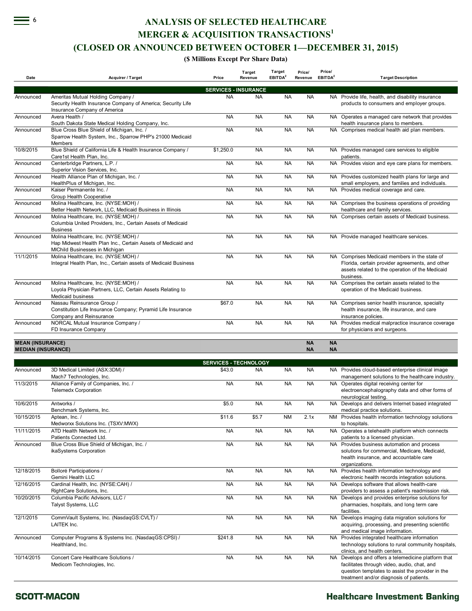**ANALYSIS OF SELECTED HEALTHCARE**

**MERGER & ACQUISITION TRANSACTIONS<sup>1</sup>**

#### **(CLOSED OR ANNOUNCED BETWEEN OCTOBER 1—DECEMBER 31, 2015)**

**(\$ Millions Except Per Share Data)**

| Date                                                 | <b>Acquirer / Target</b>                                                                                                               | Price                        | Target<br>Revenue | Target<br>EBITDA <sup>2</sup> | Price/<br>Revenue      | Price/<br>EBITDA <sup>2</sup> | <b>Target Description</b>                                                                                                                                                                         |
|------------------------------------------------------|----------------------------------------------------------------------------------------------------------------------------------------|------------------------------|-------------------|-------------------------------|------------------------|-------------------------------|---------------------------------------------------------------------------------------------------------------------------------------------------------------------------------------------------|
|                                                      |                                                                                                                                        | <b>SERVICES - INSURANCE</b>  |                   |                               |                        |                               |                                                                                                                                                                                                   |
| Announced                                            | Ameritas Mutual Holding Company /<br>Security Health Insurance Company of America; Security Life<br>Insurance Company of America       | <b>NA</b>                    | <b>NA</b>         | <b>NA</b>                     | <b>NA</b>              |                               | NA Provide life, health, and disability insurance<br>products to consumers and employer groups.                                                                                                   |
| Announced                                            | Avera Health /<br>South Dakota State Medical Holding Company, Inc.                                                                     | <b>NA</b>                    | <b>NA</b>         | <b>NA</b>                     | <b>NA</b>              |                               | NA Operates a managed care network that provides<br>health insurance plans to members.                                                                                                            |
| Announced                                            | Blue Cross Blue Shield of Michigan, Inc. /<br>Sparrow Health System, Inc., Sparrow PHP's 21000 Medicaid<br>Members                     | <b>NA</b>                    | <b>NA</b>         | <b>NA</b>                     | <b>NA</b>              |                               | NA Comprises medical health aid plan members.                                                                                                                                                     |
| 10/8/2015                                            | Blue Shield of California Life & Health Insurance Company /<br>Care1st Health Plan, Inc.                                               | \$1,250.0                    | <b>NA</b>         | <b>NA</b>                     | <b>NA</b>              |                               | NA Provides managed care services to eligible<br>patients.                                                                                                                                        |
| Announced                                            | Centerbridge Partners, L.P. /<br>Superior Vision Services, Inc.                                                                        | <b>NA</b>                    | <b>NA</b>         | <b>NA</b>                     | <b>NA</b>              |                               | NA Provides vision and eye care plans for members.                                                                                                                                                |
| Announced                                            | Health Alliance Plan of Michigan, Inc. /<br>HealthPlus of Michigan, Inc.                                                               | <b>NA</b>                    | <b>NA</b>         | <b>NA</b>                     | <b>NA</b>              |                               | NA Provides customized health plans for large and<br>small employers, and families and individuals.                                                                                               |
| Announced                                            | Kaiser Permanente Inc. /<br>Group Health Cooperative                                                                                   | <b>NA</b>                    | <b>NA</b>         | <b>NA</b>                     | <b>NA</b>              |                               | NA Provides medical coverage and care.                                                                                                                                                            |
| Announced                                            | Molina Healthcare, Inc. (NYSE:MOH) /<br>Better Health Network, LLC, Medicaid Business in Illinois                                      | <b>NA</b>                    | <b>NA</b>         | <b>NA</b>                     | <b>NA</b>              |                               | NA Comprises the business operations of providing<br>healthcare and family services.                                                                                                              |
| Announced                                            | Molina Healthcare, Inc. (NYSE:MOH) /<br>Columbia United Providers, Inc., Certain Assets of Medicaid<br><b>Business</b>                 | <b>NA</b>                    | <b>NA</b>         | <b>NA</b>                     | <b>NA</b>              |                               | NA Comprises certain assets of Medicaid business.                                                                                                                                                 |
| Announced                                            | Molina Healthcare, Inc. (NYSE:MOH) /<br>Hap Midwest Health Plan Inc., Certain Assets of Medicaid and<br>MIChild Businesses in Michigan | <b>NA</b>                    | <b>NA</b>         | <b>NA</b>                     | <b>NA</b>              |                               | NA Provide managed healthcare services.                                                                                                                                                           |
| 11/1/2015                                            | Molina Healthcare, Inc. (NYSE:MOH) /<br>Integral Health Plan, Inc., Certain assets of Medicaid Business                                | <b>NA</b>                    | <b>NA</b>         | <b>NA</b>                     | <b>NA</b>              |                               | NA Comprises Medicaid members in the state of<br>Florida, certain provider agreements, and other<br>assets related to the operation of the Medicaid<br>business.                                  |
| Announced                                            | Molina Healthcare, Inc. (NYSE:MOH) /<br>Loyola Physician Partners, LLC, Certain Assets Relating to<br>Medicaid business                | <b>NA</b>                    | <b>NA</b>         | <b>NA</b>                     | <b>NA</b>              |                               | NA Comprises the certain assets related to the<br>operation of the Medicaid business.                                                                                                             |
| Announced                                            | Nassau Reinsurance Group /<br>Constitution Life Insurance Company; Pyramid Life Insurance<br>Company and Reinsurance                   | \$67.0                       | <b>NA</b>         | <b>NA</b>                     | <b>NA</b>              |                               | NA Comprises senior health insurance, specialty<br>health insurance, life insurance, and care<br>insurance policies.                                                                              |
| Announced                                            | NORCAL Mutual Insurance Company /<br>FD Insurance Company                                                                              | <b>NA</b>                    | <b>NA</b>         | <b>NA</b>                     | <b>NA</b>              |                               | NA Provides medical malpractice insurance coverage<br>for physicians and surgeons.                                                                                                                |
| <b>MEAN (INSURANCE)</b><br><b>MEDIAN (INSURANCE)</b> |                                                                                                                                        |                              |                   |                               | <b>NA</b><br><b>NA</b> | <b>NA</b><br><b>NA</b>        |                                                                                                                                                                                                   |
|                                                      |                                                                                                                                        | <b>SERVICES - TECHNOLOGY</b> |                   |                               |                        |                               |                                                                                                                                                                                                   |
| Announced                                            | 3D Medical Limited (ASX:3DM) /<br>Mach7 Technologies, Inc.                                                                             | \$43.0                       | <b>NA</b>         | <b>NA</b>                     | <b>NA</b>              |                               | NA Provides cloud-based enterprise clinical image<br>management solutions to the healthcare industry.                                                                                             |
| 11/3/2015                                            | Alliance Family of Companies, Inc. /<br><b>Telemedx Corporation</b>                                                                    | <b>NA</b>                    | <b>NA</b>         | <b>NA</b>                     | <b>NA</b>              |                               | NA Operates digital receiving center for<br>electroencephalography data and other forms of<br>neurological testing.                                                                               |
| 10/6/2015                                            | Antworks /<br>Benchmark Systems, Inc.                                                                                                  | \$5.0                        | <b>NA</b>         | <b>NA</b>                     | <b>NA</b>              |                               | NA Develops and delivers Internet based integrated<br>medical practice solutions.                                                                                                                 |
| 10/15/2015                                           | Aptean, Inc. /<br>Medworxx Solutions Inc. (TSXV:MWX)                                                                                   | \$11.6                       | \$5.7             | NM                            | 2.1x                   |                               | NM Provides health information technology solutions<br>to hospitals.                                                                                                                              |
| 11/11/2015                                           | ATD Health Network Inc. /<br>Patients Connected Ltd.                                                                                   | <b>NA</b>                    | <b>NA</b>         | <b>NA</b>                     | <b>NA</b>              |                               | NA Operates a telehealth platform which connects<br>patients to a licensed physician.                                                                                                             |
| Announced                                            | Blue Cross Blue Shield of Michigan, Inc. /<br>ikaSystems Corporation                                                                   | <b>NA</b>                    | <b>NA</b>         | <b>NA</b>                     | <b>NA</b>              |                               | NA Provides business automation and process<br>solutions for commercial, Medicare, Medicaid,<br>health insurance, and accountable care<br>organizations.                                          |
| 12/18/2015                                           | Bolloré Participations /<br>Gemini Health LLC                                                                                          | <b>NA</b>                    | <b>NA</b>         | <b>NA</b>                     | <b>NA</b>              |                               | NA Provides health information technology and<br>electronic health records integration solutions.                                                                                                 |
| 12/16/2015                                           | Cardinal Health, Inc. (NYSE:CAH) /<br>RightCare Solutions, Inc.                                                                        | <b>NA</b>                    | <b>NA</b>         | <b>NA</b>                     | <b>NA</b>              |                               | NA Develops software that allows health-care<br>providers to assess a patient's readmission risk.                                                                                                 |
| 10/20/2015                                           | Columbia Pacific Advisors, LLC /<br>Talyst Systems, LLC                                                                                | <b>NA</b>                    | <b>NA</b>         | <b>NA</b>                     | <b>NA</b>              |                               | NA Develops and provides enterprise solutions for<br>pharmacies, hospitals, and long term care<br>facilities.                                                                                     |
| 12/1/2015                                            | CommVault Systems, Inc. (NasdaqGS:CVLT) /<br>LAITEK Inc.                                                                               | <b>NA</b>                    | <b>NA</b>         | <b>NA</b>                     | <b>NA</b>              |                               | NA Develops imaging data migration solutions for<br>acquiring, processing, and presenting scientific<br>and medical image information.                                                            |
| Announced                                            | Computer Programs & Systems Inc. (NasdaqGS:CPSI) /<br>Healthland, Inc.                                                                 | \$241.8                      | <b>NA</b>         | <b>NA</b>                     | <b>NA</b>              |                               | NA Provides integrated healthcare information<br>technology solutions to rural community hospitals,<br>clinics, and health centers.                                                               |
| 10/14/2015                                           | Concert Care Healthcare Solutions /<br>Medicom Technologies, Inc.                                                                      | <b>NA</b>                    | <b>NA</b>         | <b>NA</b>                     | <b>NA</b>              |                               | NA Develops and offers a telemedicine platform that<br>facilitates through video, audio, chat, and<br>question templates to assist the provider in the<br>treatment and/or diagnosis of patients. |

#### **SCOTT-MACON**

6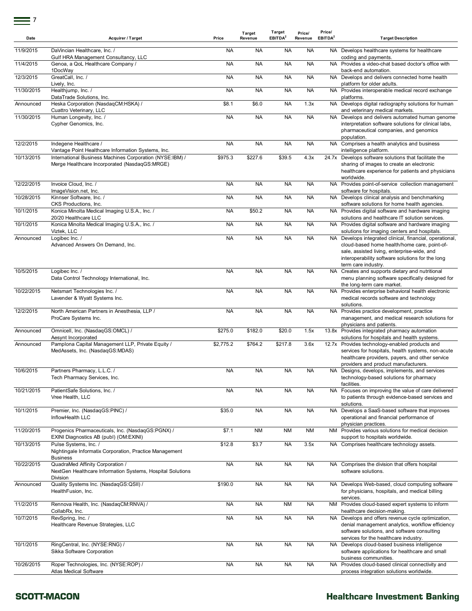| Date       | <b>Acquirer / Target</b>                                                                                   | Price     | Target<br>Revenue | Target<br>EBITDA <sup>2</sup> | Price/<br>Revenue | Price/<br>EBITDA <sup>2</sup> | <b>Target Description</b>                                                                                                                                                                                                          |
|------------|------------------------------------------------------------------------------------------------------------|-----------|-------------------|-------------------------------|-------------------|-------------------------------|------------------------------------------------------------------------------------------------------------------------------------------------------------------------------------------------------------------------------------|
| 11/9/2015  | DaVincian Healthcare, Inc. /<br>Gulf HRA Management Consultancy, LLC                                       | <b>NA</b> | <b>NA</b>         | <b>NA</b>                     | <b>NA</b>         |                               | NA Develops healthcare systems for healthcare<br>coding and payments.                                                                                                                                                              |
| 11/4/2015  | Genoa, a QoL Healthcare Company /<br>1DocWay                                                               | <b>NA</b> | <b>NA</b>         | <b>NA</b>                     | <b>NA</b>         |                               | NA Provides a video-chat based doctor's office with<br>back-end automation.                                                                                                                                                        |
| 12/3/2015  | GreatCall, Inc. /<br>Lively, Inc.                                                                          | <b>NA</b> | <b>NA</b>         | <b>NA</b>                     | <b>NA</b>         |                               | NA Develops and delivers connected home health<br>platform for older adults.                                                                                                                                                       |
| 11/30/2015 | Healthjump, Inc. /<br>DataTrade Solutions, Inc.                                                            | <b>NA</b> | <b>NA</b>         | <b>NA</b>                     | <b>NA</b>         |                               | NA Provides interoperable medical record exchange<br>platforms.                                                                                                                                                                    |
| Announced  | Heska Corporation (NasdaqCM:HSKA) /<br>Cuattro Veterinary, LLC                                             | \$8.1     | \$6.0             | <b>NA</b>                     | 1.3x              |                               | NA Develops digital radiography solutions for human<br>and veterinary medical markets.                                                                                                                                             |
| 11/30/2015 | Human Longevity, Inc. /<br>Cypher Genomics, Inc.                                                           | <b>NA</b> | <b>NA</b>         | <b>NA</b>                     | <b>NA</b>         | NA                            | Develops and delivers automated human genome<br>interpretation software solutions for clinical labs,<br>pharmaceutical companies, and genomics<br>population.                                                                      |
| 12/2/2015  | Indegene Healthcare /<br>Vantage Point Healthcare Information Systems, Inc.                                | <b>NA</b> | <b>NA</b>         | <b>NA</b>                     | <b>NA</b>         |                               | NA Comprises a health analytics and business<br>intelligence platform.                                                                                                                                                             |
| 10/13/2015 | International Business Machines Corporation (NYSE:IBM) /<br>Merge Healthcare Incorporated (NasdaqGS:MRGE)  | \$975.3   | \$227.6           | \$39.5                        | 4.3x              |                               | 24.7x Develops software solutions that facilitate the<br>sharing of images to create an electronic<br>healthcare experience for patients and physicians<br>worldwide.                                                              |
| 12/22/2015 | Invoice Cloud, Inc. /<br>ImageVision.net, Inc.                                                             | <b>NA</b> | <b>NA</b>         | <b>NA</b>                     | <b>NA</b>         |                               | NA Provides point-of-service collection management<br>software for hospitals.                                                                                                                                                      |
| 10/28/2015 | Kinnser Software, Inc. /<br>CKS Productions, Inc.                                                          | <b>NA</b> | <b>NA</b>         | <b>NA</b>                     | <b>NA</b>         |                               | NA Develops clinical analysis and benchmarking<br>software solutions for home health agencies.                                                                                                                                     |
| 10/1/2015  | Konica Minolta Medical Imaging U.S.A., Inc. /<br>20/20 Healthcare LLC                                      | <b>NA</b> | \$50.2            | <b>NA</b>                     | <b>NA</b>         |                               | NA Provides digital software and hardware imaging<br>solutions and healthcare IT solution services.                                                                                                                                |
| 10/1/2015  | Konica Minolta Medical Imaging U.S.A., Inc. /<br>Viztek, LLC                                               | <b>NA</b> | <b>NA</b>         | <b>NA</b>                     | <b>NA</b>         |                               | NA Provides digital software and hardware imaging<br>solutions for imaging centers and hospitals.                                                                                                                                  |
| Announced  | Logibec Inc. /<br>Advanced Answers On Demand, Inc.                                                         | <b>NA</b> | <b>NA</b>         | <b>NA</b>                     | <b>NA</b>         |                               | NA Develops integrated clinical, financial, operational,<br>cloud-based home health/home care, point-of-<br>sale, assisted living, enterprise-wide, and<br>interoperability software solutions for the long<br>term care industry. |
| 10/5/2015  | Logibec Inc. /<br>Data Control Technology International, Inc.                                              | <b>NA</b> | <b>NA</b>         | <b>NA</b>                     | <b>NA</b>         |                               | NA Creates and supports dietary and nutritional<br>menu planning software specifically designed for<br>the long-term care market.                                                                                                  |
| 10/22/2015 | Netsmart Technologies Inc. /<br>Lavender & Wyatt Systems Inc.                                              | <b>NA</b> | <b>NA</b>         | <b>NA</b>                     | <b>NA</b>         |                               | NA Provides enterprise behavioral health electronic<br>medical records software and technology<br>solutions.                                                                                                                       |
| 12/2/2015  | North American Partners in Anesthesia, LLP /<br>ProCare Systems Inc.                                       | <b>NA</b> | <b>NA</b>         | <b>NA</b>                     | <b>NA</b>         |                               | NA Provides practice development, practice<br>management, and medical research solutions for<br>physicians and patients.                                                                                                           |
| Announced  | Omnicell, Inc. (NasdaqGS:OMCL) /<br>Aesynt Incorporated                                                    | \$275.0   | \$182.0           | \$20.0                        | 1.5x              |                               | 13.8x Provides integrated pharmacy automation<br>solutions for hospitals and health systems.                                                                                                                                       |
| Announced  | Pamplona Capital Management LLP, Private Equity /<br>MedAssets, Inc. (NasdaqGS:MDAS)                       | \$2,775.2 | \$764.2           | \$217.8                       | 3.6x              |                               | 12.7x Provides technology-enabled products and<br>services for hospitals, health systems, non-acute<br>healthcare providers, payers, and other service<br>providers and product manufacturers.                                     |
| 10/6/2015  | Partners Pharmacy, L.L.C. /<br>Tech Pharmacy Services, Inc.                                                | <b>NA</b> | <b>NA</b>         | <b>NA</b>                     | <b>NA</b>         |                               | NA Designs, develops, implements, and services<br>technology-based solutions for pharmacy<br>facilities.                                                                                                                           |
| 10/21/2015 | PatientSafe Solutions, Inc. /<br>Vree Health, LLC                                                          | <b>NA</b> | <b>NA</b>         | <b>NA</b>                     | <b>NA</b>         |                               | NA Focuses on improving the value of care delivered<br>to patients through evidence-based services and<br>solutions.                                                                                                               |
| 10/1/2015  | Premier, Inc. (NasdaqGS:PINC) /<br>InflowHealth LLC                                                        | \$35.0    | <b>NA</b>         | <b>NA</b>                     | <b>NA</b>         |                               | NA Develops a SaaS-based software that improves<br>operational and financial performance of<br>physician practices.                                                                                                                |
| 11/20/2015 | Progenics Pharmaceuticals, Inc. (NasdaqGS:PGNX) /<br>EXINI Diagnostics AB (publ) (OM:EXINI)                | \$7.1     | <b>NM</b>         | <b>NM</b>                     | <b>NM</b>         |                               | NM Provides various solutions for medical decision<br>support to hospitals worldwide.                                                                                                                                              |
| 10/13/2015 | Pulse Systems, Inc. /<br>Nightingale Informatix Corporation, Practice Management<br><b>Business</b>        | \$12.8    | \$3.7             | <b>NA</b>                     | 3.5x              |                               | NA Comprises healthcare technology assets.                                                                                                                                                                                         |
| 10/22/2015 | QuadraMed Affinity Corporation /<br>NextGen Healthcare Information Systems, Hospital Solutions<br>Division | <b>NA</b> | <b>NA</b>         | <b>NA</b>                     | <b>NA</b>         |                               | NA Comprises the division that offers hospital<br>software solutions.                                                                                                                                                              |
| Announced  | Quality Systems Inc. (NasdaqGS:QSII) /<br>HealthFusion, Inc.                                               | \$190.0   | <b>NA</b>         | <b>NA</b>                     | <b>NA</b>         |                               | NA Develops Web-based, cloud computing software<br>for physicians, hospitals, and medical billing<br>services.                                                                                                                     |
| 11/2/2015  | Rennova Health, Inc. (NasdaqCM:RNVA) /<br>CollabRx, Inc.                                                   | <b>NA</b> | <b>NA</b>         | NM                            | <b>NA</b>         |                               | NM Provides cloud-based expert systems to inform<br>healthcare decision-making.                                                                                                                                                    |
| 10/7/2015  | RevSpring, Inc. /<br>Healthcare Revenue Strategies, LLC                                                    | <b>NA</b> | <b>NA</b>         | <b>NA</b>                     | <b>NA</b>         |                               | NA Develops and offers revenue cycle optimization,<br>denial management analytics, workflow efficiency<br>software solutions, and software consulting<br>services for the healthcare industry.                                     |
| 10/1/2015  | RingCentral, Inc. (NYSE:RNG) /<br>Sikka Software Corporation                                               | <b>NA</b> | <b>NA</b>         | <b>NA</b>                     | <b>NA</b>         |                               | NA Develops cloud-based business intelligence<br>software applications for healthcare and small<br>business communities.                                                                                                           |
| 10/26/2015 | Roper Technologies, Inc. (NYSE:ROP) /<br>Atlas Medical Software                                            | <b>NA</b> | <b>NA</b>         | <b>NA</b>                     | <b>NA</b>         |                               | NA Provides cloud-based clinical connectivity and<br>process integration solutions worldwide.                                                                                                                                      |

#### **SCOTT-MACON**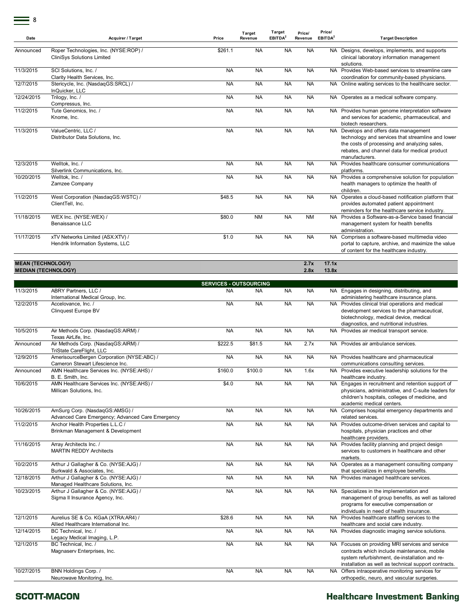| Date       | Acquirer / Target                                                          | Price     | Target<br>Revenue | Target<br>EBITDA <sup>2</sup> | Price/<br>Revenue | Price/<br>EBITDA <sup>2</sup> | <b>Target Description</b>                                                                                                                                                                                   |
|------------|----------------------------------------------------------------------------|-----------|-------------------|-------------------------------|-------------------|-------------------------------|-------------------------------------------------------------------------------------------------------------------------------------------------------------------------------------------------------------|
| Announced  | Roper Technologies, Inc. (NYSE:ROP) /<br><b>CliniSys Solutions Limited</b> | \$261.1   | <b>NA</b>         | <b>NA</b>                     | <b>NA</b>         |                               | NA Designs, develops, implements, and supports<br>clinical laboratory information management<br>solutions.                                                                                                  |
| 11/3/2015  | SCI Solutions. Inc. /<br>Clarity Health Services, Inc.                     | <b>NA</b> | <b>NA</b>         | <b>NA</b>                     | <b>NA</b>         |                               | NA Provides Web-based services to streamline care<br>coordination for community-based physicians.                                                                                                           |
| 12/7/2015  | Stericycle, Inc. (NasdaqGS:SRCL) /<br>InQuicker, LLC                       | <b>NA</b> | <b>NA</b>         | <b>NA</b>                     | <b>NA</b>         |                               | NA Online waiting services to the healthcare sector.                                                                                                                                                        |
| 12/24/2015 | Trilogy, Inc. /<br>Compressus, Inc.                                        | <b>NA</b> | <b>NA</b>         | <b>NA</b>                     | <b>NA</b>         |                               | NA Operates as a medical software company.                                                                                                                                                                  |
| 11/2/2015  | Tute Genomics, Inc. /<br>Knome, Inc.                                       | <b>NA</b> | <b>NA</b>         | <b>NA</b>                     | <b>NA</b>         |                               | NA Provides human genome interpretation software<br>and services for academic, pharmaceutical, and<br>biotech researchers.                                                                                  |
| 11/3/2015  | ValueCentric, LLC /<br>Distributor Data Solutions, Inc.                    | <b>NA</b> | <b>NA</b>         | <b>NA</b>                     | <b>NA</b>         | <b>NA</b>                     | Develops and offers data management<br>technology and services that streamline and lower<br>the costs of processing and analyzing sales,<br>rebates, and channel data for medical product<br>manufacturers. |
| 12/3/2015  | Welltok. Inc. /<br>Silverlink Communications. Inc.                         | <b>NA</b> | <b>NA</b>         | <b>NA</b>                     | <b>NA</b>         |                               | NA Provides healthcare consumer communications<br>platforms.                                                                                                                                                |
| 10/20/2015 | Welltok. Inc. /<br>Zamzee Company                                          | <b>NA</b> | <b>NA</b>         | <b>NA</b>                     | <b>NA</b>         |                               | NA Provides a comprehensive solution for population<br>health managers to optimize the health of<br>children.                                                                                               |
| 11/2/2015  | West Corporation (NasdaqGS:WSTC) /<br>ClientTell, Inc.                     | \$48.5    | <b>NA</b>         | <b>NA</b>                     | <b>NA</b>         |                               | NA Operates a cloud-based notification platform that<br>provides automated patient appointment<br>reminders for the healthcare service industry.                                                            |
| 11/18/2015 | WEX Inc. (NYSE:WEX) /<br>Benaissance LLC                                   | \$80.0    | <b>NM</b>         | <b>NA</b>                     | <b>NM</b>         | <b>NA</b>                     | Provides a Software-as-a-Service based financial<br>management system for health benefits<br>administration.                                                                                                |
| 11/17/2015 | xTV Networks Limited (ASX:XTV) /<br>Hendrik Information Systems, LLC       | \$1.0     | <b>NA</b>         | <b>NA</b>                     | <b>NA</b>         |                               | NA Comprises a software-based multimedia video<br>portal to capture, archive, and maximize the value<br>of content for the healthcare industry.                                                             |

#### **MEAN (TECHNOLOGY) 2.7x 17.1x MEDIAN (TECHNOLOGY) 2.8x 13.8x**

11/3/2015 ABRY Partners, LLC / International Medical Group, Inc. NA NA NA NA NA Engages in designing, distributing, and administering healthcare insurance plans. 12/2/2015 Accelovance, Inc. / Clinquest Europe BV NA NA NA NA NA NA Provides clinical trial operations and medical development services to the pharmaceutical, biotechnology, medical device, medical diagnostics, and nutritional industries. 10/5/2015 Air Methods Corp. (NasdaqGS:AIRM) / Texas AirLife, Inc. NA NA NA NA NA Provides air medical transport service. Announced Air Methods Corp. (NasdaqGS:AIRM) / TriState CareFlight, LLC \$222.5 \$81.5 NA 2.7x NA Provides air ambulance services. 12/9/2015 AmerisourceBergen Corporation (NYSE:ABC) / Cameron Stewart Lifescience Inc. NA NA NA NA NA Provides healthcare and pharmaceutical communications consulting services. Announced AMN Healthcare Services Inc. (NYSE:AHS) / B. E. Smith, Inc. \$160.0 \$100.0 NA 1.6x NA Provides executive leadership solutions for the healthcare industry. 10/6/2015 AMN Healthcare Services Inc. (NYSE:AHS) / Millican Solutions, Inc. \$4.0 NA NA NA NA Engages in recruitment and retention support of physicians, administrative, and C-suite leaders for children's hospitals, colleges of medicine, and academic medical centers. 10/26/2015 AmSurg Corp. (NasdaqGS:AMSG) / Advanced Care Emergency; Advanced Care Emergency NA NA NA NA NA Comprises hospital emergency departments and related services. 11/2/2015 Anchor Health Properties L.L.C / Brinkman Management & Development NA NA NA NA NA NA Provides outcome-driven services and capital to hospitals, physician practices and other healthcare providers. 11/16/2015 Array Architects Inc. / MARTIN REDDY Architects NA NA NA NA NA Provides facility planning and project design services to customers in healthcare and other markets. 10/2/2015 Arthur J Gallagher & Co. (NYSE:AJG) / Burkwald & Associates, Inc. NA NA NA NA NA Operates as a management consulting company that specializes in employee benefits. 12/18/2015 Arthur J Gallagher & Co. (NYSE:AJG) / Managed Healthcare Solutions, Inc. NA NA NA NA NA Provides managed healthcare services. 10/23/2015 Arthur J Gallagher & Co. (NYSE:AJG) / Sigma II Insurance Agency, Inc. NA NA NA NA Specializes in the implementation and<br>management of group benefits, as well as tailored programs for executive compensation or individuals in need of health insurance. 12/1/2015 Aurelius SE & Co. KGaA (XTRA:AR4) / Allied Healthcare International Inc. \$28.6 NA NA NA NA NA Provides healthcare staffing services to the healthcare and social care industry. 12/14/2015 BC Technical, Inc. / Legacy Medical Imaging, L.P. NA NA NA NA NA Provides diagnostic imaging service solutions. 12/1/2015 BC Technical, Inc. / Magnaserv Enterprises, Inc. NA NA NA NA NA NA Focuses on providing MRI services and service contracts which include maintenance, mobile system refurbishment, de-installation and reinstallation as well as technical support contracts. 10/27/2015 BNN Holdings Corp. / Neurowave Monitoring, Inc. NA NA NA NA NA Offers intraoperative monitoring services for orthopedic, neuro, and vascular surgeries. **SERVICES - OUTSOURCING**

#### SCOTT-MACON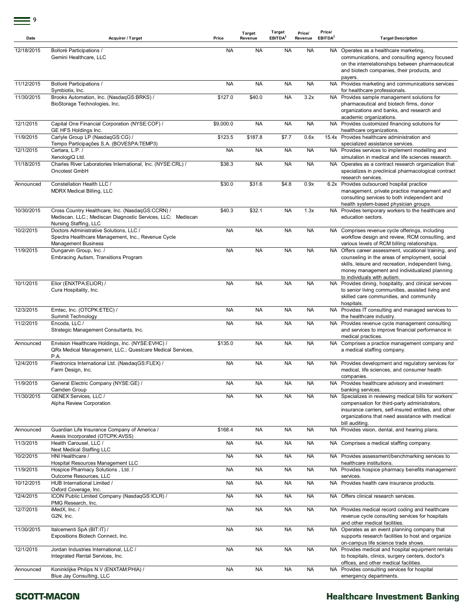| Date       | <b>Acquirer / Target</b>                                                                                                                 | Price     | Target<br>Revenue | Target<br>EBITDA <sup>2</sup> | Price/<br>Revenue | Price/<br>EBITDA <sup>2</sup> | <b>Target Description</b>                                                                                                                                                                                                                    |
|------------|------------------------------------------------------------------------------------------------------------------------------------------|-----------|-------------------|-------------------------------|-------------------|-------------------------------|----------------------------------------------------------------------------------------------------------------------------------------------------------------------------------------------------------------------------------------------|
| 12/18/2015 | Bolloré Participations /<br>Gemini Healthcare, LLC                                                                                       | <b>NA</b> | <b>NA</b>         | <b>NA</b>                     | <b>NA</b>         |                               | NA Operates as a healthcare marketing,<br>communications, and consulting agency focused<br>on the interrelationships between pharmaceutical<br>and biotech companies, their products, and<br>payers.                                         |
| 11/12/2015 | Bolloré Participations /<br>Symbiotix, Inc.                                                                                              | <b>NA</b> | <b>NA</b>         | <b>NA</b>                     | <b>NA</b>         |                               | NA Provides marketing and communications services<br>for healthcare professionals.                                                                                                                                                           |
| 11/30/2015 | Brooks Automation, Inc. (NasdaqGS:BRKS) /<br>BioStorage Technologies, Inc.                                                               | \$127.0   | \$40.0            | <b>NA</b>                     | 3.2x              | NA                            | Provides sample management solutions for<br>pharmaceutical and biotech firms, donor<br>organizations and banks, and research and<br>academic organizations.                                                                                  |
| 12/1/2015  | Capital One Financial Corporation (NYSE:COF) /<br>GE HFS Holdings Inc.                                                                   | \$9,000.0 | <b>NA</b>         | <b>NA</b>                     | <b>NA</b>         |                               | NA Provides customized financing solutions for<br>healthcare organizations.                                                                                                                                                                  |
| 11/9/2015  | Carlyle Group LP (NasdaqGS:CG) /<br>Tempo Participações S.A. (BOVESPA:TEMP3)                                                             | \$123.5   | \$187.8           | \$7.7                         | 0.6x              |                               | 15.4x Provides healthcare administration and<br>specialized assistance services.                                                                                                                                                             |
| 12/1/2015  | Certara, L.P. /                                                                                                                          | <b>NA</b> | <b>NA</b>         | <b>NA</b>                     | <b>NA</b>         |                               | NA Provides services to implement modelling and                                                                                                                                                                                              |
| 11/18/2015 | XenologiQ Ltd.<br>Charles River Laboratories International, Inc. (NYSE:CRL) /<br>Oncotest GmbH                                           | \$38.3    | <b>NA</b>         | <b>NA</b>                     | <b>NA</b>         |                               | simulation in medical and life sciences research.<br>NA Operates as a contract research organization that<br>specializes in preclinical pharmacological contract<br>research services.                                                       |
| Announced  | Constellation Health LLC /<br><b>MDRX Medical Billing, LLC</b>                                                                           | \$30.0    | \$31.6            | \$4.8                         | 0.9x              |                               | 6.2x Provides outsourced hospital practice<br>management, private practice management and<br>consulting services to both independent and<br>health system-based physician groups.                                                            |
| 10/30/2015 | Cross Country Healthcare, Inc. (NasdaqGS:CCRN) /<br>Mediscan, LLC.; Mediscan Diagnostic Services, LLC; Mediscan<br>Nursing Staffing, LLC | \$40.3    | \$32.1            | <b>NA</b>                     | 1.3x              |                               | NA Provides temporary workers to the healthcare and<br>education sectors.                                                                                                                                                                    |
| 10/2/2015  | Doctors Administrative Solutions, LLC /<br>Spectra Healthcare Management, Inc., Revenue Cycle<br><b>Management Business</b>              | <b>NA</b> | <b>NA</b>         | <b>NA</b>                     | <b>NA</b>         |                               | NA Comprises revenue cycle offerings, including<br>workflow design and review, RCM consulting, and<br>various levels of RCM billing relationships.                                                                                           |
| 11/9/2015  | Dungarvin Group, Inc. /<br><b>Embracing Autism, Transitions Program</b>                                                                  | <b>NA</b> | <b>NA</b>         | <b>NA</b>                     | <b>NA</b>         |                               | NA Offers career assessment, vocational training, and<br>counseling in the areas of employment, social<br>skills, leisure and recreation, independent living,<br>money management and individualized planning<br>to individuals with autism. |
| 10/1/2015  | Elior (ENXTPA: ELIOR) /<br>Cura Hospitality, Inc.                                                                                        | <b>NA</b> | <b>NA</b>         | <b>NA</b>                     | <b>NA</b>         | NA                            | Provides dining, hospitality, and clinical services<br>to senior living communities, assisted living and<br>skilled care communities, and community<br>hospitals.                                                                            |
| 12/3/2015  | Emtec, Inc. (OTCPK:ETEC) /<br>Summit Technology                                                                                          | <b>NA</b> | <b>NA</b>         | <b>NA</b>                     | <b>NA</b>         |                               | NA Provides IT consulting and managed services to<br>the healthcare industry.                                                                                                                                                                |
| 11/2/2015  | Encoda, LLC /<br>Strategic Management Consultants, Inc.                                                                                  | <b>NA</b> | <b>NA</b>         | <b>NA</b>                     | <b>NA</b>         | NA.                           | Provides revenue cycle management consulting<br>and services to improve financial performance in<br>medical practices.                                                                                                                       |
| Announced  | Envision Healthcare Holdings, Inc. (NYSE:EVHC) /<br>QRx Medical Management, LLC.; Questcare Medical Services,<br>P.A.                    | \$135.0   | <b>NA</b>         | <b>NA</b>                     | <b>NA</b>         |                               | NA Comprises a practice management company and<br>a medical staffing company.                                                                                                                                                                |
| 12/4/2015  | Flextronics International Ltd. (NasdaqGS:FLEX) /<br>Farm Design, Inc.                                                                    | <b>NA</b> | <b>NA</b>         | <b>NA</b>                     | <b>NA</b>         |                               | NA Provides development and requlatory services for<br>medical, life sciences, and consumer health<br>companies.                                                                                                                             |
| 11/9/2015  | General Electric Company (NYSE:GE) /<br>Camden Group                                                                                     | <b>NA</b> | <b>NA</b>         | <b>NA</b>                     | <b>NA</b>         |                               | NA Provides healthcare advisory and investment<br>banking services.                                                                                                                                                                          |
| 11/30/2015 | GENEX Services, LLC /<br>Alpha Review Corporation                                                                                        | <b>NA</b> | <b>NA</b>         | <b>NA</b>                     | <b>NA</b>         |                               | NA Specializes in reviewing medical bills for workers'<br>compensation for third-party administrators,<br>insurance carriers, self-insured entities, and other<br>organizations that need assistance with medical<br>bill auditing.          |
| Announced  | Guardian Life Insurance Company of America /<br>Avesis Incorporated (OTCPK:AVSS)                                                         | \$168.4   | <b>NA</b>         | <b>NA</b>                     | <b>NA</b>         |                               | NA Provides vision, dental, and hearing plans.                                                                                                                                                                                               |
| 11/3/2015  | Health Carousel, LLC /<br>Next Medical Staffing LLC                                                                                      | <b>NA</b> | <b>NA</b>         | <b>NA</b>                     | <b>NA</b>         |                               | NA Comprises a medical staffing company.                                                                                                                                                                                                     |
| 10/2/2015  | HNI Healthcare /<br>Hospital Resources Management LLC                                                                                    | <b>NA</b> | <b>NA</b>         | <b>NA</b>                     | <b>NA</b>         |                               | NA Provides assessment/benchmarking services to<br>healthcare institutions.                                                                                                                                                                  |
| 11/9/2015  | Hospice Pharmacy Solutions, Ltd. /<br>Outcome Resources, LLC                                                                             | <b>NA</b> | <b>NA</b>         | <b>NA</b>                     | <b>NA</b>         |                               | NA Provides hospice pharmacy benefits management<br>services.                                                                                                                                                                                |
| 10/12/2015 | HUB International Limited /<br>Oxford Coverage, Inc.                                                                                     | <b>NA</b> | <b>NA</b>         | NA                            | <b>NA</b>         |                               | NA Provides health care insurance products.                                                                                                                                                                                                  |
| 12/4/2015  | ICON Public Limited Company (NasdaqGS:ICLR) /<br>PMG Research, Inc.                                                                      | <b>NA</b> | <b>NA</b>         | NA                            | <b>NA</b>         |                               | NA Offers clinical research services.                                                                                                                                                                                                        |
| 12/7/2015  | iMedX, Inc. /<br>G2N, Inc.                                                                                                               | <b>NA</b> | <b>NA</b>         | <b>NA</b>                     | <b>NA</b>         |                               | NA Provides medical record coding and healthcare<br>revenue cycle consulting services for hospitals<br>and other medical facilities.                                                                                                         |
| 11/30/2015 | Italcementi SpA (BIT:IT) /<br>Expositions Biotech Connect, Inc.                                                                          | <b>NA</b> | <b>NA</b>         | <b>NA</b>                     | <b>NA</b>         |                               | NA Operates as an event planning company that<br>supports research facilities to host and organize<br>on-campus life science trade shows.                                                                                                    |
| 12/1/2015  | Jordan Industries International, LLC /<br>Integrated Rental Services, Inc.                                                               | <b>NA</b> | <b>NA</b>         | NA                            | <b>NA</b>         |                               | NA Provides medical and hospital equipment rentals<br>to hospitals, clinics, surgery centers, doctor's<br>offices, and other medical facilities.                                                                                             |
| Announced  | Koninklijke Philips N.V (ENXTAM:PHIA) /<br>Blue Jay Consulting, LLC                                                                      | <b>NA</b> | <b>NA</b>         | <b>NA</b>                     | <b>NA</b>         |                               | NA Provides consulting services for hospital<br>emergency departments.                                                                                                                                                                       |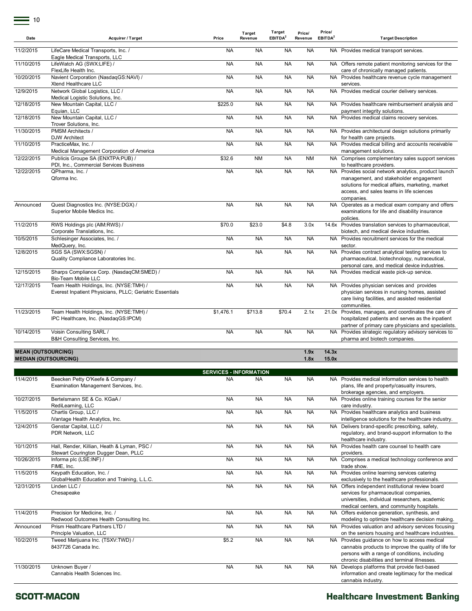| Date                        | <b>Acquirer / Target</b>                                                                            | Price                         | Target<br>Revenue | Target<br>EBITDA <sup>2</sup> | Price/<br>Revenue | Price/<br>EBITDA <sup>2</sup> | <b>Target Description</b>                                                                                                                                                                                    |
|-----------------------------|-----------------------------------------------------------------------------------------------------|-------------------------------|-------------------|-------------------------------|-------------------|-------------------------------|--------------------------------------------------------------------------------------------------------------------------------------------------------------------------------------------------------------|
| 11/2/2015                   | LifeCare Medical Transports, Inc. /                                                                 | <b>NA</b>                     | <b>NA</b>         | <b>NA</b>                     | <b>NA</b>         |                               | NA Provides medical transport services.                                                                                                                                                                      |
|                             | Eagle Medical Transports, LLC                                                                       |                               |                   |                               |                   |                               |                                                                                                                                                                                                              |
| 11/10/2015                  | LifeWatch AG (SWX:LIFE) /<br>FlexLife Health Inc.                                                   | <b>NA</b>                     | <b>NA</b>         | <b>NA</b>                     | <b>NA</b>         |                               | NA Offers remote patient monitoring services for the<br>care of chronically managed patients.                                                                                                                |
| 10/20/2015                  | Navient Corporation (NasdaqGS:NAVI) /<br>Xtend Healthcare LLC                                       | <b>NA</b>                     | <b>NA</b>         | <b>NA</b>                     | <b>NA</b>         |                               | NA Provides healthcare revenue cycle management<br>services.                                                                                                                                                 |
| 12/9/2015                   | Network Global Logistics, LLC /<br>Medical Logistic Solutions, Inc.                                 | <b>NA</b>                     | <b>NA</b>         | <b>NA</b>                     | <b>NA</b>         |                               | NA Provides medical courier delivery services.                                                                                                                                                               |
| 12/18/2015                  | New Mountain Capital, LLC /<br>Equian, LLC                                                          | \$225.0                       | NA                | <b>NA</b>                     | <b>NA</b>         |                               | NA Provides healthcare reimbursement analysis and<br>payment integrity solutions.                                                                                                                            |
| 12/18/2015                  | New Mountain Capital, LLC /<br>Trover Solutions, Inc.                                               | <b>NA</b>                     | NA                | <b>NA</b>                     | <b>NA</b>         |                               | NA Provides medical claims recovery services.                                                                                                                                                                |
| 11/30/2015                  | <b>PMSM Architects /</b><br><b>DJW Architect</b>                                                    | <b>NA</b>                     | NA                | <b>NA</b>                     | <b>NA</b>         |                               | NA Provides architectural design solutions primarily<br>for health care projects.                                                                                                                            |
| 11/10/2015                  | PracticeMax, Inc. /<br>Medical Management Corporation of America                                    | <b>NA</b>                     | NA                | <b>NA</b>                     | <b>NA</b>         |                               | NA Provides medical billing and accounts receivable<br>management solutions.                                                                                                                                 |
| 12/22/2015                  | Publicis Groupe SA (ENXTPA:PUB) /<br>PDI, Inc., Commercial Services Business                        | \$32.6                        | <b>NM</b>         | <b>NA</b>                     | <b>NM</b>         |                               | NA Comprises complementary sales support services<br>to healthcare providers.                                                                                                                                |
| 12/22/2015                  | QPharma, Inc. /<br>Oforma Inc.                                                                      | <b>NA</b>                     | <b>NA</b>         | <b>NA</b>                     | <b>NA</b>         |                               | NA Provides social network analytics, product launch<br>management, and stakeholder engagement<br>solutions for medical affairs, marketing, market<br>access, and sales teams in life sciences<br>companies. |
| Announced                   | Quest Diagnostics Inc. (NYSE:DGX) /<br>Superior Mobile Medics Inc.                                  | <b>NA</b>                     | <b>NA</b>         | <b>NA</b>                     | <b>NA</b>         |                               | NA Operates as a medical exam company and offers<br>examinations for life and disability insurance<br>policies.                                                                                              |
| 11/2/2015                   | RWS Holdings plc (AIM:RWS) /<br>Corporate Translations, Inc.                                        | \$70.0                        | \$23.0            | \$4.8                         | 3.0x              |                               | 14.6x Provides translation services to pharmaceutical,<br>biotech, and medical device industries.                                                                                                            |
| 10/5/2015                   | Schlesinger Associates, Inc. /<br>MedQuery, Inc.                                                    | <b>NA</b>                     | NA                | <b>NA</b>                     | <b>NA</b>         |                               | NA Provides recruitment services for the medical<br>sector.                                                                                                                                                  |
| 12/8/2015                   | SGS SA (SWX:SGSN) /<br>Quality Compliance Laboratories Inc.                                         | <b>NA</b>                     | <b>NA</b>         | <b>NA</b>                     | <b>NA</b>         |                               | NA Provides contract analytical testing services to<br>pharmaceutical, biotechnology, nutraceutical,<br>personal care, and medical device industries.                                                        |
| 12/15/2015                  | Sharps Compliance Corp. (NasdaqCM:SMED) /<br>Bio-Team Mobile LLC                                    | <b>NA</b>                     | <b>NA</b>         | <b>NA</b>                     | <b>NA</b>         |                               | NA Provides medical waste pick-up service.                                                                                                                                                                   |
| 12/17/2015                  | Team Health Holdings, Inc. (NYSE:TMH) /<br>Everest Inpatient Physicians, PLLC; Geriatric Essentials | <b>NA</b>                     | NA                | <b>NA</b>                     | <b>NA</b>         |                               | NA Provides physician services and provides<br>physician services in nursing homes, assisted<br>care living facilities, and assisted residential<br>communities.                                             |
| 11/23/2015                  | Team Health Holdings, Inc. (NYSE:TMH) /<br>IPC Healthcare, Inc. (NasdaqGS:IPCM)                     | \$1,476.1                     | \$713.8           | \$70.4                        | 2.1x              |                               | 21.0x Provides, manages, and coordinates the care of<br>hospitalized patients and serves as the inpatient<br>partner of primary care physicians and specialists.                                             |
| 10/14/2015                  | Voisin Consulting SARL /<br>B&H Consulting Services, Inc.                                           | <b>NA</b>                     | <b>NA</b>         | <b>NA</b>                     | <b>NA</b>         |                               | NA Provides strategic regulatory advisory services to<br>pharma and biotech companies.                                                                                                                       |
| <b>MEAN (OUTSOURCING)</b>   |                                                                                                     |                               |                   |                               | 1.9x              | 14.3x                         |                                                                                                                                                                                                              |
| <b>MEDIAN (OUTSOURCING)</b> |                                                                                                     |                               |                   |                               | 1.8x              | 15.0x                         |                                                                                                                                                                                                              |
|                             |                                                                                                     | <b>SERVICES - INFORMATION</b> |                   |                               |                   |                               |                                                                                                                                                                                                              |
| 11/4/2015                   | Beecken Petty O'Keefe & Company /<br>Examination Management Services, Inc.                          | <b>NA</b>                     | <b>NA</b>         | <b>NA</b>                     | <b>NA</b>         |                               | NA Provides medical information services to health<br>plans, life and property/casualty insurers,                                                                                                            |
| 10/27/2015                  | Bertelsmann SE & Co. KGaA /<br>RediLearning, LLC                                                    | <b>NA</b>                     | <b>NA</b>         | <b>NA</b>                     | <b>NA</b>         |                               | brokerage agencies, and employers.<br>NA Provides online training courses for the senior<br>care industry.                                                                                                   |
| 11/5/2015                   | Chartis Group, LLC /<br>iVantage Health Analytics, Inc.                                             | <b>NA</b>                     | NA                | <b>NA</b>                     | <b>NA</b>         |                               | NA Provides healthcare analytics and business<br>intelligence solutions for the healthcare industry.                                                                                                         |
| 12/4/2015                   | Genstar Capital, LLC /<br>PDR Network, LLC                                                          | <b>NA</b>                     | <b>NA</b>         | <b>NA</b>                     | <b>NA</b>         |                               | NA Delivers brand-specific prescribing, safety,<br>regulatory, and brand-support information to the<br>healthcare industry.                                                                                  |
| 10/1/2015                   | Hall, Render, Killian, Heath & Lyman, PSC /<br>Stewart Courington Dugger Dean, PLLC                 | <b>NA</b>                     | <b>NA</b>         | <b>NA</b>                     | <b>NA</b>         |                               | NA Provides health care counsel to health care<br>providers.                                                                                                                                                 |
| 10/26/2015                  | Informa plc (LSE:INF) /<br>FIME, Inc.                                                               | <b>NA</b>                     | <b>NA</b>         | <b>NA</b>                     | <b>NA</b>         |                               | NA Comprises a medical technology conference and<br>trade show.                                                                                                                                              |
| 11/5/2015                   | Keypath Education, Inc. /<br>GlobalHealth Education and Training, L.L.C.                            | <b>NA</b>                     | <b>NA</b>         | <b>NA</b>                     | <b>NA</b>         |                               | NA Provides online learning services catering<br>exclusively to the healthcare professionals.                                                                                                                |
| 12/31/2015                  | Linden LLC /<br>Chesapeake                                                                          | <b>NA</b>                     | <b>NA</b>         | <b>NA</b>                     | <b>NA</b>         |                               | NA Offers independent institutional review board<br>services for pharmaceutical companies,<br>universities, individual researchers, academic<br>medical centers, and community hospitals.                    |

#### 11/4/2015 Precision for Medicine, Inc. / Redwood Outcomes Health Consulting Inc. NA NA NA NA Offers evidence generation, synthesis, and<br>modeling to optimize healthcare decision making. Announced Prism Healthcare Partners LTD / Principle Valuation, LLC NA NA NA NA NA Provides valuation and advisory services focusing on the seniors housing and healthcare industries. 10/2/2015 Tweed Marijuana Inc. (TSXV:TWD) / 8437726 Canada Inc. \$5.2 NA NA NA NA Provides guidance on how to access medical cannabis products to improve the quality of life for persons with a range of conditions, including chronic disabilities and terminal illnesses. 11/30/2015 Unknown Buyer / Cannabis Health Sciences Inc. NA NA NA NA NA Develops platforms that provide fact-based information and create legitimacy for the medical cannabis industry.

#### **SCOTT-MACON**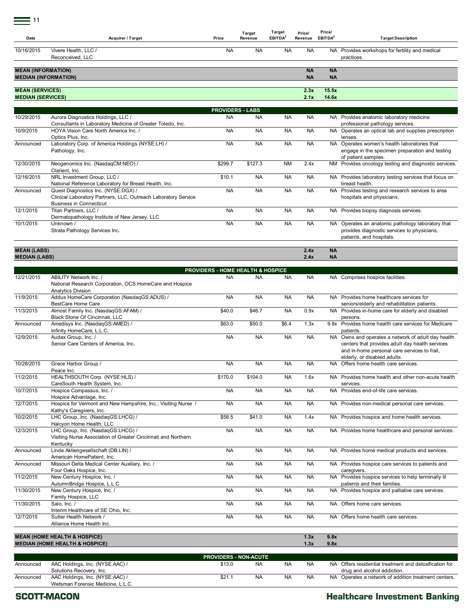$=$  11

| Date                                       | <b>Acquirer / Target</b>                                                                                                                | Price                                        | Target<br>Revenue       | <b>Target</b><br>EBITDA <sup>2</sup> | Price/<br>Revenue      | Price/<br>EBITDA <sup>2</sup> | <b>Target Description</b>                                                                                                                                                             |
|--------------------------------------------|-----------------------------------------------------------------------------------------------------------------------------------------|----------------------------------------------|-------------------------|--------------------------------------|------------------------|-------------------------------|---------------------------------------------------------------------------------------------------------------------------------------------------------------------------------------|
| 10/16/2015                                 | Vivere Health, LLC /<br>Reconceived, LLC                                                                                                | NA                                           | <b>NA</b>               | <b>NA</b>                            | NA                     |                               | NA Provides workshops for fertility and medical<br>practices.                                                                                                                         |
| <b>MEAN (INFORMATION)</b>                  | <b>MEDIAN (INFORMATION)</b>                                                                                                             |                                              |                         |                                      | <b>NA</b><br><b>NA</b> | <b>NA</b><br><b>NA</b>        |                                                                                                                                                                                       |
| <b>MEAN (SERVICES)</b>                     |                                                                                                                                         |                                              |                         |                                      | 2.3x                   | 15.5x                         |                                                                                                                                                                                       |
| <b>MEDIAN (SERVICES)</b>                   |                                                                                                                                         |                                              |                         |                                      | 2.1x                   | 14.6x                         |                                                                                                                                                                                       |
|                                            |                                                                                                                                         |                                              | <b>PROVIDERS - LABS</b> |                                      |                        |                               |                                                                                                                                                                                       |
| 10/29/2015                                 | Aurora Diagnostics Holdings, LLC /<br>Consultants in Laboratory Medicine of Greater Toledo, Inc.                                        | <b>NA</b>                                    | <b>NA</b>               | <b>NA</b>                            | <b>NA</b>              |                               | NA Provides anatomic laboratory medicine<br>professional pathology services.                                                                                                          |
| 10/9/2015                                  | HOYA Vision Care North America Inc.<br>Optics Plus, Inc.                                                                                | <b>NA</b>                                    | <b>NA</b>               | <b>NA</b>                            | <b>NA</b>              |                               | NA Operates an optical lab and supplies prescription<br>lenses.                                                                                                                       |
| Announced                                  | Laboratory Corp. of America Holdings (NYSE:LH) /<br>Pathology, Inc.                                                                     | <b>NA</b>                                    | <b>NA</b>               | <b>NA</b>                            | <b>NA</b>              |                               | NA Operates women's health laboratories that<br>engage in the specimen preparation and testing<br>of patient samples.                                                                 |
| 12/30/2015                                 | Neogenomics Inc. (NasdaqCM:NEO) /<br>Clarient, Inc.                                                                                     | \$299.7                                      | \$127.3                 | <b>NM</b>                            | 2.4x                   |                               | NM Provides oncology testing and diagnostic services.                                                                                                                                 |
| 12/16/2015                                 | NRL Investment Group, LLC /<br>National Reference Laboratory for Breast Health, Inc.                                                    | \$10.1                                       | <b>NA</b>               | <b>NA</b>                            | <b>NA</b>              |                               | NA Provides laboratory testing services that focus on<br>breast health.                                                                                                               |
| Announced                                  | Quest Diagnostics Inc. (NYSE:DGX) /<br>Clinical Laboratory Partners, LLC, Outreach Laboratory Service<br><b>Business in Connecticut</b> | <b>NA</b>                                    | <b>NA</b>               | <b>NA</b>                            | <b>NA</b>              |                               | NA Provides testing and research services to area<br>hospitals and physicians.                                                                                                        |
| 12/1/2015                                  | Titan Partners, LLC /<br>Dermatopathology Institute of New Jersey, LLC                                                                  | NA                                           | <b>NA</b>               | <b>NA</b>                            | <b>NA</b>              |                               | NA Provides biopsy diagnosis services.                                                                                                                                                |
| 10/1/2015                                  | Unknown /<br>Strata Pathology Services Inc.                                                                                             | NA                                           | <b>NA</b>               | <b>NA</b>                            | <b>NA</b>              | NA.                           | Operates an anatomic pathology laboratory that<br>provides diagnostic services to physicians,<br>patients, and hospitals.                                                             |
| <b>MEAN (LABS)</b><br><b>MEDIAN (LABS)</b> |                                                                                                                                         |                                              |                         |                                      | 2.4x<br>2.4x           | <b>NA</b><br><b>NA</b>        |                                                                                                                                                                                       |
|                                            |                                                                                                                                         | <b>PROVIDERS - HOME HEALTH &amp; HOSPICE</b> |                         |                                      |                        |                               |                                                                                                                                                                                       |
| 12/21/2015                                 | ABILITY Network Inc. /<br>National Research Corporation, OCS HomeCare and Hospice                                                       | NA.                                          | NA                      | NA                                   | NA.                    |                               | NA Comprises hospice facilities.                                                                                                                                                      |
| 11/9/2015                                  | <b>Analytics Division</b><br>Addus HomeCare Corporation (NasdaqGS:ADUS) /                                                               | <b>NA</b>                                    | <b>NA</b>               | <b>NA</b>                            | <b>NA</b>              |                               | NA Provides home healthcare services for                                                                                                                                              |
| 11/3/2015                                  | BestCare Home Care<br>Almost Family Inc. (NasdaqGS:AFAM) /                                                                              | \$40.0                                       | \$46.7                  | <b>NA</b>                            | 0.9x                   |                               | seniors/elderly and rehabilitation patients.<br>NA Provides in-home care for elderly and disabled                                                                                     |
| Announced                                  | Black Stone Of Cincinnati, LLC<br>Amedisys Inc. (NasdaqGS:AMED) /<br>Infinity HomeCare, L.L.C.                                          | \$63.0                                       | \$50.0                  | \$6.4                                | 1.3x                   |                               | persons.<br>9.8x Provides home health care services for Medicare<br>patients.                                                                                                         |
| 12/9/2015                                  | Audax Group, Inc. /<br>Senior Care Centers of America, Inc.                                                                             | <b>NA</b>                                    | <b>NA</b>               | <b>NA</b>                            | <b>NA</b>              |                               | NA Owns and operates a network of adult day health<br>centers that provides adult day health services<br>and in-home personal care services to frail,<br>elderly, or disabled adults. |
| 10/28/2015                                 | Grace Harbor Group /<br>Peace Inc.                                                                                                      | <b>NA</b>                                    | <b>NA</b>               | <b>NA</b>                            | <b>NA</b>              |                               | NA Offers home health care services.                                                                                                                                                  |
| 11/2/2015                                  | HEALTHSOUTH Corp. (NYSE:HLS) /<br>CareSouth Health System, Inc.                                                                         | \$170.0                                      | \$104.0                 | <b>NA</b>                            | 1.6x                   |                               | NA Provides home health and other non-acute health<br>services.                                                                                                                       |
| 10/7/2015                                  | Hospice Compassus, Inc. /<br>Hospice Advantage, Inc.                                                                                    | <b>NA</b>                                    | <b>NA</b>               | <b>NA</b>                            | <b>NA</b>              |                               | NA Provides end-of-life care services.                                                                                                                                                |
| 12/7/2015                                  | Hospice for Vermont and New Hampshire, Inc.; Visiting Nurse /<br>Kathy's Caregivers, Inc.                                               | <b>NA</b>                                    | <b>NA</b>               | <b>NA</b>                            | <b>NA</b>              |                               | NA Provides non-medical personal care services.                                                                                                                                       |
| 10/2/2015                                  | LHC Group, Inc. (NasdaqGS:LHCG) /<br>Halcyon Home Health, LLC                                                                           | \$58.5                                       | \$41.0                  | <b>NA</b>                            | 1.4x                   |                               | NA Provides hospice and home health services.                                                                                                                                         |
| 12/3/2015                                  | LHC Group, Inc. (NasdaqGS:LHCG) /<br>Visiting Nurse Association of Greater Cincinnati and Northern                                      | <b>NA</b>                                    | <b>NA</b>               | <b>NA</b>                            | <b>NA</b>              |                               | NA Provides home healthcare and personal services.                                                                                                                                    |
| Announced                                  | Kentucky<br>Linde Aktiengesellschaft (DB:LIN) /<br>American HomePatient, Inc.                                                           | <b>NA</b>                                    | <b>NA</b>               | <b>NA</b>                            | <b>NA</b>              |                               | NA Provides home medical products and services.                                                                                                                                       |
| Announced                                  | Missouri Delta Medical Center Auxiliary, Inc. /<br>Four Oaks Hospice, Inc.                                                              | <b>NA</b>                                    | <b>NA</b>               | <b>NA</b>                            | <b>NA</b>              |                               | NA Provides hospice care services to patients and<br>caregivers.                                                                                                                      |
| 11/2/2015                                  | New Century Hospice, Inc. /<br>AutumnBridge Hospice, L.L.C                                                                              | <b>NA</b>                                    | <b>NA</b>               | <b>NA</b>                            | <b>NA</b>              |                               | NA Provides hospice services to help terminally ill<br>patients and their families.                                                                                                   |
| 11/30/2015                                 | New Century Hospice, Inc. /<br>Family Hospice, LLC                                                                                      | <b>NA</b>                                    | <b>NA</b>               | <b>NA</b>                            | <b>NA</b>              |                               | NA Provides hospice and palliative care services.                                                                                                                                     |
| 11/30/2015                                 | Salo, Inc. /                                                                                                                            | <b>NA</b>                                    | <b>NA</b>               | <b>NA</b>                            | <b>NA</b>              |                               | NA Offers home care services.                                                                                                                                                         |
| 12/7/2015                                  | Interim Healthcare of SE Ohio, Inc.<br>Sutter Health Network /<br>Alliance Home Health Inc.                                             | <b>NA</b>                                    | <b>NA</b>               | <b>NA</b>                            | <b>NA</b>              |                               | NA Offers home health care services.                                                                                                                                                  |
|                                            | <b>MEAN (HOME HEALTH &amp; HOSPICE)</b><br><b>MEDIAN (HOME HEALTH &amp; HOSPICE)</b>                                                    |                                              |                         |                                      | 1.3x<br>1.3x           | 9.8x<br>9.8x                  |                                                                                                                                                                                       |
|                                            |                                                                                                                                         | <b>PROVIDERS - NON-ACUTE</b>                 |                         |                                      |                        |                               |                                                                                                                                                                                       |
| Announced                                  | AAC Holdings, Inc. (NYSE:AAC) /<br>Solutions Recovery, Inc.                                                                             | \$13.0                                       | NA.                     | <b>NA</b>                            | <b>NA</b>              |                               | NA Offers residential treatment and detoxification for<br>drug and alcohol addiction.                                                                                                 |
| Announced                                  | AAC Holdings, Inc. (NYSE:AAC) /                                                                                                         | \$21.1                                       | <b>NA</b>               | <b>NA</b>                            | <b>NA</b>              |                               | NA Operates a network of addition treatment centers.                                                                                                                                  |

**SCOTT-MACON** 

Wetsman Forensic Medicine, L.L.C.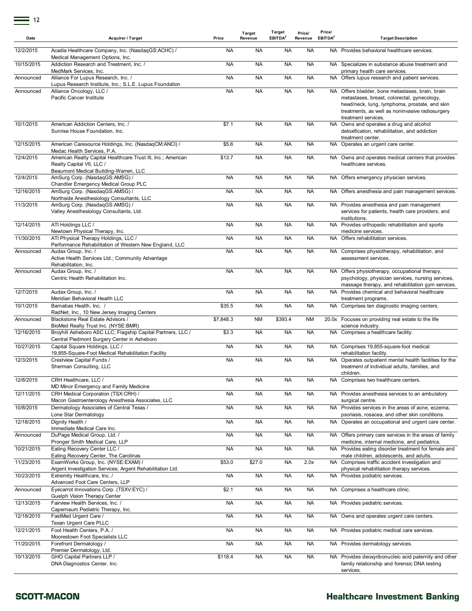| Date       | <b>Acquirer / Target</b>                                                                                                           | Price     | Target<br>Revenue | Target<br>EBITDA <sup>2</sup> | Price/<br>Revenue | Price/<br>EBITDA <sup>2</sup> | <b>Target Description</b>                                                                                                                                                                                                  |
|------------|------------------------------------------------------------------------------------------------------------------------------------|-----------|-------------------|-------------------------------|-------------------|-------------------------------|----------------------------------------------------------------------------------------------------------------------------------------------------------------------------------------------------------------------------|
| 12/2/2015  | Acadia Healthcare Company, Inc. (NasdaqGS:ACHC) /<br>Medical Management Options, Inc.                                              | <b>NA</b> | <b>NA</b>         | <b>NA</b>                     | <b>NA</b>         |                               | NA Provides behavioral healthcare services.                                                                                                                                                                                |
| 10/15/2015 | Addiction Research and Treatment, Inc. /<br>MedMark Services, Inc.                                                                 | <b>NA</b> | <b>NA</b>         | <b>NA</b>                     | <b>NA</b>         |                               | NA Specializes in substance abuse treatment and<br>primary health care services.                                                                                                                                           |
| Announced  | Alliance For Lupus Research, Inc. /<br>Lupus Research Institute, Inc.; S.L.E. Lupus Foundation                                     | <b>NA</b> | <b>NA</b>         | <b>NA</b>                     | <b>NA</b>         |                               | NA Offers lupus research and patient services.                                                                                                                                                                             |
| Announced  | Alliance Oncology, LLC /<br>Pacific Cancer Institute                                                                               | <b>NA</b> | <b>NA</b>         | <b>NA</b>                     | <b>NA</b>         |                               | NA Offers bladder, bone metastases, brain, brain<br>metastases, breast, colorectal, gynecology,<br>head/neck, lung, lymphoma, prostate, and skin<br>treatments, as well as noninvasive radiosurgery<br>treatment services. |
| 10/1/2015  | American Addiction Centers, Inc. /<br>Sunrise House Foundation, Inc.                                                               | \$7.1     | <b>NA</b>         | <b>NA</b>                     | NA                |                               | NA Owns and operates a drug and alcohol<br>detoxification, rehabilitation, and addiction<br>treatment center.                                                                                                              |
| 12/15/2015 | American Caresource Holdings, Inc. (NasdaqCM:ANCI) /<br>Medac Health Services, P.A.                                                | \$5.6     | <b>NA</b>         | <b>NA</b>                     | <b>NA</b>         |                               | NA Operates an urgent care center.                                                                                                                                                                                         |
| 12/4/2015  | American Realty Capital Healthcare Trust III, Inc.; American<br>Realty Capital VII, LLC /<br>Beaumont Medical Building-Warren, LLC | \$13.7    | <b>NA</b>         | <b>NA</b>                     | <b>NA</b>         |                               | NA Owns and operates medical centers that provides<br>healthcare services.                                                                                                                                                 |
| 12/4/2015  | AmSurg Corp. (NasdaqGS:AMSG) /                                                                                                     | <b>NA</b> | <b>NA</b>         | <b>NA</b>                     | <b>NA</b>         |                               | NA Offers emergency physician services.                                                                                                                                                                                    |
| 12/16/2015 | Chandler Emergency Medical Group PLC<br>AmSurg Corp. (NasdagGS:AMSG) /                                                             | <b>NA</b> | <b>NA</b>         | <b>NA</b>                     | <b>NA</b>         |                               | NA Offers anesthesia and pain management services.                                                                                                                                                                         |
| 11/3/2015  | Northside Anesthesiology Consultants, LLC<br>AmSurg Corp. (NasdaqGS:AMSG) /<br>Valley Anesthesiology Consultants, Ltd.             | <b>NA</b> | <b>NA</b>         | <b>NA</b>                     | <b>NA</b>         |                               | NA Provides anesthesia and pain management<br>services for patients, health care providers, and<br>institutions.                                                                                                           |
| 12/14/2015 | ATI Holdings LLC /<br>Newtown Physical Therapy, Inc.                                                                               | <b>NA</b> | <b>NA</b>         | <b>NA</b>                     | <b>NA</b>         |                               | NA Provides orthopedic rehabilitation and sports<br>medicine services.                                                                                                                                                     |
| 11/30/2015 | ATI Physical Therapy Holdings, LLC /<br>Performance Rehabilitation of Western New England, LLC                                     | <b>NA</b> | <b>NA</b>         | <b>NA</b>                     | <b>NA</b>         |                               | NA Offers rehabilitation services.                                                                                                                                                                                         |
| Announced  | Audax Group, Inc. /<br>Active Health Services Ltd.; Community Advantage<br>Rehabilitation, Inc.                                    | <b>NA</b> | <b>NA</b>         | <b>NA</b>                     | <b>NA</b>         |                               | NA Comprises physiotherapy, rehabilitation, and<br>assessment services.                                                                                                                                                    |
| Announced  | Audax Group, Inc. /<br>Centric Health Rehabilitation Inc.                                                                          | <b>NA</b> | <b>NA</b>         | <b>NA</b>                     | <b>NA</b>         |                               | NA Offers physiotherapy, occupational therapy,<br>psychology, physician services, nursing services,                                                                                                                        |
| 12/7/2015  | Audax Group, Inc. /<br>Meridian Behavioral Health LLC                                                                              | <b>NA</b> | <b>NA</b>         | <b>NA</b>                     | <b>NA</b>         |                               | massage therapy, and rehabilitation gym services.<br>NA Provides chemical and behavioral healthcare<br>treatment programs.                                                                                                 |
| 10/1/2015  | Barnabas Health, Inc. /<br>RadNet, Inc., 10 New Jersey Imaging Centers                                                             | \$35.5    | <b>NA</b>         | <b>NA</b>                     | <b>NA</b>         |                               | NA Comprises ten diagnostic imaging centers.                                                                                                                                                                               |
| Announced  | Blackstone Real Estate Advisors /<br>BioMed Realty Trust Inc. (NYSE:BMR)                                                           | \$7,848.3 | <b>NM</b>         | \$393.4                       | <b>NM</b>         |                               | 20.0x Focuses on providing real estate to the life<br>science industry.                                                                                                                                                    |
| 12/16/2015 | Broyhill Asheboro ASC LLC; Flagship Capital Partners, LLC /<br>Central Piedmont Surgery Center in Asheboro                         | \$3.3     | <b>NA</b>         | <b>NA</b>                     | <b>NA</b>         |                               | NA Comprises a healthcare facility.                                                                                                                                                                                        |
| 10/27/2015 | Capital Square Holdings, LLC /<br>19,855-Square-Foot Medical Rehabilitation Facility                                               | <b>NA</b> | <b>NA</b>         | <b>NA</b>                     | <b>NA</b>         |                               | NA Comprises 19,855-square-foot medical<br>rehabilitation facility.                                                                                                                                                        |
| 12/3/2015  | Crestview Capital Funds /<br>Sherman Consulting, LLC                                                                               | <b>NA</b> | <b>NA</b>         | <b>NA</b>                     | <b>NA</b>         | NA.                           | Operates outpatient mental health facilities for the<br>treatment of individual adults, families, and<br>children.                                                                                                         |
| 12/8/2015  | CRH Healthcare, LLC /<br>MD Minor Emergency and Family Medicine                                                                    | <b>NA</b> | <b>NA</b>         | <b>NA</b>                     | NA                |                               | NA Comprises two healthcare centers.                                                                                                                                                                                       |
| 12/11/2015 | CRH Medical Corporation (TSX:CRH) /<br>Macon Gastroenterology Anesthesia Associates, LLC                                           | <b>NA</b> | <b>NA</b>         | <b>NA</b>                     | <b>NA</b>         |                               | NA Provides anesthesia services to an ambulatory<br>surgical centre.                                                                                                                                                       |
| 10/8/2015  | Dermatology Associates of Central Texas /<br>Lone Star Dermatology                                                                 | <b>NA</b> | <b>NA</b>         | <b>NA</b>                     | <b>NA</b>         |                               | NA Provides services in the areas of acne, eczema,<br>psoriasis, rosacea, and other skin conditions.                                                                                                                       |
| 12/18/2015 | Dignity Health /<br>Immediate Medical Care Inc.                                                                                    | <b>NA</b> | <b>NA</b>         | <b>NA</b>                     | <b>NA</b>         |                               | NA Operates an occupational and urgent care center.                                                                                                                                                                        |
| Announced  | DuPage Medical Group, Ltd. /<br>Pronger Smith Medical Care, LLP                                                                    | <b>NA</b> | <b>NA</b>         | <b>NA</b>                     | <b>NA</b>         |                               | NA Offers primary care services in the areas of family<br>medicine, internal medicine, and pediatrics.                                                                                                                     |
| 10/21/2015 | Eating Recovery Center LLC /<br>Eating Recovery Center, The Carolinas                                                              | <b>NA</b> | <b>NA</b>         | <b>NA</b>                     | <b>NA</b>         |                               | NA Provides eating disorder treatment for female and<br>male children, adolescents, and adults.                                                                                                                            |
| 11/23/2015 | ExamWorks Group, Inc. (NYSE:EXAM) /                                                                                                | \$53.0    | \$27.0            | <b>NA</b>                     | 2.0x              |                               | NA Comprises traffic accident investigation and                                                                                                                                                                            |
| 10/23/2015 | Argent Investigation Services; Argent Rehabilitation Ltd.<br>Extremity Healthcare, Inc. /<br>Advanced Foot Care Centers, LLP       | <b>NA</b> | <b>NA</b>         | <b>NA</b>                     | <b>NA</b>         |                               | physical rehabilitation therapy services.<br>NA Provides podiatric services.                                                                                                                                               |
| Announced  | Eyecarrot Innovations Corp. (TSXV:EYC) /                                                                                           | \$2.1     | <b>NA</b>         | <b>NA</b>                     | <b>NA</b>         |                               | NA Comprises a healthcare clinic.                                                                                                                                                                                          |
| 12/13/2015 | Guelph Vision Therapy Center<br>Fairview Health Services, Inc. /                                                                   | <b>NA</b> | <b>NA</b>         | <b>NA</b>                     | <b>NA</b>         |                               | NA Provides pediatric services.                                                                                                                                                                                            |
| 12/18/2015 | Capernaum Pediatric Therapy, Inc.<br>FastMed Urgent Care /<br>Texan Urgent Care PLLC                                               | <b>NA</b> | <b>NA</b>         | <b>NA</b>                     | <b>NA</b>         |                               | NA Owns and operates urgent care centers.                                                                                                                                                                                  |
| 12/21/2015 | Foot Health Centers, P.A. /                                                                                                        | <b>NA</b> | <b>NA</b>         | <b>NA</b>                     | <b>NA</b>         |                               | NA Provides podiatric medical care services.                                                                                                                                                                               |
| 11/20/2015 | Moorestown Foot Specialists LLC<br>Forefront Dermatology /                                                                         | <b>NA</b> | <b>NA</b>         | <b>NA</b>                     | <b>NA</b>         |                               | NA Provides dermatology services.                                                                                                                                                                                          |
| 10/13/2015 | Premier Dermatology, Ltd.<br>GHO Capital Partners LLP /<br>DNA Diagnostics Center, Inc.                                            | \$118.4   | <b>NA</b>         | <b>NA</b>                     | <b>NA</b>         |                               | NA Provides deoxyribonucleic acid paternity and other<br>family relationship and forensic DNA testing<br>services.                                                                                                         |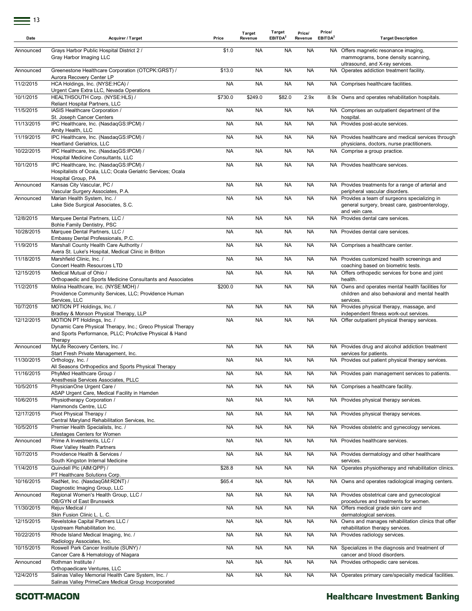| Date       | Acquirer / Target                                                                                                      | Price     | Target<br>Revenue | Target<br>EBITDA <sup>2</sup> | Price/<br>Revenue | Price/<br>EBITDA <sup>2</sup> | <b>Target Description</b>                                                                                      |
|------------|------------------------------------------------------------------------------------------------------------------------|-----------|-------------------|-------------------------------|-------------------|-------------------------------|----------------------------------------------------------------------------------------------------------------|
| Announced  | Grays Harbor Public Hospital District 2 /<br>Gray Harbor Imaging LLC                                                   | \$1.0     | <b>NA</b>         | <b>NA</b>                     | <b>NA</b>         |                               | NA Offers magnetic resonance imaging,<br>mammograms, bone density scanning,<br>ultrasound, and X-ray services. |
| Announced  | Greenestone Healthcare Corporation (OTCPK:GRST) /<br>Aurora Recovery Center LP                                         | \$13.0    | <b>NA</b>         | <b>NA</b>                     | <b>NA</b>         |                               | NA Operates addiction treatment facility.                                                                      |
| 11/2/2015  | HCA Holdings, Inc. (NYSE:HCA) /<br>Urgent Care Extra LLC, Nevada Operations                                            | <b>NA</b> | <b>NA</b>         | <b>NA</b>                     | <b>NA</b>         |                               | NA Comprises healthcare facilities.                                                                            |
| 10/1/2015  | HEALTHSOUTH Corp. (NYSE:HLS) /<br>Reliant Hospital Partners, LLC                                                       | \$730.0   | \$249.0           | \$82.0                        | 2.9x              |                               | 8.9x Owns and operates rehabilitation hospitals.                                                               |
| 11/5/2015  | IASIS Healthcare Corporation /                                                                                         | <b>NA</b> | <b>NA</b>         | <b>NA</b>                     | <b>NA</b>         |                               | NA Comprises an outpatient department of the                                                                   |
| 11/13/2015 | St. Joseph Cancer Centers<br>IPC Healthcare, Inc. (NasdaqGS:IPCM) /                                                    | <b>NA</b> | <b>NA</b>         | <b>NA</b>                     | <b>NA</b>         |                               | hospital.<br>NA Provides post-acute services.                                                                  |
| 11/19/2015 | Amity Health, LLC<br>IPC Healthcare, Inc. (NasdaqGS:IPCM) /                                                            | <b>NA</b> | <b>NA</b>         | <b>NA</b>                     | <b>NA</b>         |                               | NA Provides healthcare and medical services through                                                            |
| 10/22/2015 | Heartland Geriatrics, LLC<br>IPC Healthcare, Inc. (NasdaqGS:IPCM) /                                                    | <b>NA</b> | <b>NA</b>         | <b>NA</b>                     | <b>NA</b>         |                               | physicians, doctors, nurse practitioners.<br>NA Comprise a group practice.                                     |
| 10/1/2015  | Hospital Medicine Consultants, LLC<br>IPC Healthcare, Inc. (NasdaqGS:IPCM) /                                           | <b>NA</b> | <b>NA</b>         | <b>NA</b>                     | <b>NA</b>         |                               | NA Provides healthcare services.                                                                               |
|            | Hospitalists of Ocala, LLC; Ocala Geriatric Services; Ocala<br>Hospital Group, PA                                      |           |                   |                               |                   |                               |                                                                                                                |
| Announced  | Kansas City Vascular, PC /<br>Vascular Surgery Associates, P.A.                                                        | <b>NA</b> | <b>NA</b>         | <b>NA</b>                     | <b>NA</b>         |                               | NA Provides treatments for a range of arterial and<br>peripheral vascular disorders.                           |
| Announced  | Marian Health System, Inc. /                                                                                           | <b>NA</b> | <b>NA</b>         | <b>NA</b>                     | <b>NA</b>         |                               | NA Provides a team of surgeons specializing in                                                                 |
|            | Lake Side Surgical Associates, S.C.                                                                                    |           |                   |                               |                   |                               | general surgery, breast care, gastroenterology,<br>and vein care.                                              |
| 12/8/2015  | Marquee Dental Partners, LLC /<br>Bohle Family Dentistry, PSC                                                          | <b>NA</b> | <b>NA</b>         | <b>NA</b>                     | <b>NA</b>         |                               | NA Provides dental care services.                                                                              |
| 10/28/2015 | Marquee Dental Partners, LLC /<br>Embassy Dental Professionals, P.C.                                                   | <b>NA</b> | <b>NA</b>         | <b>NA</b>                     | <b>NA</b>         |                               | NA Provides dental care services.                                                                              |
| 11/9/2015  | Marshall County Health Care Authority /                                                                                | <b>NA</b> | <b>NA</b>         | <b>NA</b>                     | <b>NA</b>         |                               | NA Comprises a healthcare center.                                                                              |
| 11/18/2015 | Avera St. Luke's Hospital, Medical Clinic in Britton<br>Marshfield Clinic, Inc. /                                      | <b>NA</b> | <b>NA</b>         | <b>NA</b>                     | <b>NA</b>         |                               | NA Provides customized health screenings and                                                                   |
| 12/15/2015 | <b>Concert Health Resources LTD</b><br>Medical Mutual of Ohio /                                                        | <b>NA</b> | <b>NA</b>         | <b>NA</b>                     | <b>NA</b>         |                               | coaching based on biometric tests.<br>NA Offers orthopedic services for bone and joint                         |
| 11/2/2015  | Orthopaedic and Sports Medicine Consultants and Associates<br>Molina Healthcare, Inc. (NYSE:MOH) /                     | \$200.0   | <b>NA</b>         | <b>NA</b>                     | <b>NA</b>         |                               | health.<br>NA Owns and operates mental health facilities for                                                   |
|            | Providence Community Services, LLC; Providence Human<br>Services, LLC                                                  |           |                   |                               |                   |                               | children and also behavioral and mental health<br>services.                                                    |
| 10/7/2015  | MOTION PT Holdings, Inc. /                                                                                             | <b>NA</b> | <b>NA</b>         | <b>NA</b>                     | <b>NA</b>         |                               | NA Provides physical therapy, massage, and                                                                     |
| 12/12/2015 | Bradley & Monson Physical Therapy, LLP<br>MOTION PT Holdings, Inc. /                                                   | <b>NA</b> | <b>NA</b>         | <b>NA</b>                     | <b>NA</b>         |                               | independent fitness work-out services.<br>NA Offer outpatient physical therapy services.                       |
|            | Dynamic Care Physical Therapy, Inc.; Greco Physical Therapy<br>and Sports Performance, PLLC; ProActive Physical & Hand |           |                   |                               |                   |                               |                                                                                                                |
| Announced  | Therapy<br>MyLife Recovery Centers, Inc. /                                                                             | <b>NA</b> | <b>NA</b>         | <b>NA</b>                     | <b>NA</b>         |                               | NA Provides drug and alcohol addiction treatment                                                               |
|            | Start Fresh Private Management, Inc.                                                                                   |           |                   |                               |                   |                               | services for patients.                                                                                         |
| 11/30/2015 | Orthology, Inc. /<br>All Seasons Orthopedics and Sports Physical Therapy                                               | <b>NA</b> | <b>NA</b>         | <b>NA</b>                     | <b>NA</b>         |                               | NA Provides out patient physical therapy services.                                                             |
| 11/16/2015 | PhyMed Healthcare Group /<br>Anesthesia Services Associates, PLLC                                                      | <b>NA</b> | <b>NA</b>         | <b>NA</b>                     | <b>NA</b>         |                               | NA Provides pain management services to patients.                                                              |
| 10/5/2015  | PhysicianOne Urgent Care /<br>ASAP Urgent Care, Medical Facility in Hamden                                             | <b>NA</b> | <b>NA</b>         | <b>NA</b>                     | <b>NA</b>         |                               | NA Comprises a healthcare facility.                                                                            |
| 10/6/2015  | Physiotherapy Corporation /<br>Hammonds Centre, LLC                                                                    | <b>NA</b> | <b>NA</b>         | <b>NA</b>                     | <b>NA</b>         |                               | NA Provides physical therapy services.                                                                         |
| 12/17/2015 | Pivot Physical Therapy /                                                                                               | <b>NA</b> | <b>NA</b>         | <b>NA</b>                     | <b>NA</b>         |                               | NA Provides physical therapy services.                                                                         |
| 10/5/2015  | Central Maryland Rehabilitation Services, Inc.<br>Premier Health Specialists, Inc. /                                   | <b>NA</b> | <b>NA</b>         | <b>NA</b>                     | <b>NA</b>         |                               | NA Provides obstetric and gynecology services.                                                                 |
| Announced  | Lifestages Centers for Women<br>Prime A Investments, LLC /                                                             | <b>NA</b> | <b>NA</b>         | <b>NA</b>                     | <b>NA</b>         | NA                            | Provides healthcare services.                                                                                  |
| 10/7/2015  | River Valley Health Partners<br>Providence Health & Services /                                                         | <b>NA</b> | <b>NA</b>         | <b>NA</b>                     | <b>NA</b>         | NA                            | Provides dermatology and other healthcare                                                                      |
| 11/4/2015  | South Kingston Internal Medicine<br>Quindell Plc (AIM:QPP) /                                                           | \$28.8    | <b>NA</b>         | <b>NA</b>                     | <b>NA</b>         |                               | services.<br>NA Operates physiotherapy and rehabilitation clinics.                                             |
|            | PT Healthcare Solutions Corp.                                                                                          |           |                   |                               |                   |                               |                                                                                                                |
| 10/16/2015 | RadNet, Inc. (NasdaqGM:RDNT) /<br>Diagnostic Imaging Group, LLC                                                        | \$65.4    | <b>NA</b>         | <b>NA</b>                     | <b>NA</b>         |                               | NA Owns and operates radiological imaging centers.                                                             |
| Announced  | Regional Women's Health Group, LLC /<br>OB/GYN of East Brunswick                                                       | <b>NA</b> | <b>NA</b>         | <b>NA</b>                     | <b>NA</b>         |                               | NA Provides obstetrical care and gynecological<br>procedures and treatments for women.                         |
| 11/30/2015 | Rejuv Medical /<br>Skin Fusion Clinic L. L. C.                                                                         | <b>NA</b> | <b>NA</b>         | <b>NA</b>                     | <b>NA</b>         |                               | NA Offers medical grade skin care and<br>dermatological services.                                              |
| 12/15/2015 | Revelstoke Capital Partners LLC /<br>Upstream Rehabilitation Inc.                                                      | <b>NA</b> | <b>NA</b>         | <b>NA</b>                     | <b>NA</b>         |                               | NA Owns and manages rehabilitation clinics that offer<br>rehabilitation therapy services.                      |
| 10/22/2015 | Rhode Island Medical Imaging, Inc. /<br>Radiology Associates, Inc.                                                     | <b>NA</b> | <b>NA</b>         | <b>NA</b>                     | <b>NA</b>         | NA                            | Provides radiology services.                                                                                   |
| 10/15/2015 | Roswell Park Cancer Institute (SUNY) /                                                                                 | <b>NA</b> | <b>NA</b>         | <b>NA</b>                     | <b>NA</b>         |                               | NA Specializes in the diagnosis and treatment of<br>cancer and blood disorders.                                |
| Announced  | Cancer Care & Hematology of Niagara<br>Rothman Institute /                                                             | <b>NA</b> | <b>NA</b>         | <b>NA</b>                     | <b>NA</b>         |                               | NA Provides orthopedic care services.                                                                          |
| 12/4/2015  | Orthopaedicare Ventures, LLC<br>Salinas Valley Memorial Health Care System, Inc. /                                     | <b>NA</b> | <b>NA</b>         | <b>NA</b>                     | <b>NA</b>         |                               | NA Operates primary care/specialty medical facilities.                                                         |
|            | Salinas Valley PrimeCare Medical Group Incorporated                                                                    |           |                   |                               |                   |                               |                                                                                                                |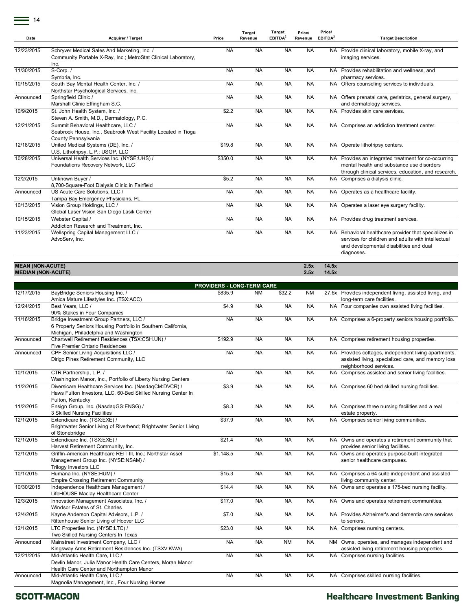| Date       | Acquirer / Target                                                                                                           | Price     | Target<br>Revenue | Target<br>EBITDA <sup>2</sup> | Price/<br>Revenue | Price/<br>EBITDA <sup>2</sup> | <b>Target Description</b>                                                                                                                                            |
|------------|-----------------------------------------------------------------------------------------------------------------------------|-----------|-------------------|-------------------------------|-------------------|-------------------------------|----------------------------------------------------------------------------------------------------------------------------------------------------------------------|
| 12/23/2015 | Schryver Medical Sales And Marketing, Inc. /<br>Community Portable X-Ray, Inc.; MetroStat Clinical Laboratory,<br>Inc.      | <b>NA</b> | <b>NA</b>         | <b>NA</b>                     | <b>NA</b>         |                               | NA Provide clinical laboratory, mobile X-ray, and<br>imaging services.                                                                                               |
| 11/30/2015 | S-Corp./<br>Symbria, Inc.                                                                                                   | <b>NA</b> | <b>NA</b>         | <b>NA</b>                     | <b>NA</b>         |                               | NA Provides rehabilitation and wellness, and<br>pharmacy services.                                                                                                   |
| 10/15/2015 | South Bay Mental Health Center, Inc. /<br>Northstar Psychological Services, Inc.                                            | <b>NA</b> | <b>NA</b>         | <b>NA</b>                     | <b>NA</b>         |                               | NA Offers counseling services to individuals.                                                                                                                        |
| Announced  | Springfield Clinic /<br>Marshall Clinic Effingham S.C.                                                                      | <b>NA</b> | <b>NA</b>         | <b>NA</b>                     | <b>NA</b>         |                               | NA Offers prenatal care, geriatrics, general surgery,<br>and dermatology services.                                                                                   |
| 10/9/2015  | St. John Health System, Inc. /<br>Steven A. Smith, M.D., Dermatology, P.C.                                                  | \$2.2     | <b>NA</b>         | <b>NA</b>                     | <b>NA</b>         |                               | NA Provides skin care services.                                                                                                                                      |
| 12/21/2015 | Summit Behavioral Healthcare. LLC /<br>Seabrook House, Inc., Seabrook West Facility Located in Tioga<br>County Pennsylvania | <b>NA</b> | <b>NA</b>         | <b>NA</b>                     | <b>NA</b>         |                               | NA Comprises an addiction treatment center.                                                                                                                          |
| 12/18/2015 | United Medical Systems (DE), Inc. /<br>U.S. Lithotripsy, L.P.; USGP, LLC                                                    | \$19.8    | <b>NA</b>         | <b>NA</b>                     | <b>NA</b>         |                               | NA Operate lithotripsy centers.                                                                                                                                      |
| 10/28/2015 | Universal Health Services Inc. (NYSE:UHS) /<br>Foundations Recovery Network, LLC                                            | \$350.0   | <b>NA</b>         | <b>NA</b>                     | <b>NA</b>         |                               | NA Provides an integrated treatment for co-occurring<br>mental health and substance use disorders<br>through clinical services, education, and research.             |
| 12/2/2015  | Unknown Buyer /<br>8,700-Square-Foot Dialysis Clinic in Fairfield                                                           | \$5.2     | <b>NA</b>         | <b>NA</b>                     | <b>NA</b>         |                               | NA Comprises a dialysis clinic.                                                                                                                                      |
| Announced  | US Acute Care Solutions. LLC /<br>Tampa Bay Emergency Physicians, PL                                                        | <b>NA</b> | <b>NA</b>         | <b>NA</b>                     | <b>NA</b>         |                               | NA Operates as a healthcare facility.                                                                                                                                |
| 10/13/2015 | Vision Group Holdings, LLC /<br>Global Laser Vision San Diego Lasik Center                                                  | <b>NA</b> | <b>NA</b>         | <b>NA</b>                     | <b>NA</b>         |                               | NA Operates a laser eye surgery facility.                                                                                                                            |
| 10/15/2015 | Webster Capital /<br>Addiction Research and Treatment, Inc.                                                                 | <b>NA</b> | <b>NA</b>         | <b>NA</b>                     | <b>NA</b>         |                               | NA Provides drug treatment services.                                                                                                                                 |
| 11/23/2015 | Wellspring Capital Management LLC /<br>AdvoServ. Inc.                                                                       | <b>NA</b> | <b>NA</b>         | <b>NA</b>                     | <b>NA</b>         |                               | NA Behavioral healthcare provider that specializes in<br>services for children and adults with intellectual<br>and developmental disabilities and dual<br>diagnoses. |

#### **MEAN (NON-ACUTE) 2.5x 14.5x MEDIAN (NON-ACUTE) 2.5x 14.5x**

|            | <b>PROVIDERS - LONG-TERM CARE</b>                                 |                |           |           |           |  |                                                         |  |  |  |
|------------|-------------------------------------------------------------------|----------------|-----------|-----------|-----------|--|---------------------------------------------------------|--|--|--|
| 12/17/2015 | BayBridge Seniors Housing Inc. /                                  | \$835.9        | <b>NM</b> | \$32.2    | <b>NM</b> |  | 27.6x Provides independent living, assisted living, and |  |  |  |
|            | Amica Mature Lifestyles Inc. (TSX:ACC)                            |                |           |           |           |  | long-term care facilities.                              |  |  |  |
| 12/24/2015 | Best Years, LLC /                                                 | \$4.9          | <b>NA</b> | <b>NA</b> | <b>NA</b> |  | NA Four companies own assisted living facilities.       |  |  |  |
|            | 90% Stakes in Four Companies                                      |                |           |           |           |  |                                                         |  |  |  |
| 11/16/2015 | Bridge Investment Group Partners, LLC /                           | <b>NA</b>      | <b>NA</b> | <b>NA</b> | <b>NA</b> |  | NA Comprises a 6-property seniors housing portfolio.    |  |  |  |
|            | 6 Property Seniors Housing Portfolio in Southern California,      |                |           |           |           |  |                                                         |  |  |  |
|            | Michigan, Philadelphia and Washington                             |                |           |           |           |  |                                                         |  |  |  |
| Announced  | Chartwell Retirement Residences (TSX:CSH.UN) /                    | \$192.9        | <b>NA</b> | <b>NA</b> | <b>NA</b> |  | NA Comprises retirement housing properties.             |  |  |  |
|            | <b>Five Premier Ontario Residences</b>                            |                |           |           |           |  |                                                         |  |  |  |
| Announced  | CPF Senior Living Acquisitions LLC /                              | <b>NA</b>      | <b>NA</b> | <b>NA</b> | <b>NA</b> |  | NA Provides cottages, independent living apartments,    |  |  |  |
|            | Dirigo Pines Retirement Community, LLC                            |                |           |           |           |  | assisted living, specialized care, and memory loss      |  |  |  |
|            |                                                                   |                |           |           |           |  | neighborhood services.                                  |  |  |  |
| 10/1/2015  | CTR Partnership, L.P. /                                           | <b>NA</b>      | <b>NA</b> | <b>NA</b> | <b>NA</b> |  | NA Comprises assisted and senior living facilities.     |  |  |  |
|            | Washington Manor, Inc., Portfolio of Liberty Nursing Centers      |                |           |           |           |  |                                                         |  |  |  |
| 11/2/2015  | Diversicare Healthcare Services Inc. (NasdaqCM:DVCR) /            | \$3.9          | <b>NA</b> | <b>NA</b> | <b>NA</b> |  | NA Comprises 60 bed skilled nursing facilities.         |  |  |  |
|            | Haws Fulton Investors, LLC, 60-Bed Skilled Nursing Center In      |                |           |           |           |  |                                                         |  |  |  |
|            | Fulton, Kentucky                                                  |                |           |           |           |  |                                                         |  |  |  |
| 11/2/2015  | Ensign Group, Inc. (NasdaqGS:ENSG) /                              | \$8.3          | <b>NA</b> | <b>NA</b> | <b>NA</b> |  | NA Comprises three nursing facilities and a real        |  |  |  |
|            | 3 Skilled Nursing Facilities                                      |                |           |           |           |  | estate property.                                        |  |  |  |
| 12/1/2015  | Extendicare Inc. (TSX:EXE) /                                      | \$37.9         | <b>NA</b> | <b>NA</b> | <b>NA</b> |  | NA Comprises senior living communities.                 |  |  |  |
|            | Brightwater Senior Living of Riverbend; Brightwater Senior Living |                |           |           |           |  |                                                         |  |  |  |
|            | of Stonebridge                                                    |                |           |           |           |  |                                                         |  |  |  |
| 12/1/2015  | Extendicare Inc. (TSX:EXE) /                                      | \$21.4         | <b>NA</b> | <b>NA</b> | <b>NA</b> |  | NA Owns and operates a retirement community that        |  |  |  |
|            | Harvest Retirement Community, Inc.                                |                |           |           |           |  | provides senior living facilities.                      |  |  |  |
| 12/1/2015  | Griffin-American Healthcare REIT III, Inc.; Northstar Asset       | \$1,148.5      | <b>NA</b> | <b>NA</b> | <b>NA</b> |  | NA Owns and operates purpose-built integrated           |  |  |  |
|            | Management Group Inc. (NYSE:NSAM) /                               |                |           |           |           |  | senior healthcare campuses.                             |  |  |  |
|            | Trilogy Investors LLC                                             |                |           |           |           |  |                                                         |  |  |  |
| 10/1/2015  | Humana Inc. (NYSE:HUM) /                                          | \$15.3         | <b>NA</b> | <b>NA</b> | <b>NA</b> |  | NA Comprises a 64 suite independent and assisted        |  |  |  |
|            | <b>Empire Crossing Retirement Community</b>                       |                |           |           |           |  | living community center.                                |  |  |  |
| 10/30/2015 | Independence Healthcare Management /                              | \$14.4         | <b>NA</b> | <b>NA</b> | <b>NA</b> |  | NA Owns and operates a 175-bed nursing facility.        |  |  |  |
|            | LifeHOUSE Maclay Healthcare Center                                |                |           |           |           |  |                                                         |  |  |  |
| 12/3/2015  | Innovation Management Associates, Inc. /                          | \$17.0         | <b>NA</b> | <b>NA</b> | <b>NA</b> |  | NA Owns and operates retirement communities.            |  |  |  |
|            | Windsor Estates of St. Charles                                    |                |           |           |           |  |                                                         |  |  |  |
| 12/4/2015  | Kayne Anderson Capital Advisors, L.P. /                           | \$7.0          | <b>NA</b> | <b>NA</b> | <b>NA</b> |  | NA Provides Alzheimer's and dementia care services      |  |  |  |
|            | Rittenhouse Senior Living of Hoover LLC                           |                |           |           |           |  | to seniors.                                             |  |  |  |
| 12/1/2015  | LTC Properties Inc. (NYSE:LTC) /                                  | \$23.0         | <b>NA</b> | <b>NA</b> | <b>NA</b> |  | NA Comprises nursing centers.                           |  |  |  |
|            | Two Skilled Nursing Centers In Texas                              |                |           |           |           |  |                                                         |  |  |  |
| Announced  | Mainstreet Investment Company, LLC /                              | N <sub>A</sub> | <b>NA</b> | <b>NM</b> | <b>NA</b> |  | NM Owns, operates, and manages independent and          |  |  |  |
|            | Kingsway Arms Retirement Residences Inc. (TSXV:KWA)               |                |           |           |           |  | assisted living retirement housing properties.          |  |  |  |
| 12/21/2015 | Mid-Atlantic Health Care, LLC /                                   | <b>NA</b>      | <b>NA</b> | <b>NA</b> | <b>NA</b> |  | NA Comprises nursing facilities.                        |  |  |  |
|            | Devlin Manor, Julia Manor Health Care Centers, Moran Manor        |                |           |           |           |  |                                                         |  |  |  |
|            | Health Care Center and Northampton Manor                          |                |           |           |           |  |                                                         |  |  |  |
| Announced  | Mid-Atlantic Health Care, LLC /                                   | <b>NA</b>      | <b>NA</b> | <b>NA</b> | <b>NA</b> |  | NA Comprises skilled nursing facilities.                |  |  |  |
|            | Magnolia Management, Inc., Four Nursing Homes                     |                |           |           |           |  |                                                         |  |  |  |

**SCOTT-MACON**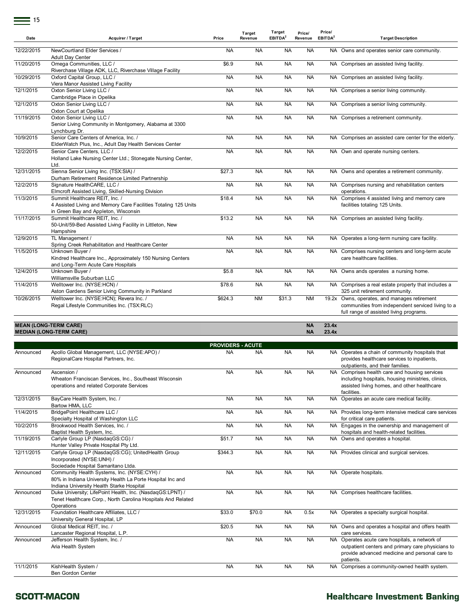| Date       | <b>Acquirer / Target</b>                                                                                                                                               | Price                    | Target<br>Revenue | Target<br>EBITDA <sup>2</sup> | Price/<br>Revenue      | Price/<br>EBITDA <sup>2</sup> | <b>Target Description</b>                                                                                                                                        |
|------------|------------------------------------------------------------------------------------------------------------------------------------------------------------------------|--------------------------|-------------------|-------------------------------|------------------------|-------------------------------|------------------------------------------------------------------------------------------------------------------------------------------------------------------|
| 12/22/2015 | NewCourtland Elder Services /<br><b>Adult Day Center</b>                                                                                                               | <b>NA</b>                | <b>NA</b>         | <b>NA</b>                     | <b>NA</b>              |                               | NA Owns and operates senior care community.                                                                                                                      |
| 11/20/2015 | Omega Communities, LLC /<br>Riverchase Village ADK, LLC, Riverchase Village Facility                                                                                   | \$6.9                    | <b>NA</b>         | <b>NA</b>                     | <b>NA</b>              |                               | NA Comprises an assisted living facility.                                                                                                                        |
| 10/29/2015 | Oxford Capital Group, LLC /<br>Viera Manor Assisted Living Facility                                                                                                    | <b>NA</b>                | <b>NA</b>         | <b>NA</b>                     | <b>NA</b>              |                               | NA Comprises an assisted living facility.                                                                                                                        |
| 12/1/2015  | Oxton Senior Living LLC /<br>Cambridge Place in Opelika                                                                                                                | <b>NA</b>                | <b>NA</b>         | <b>NA</b>                     | <b>NA</b>              |                               | NA Comprises a senior living community.                                                                                                                          |
| 12/1/2015  | Oxton Senior Living LLC /<br>Oxton Court at Opelika                                                                                                                    | <b>NA</b>                | <b>NA</b>         | <b>NA</b>                     | <b>NA</b>              |                               | NA Comprises a senior living community.                                                                                                                          |
| 11/19/2015 | Oxton Senior Living LLC /<br>Senior Living Community in Montgomery, Alabama at 3300<br>Lynchburg Dr.                                                                   | <b>NA</b>                | <b>NA</b>         | <b>NA</b>                     | <b>NA</b>              |                               | NA Comprises a retirement community.                                                                                                                             |
| 10/9/2015  | Senior Care Centers of America, Inc. /<br>ElderWatch Plus, Inc., Adult Day Health Services Center                                                                      | <b>NA</b>                | <b>NA</b>         | <b>NA</b>                     | <b>NA</b>              |                               | NA Comprises an assisted care center for the elderly.                                                                                                            |
| 12/2/2015  | Senior Care Centers, LLC /<br>Holland Lake Nursing Center Ltd.; Stonegate Nursing Center,<br>Ltd.                                                                      | <b>NA</b>                | <b>NA</b>         | <b>NA</b>                     | <b>NA</b>              |                               | NA Own and operate nursing centers.                                                                                                                              |
| 12/31/2015 | Sienna Senior Living Inc. (TSX:SIA) /<br>Durham Retirement Residence Limited Partnership                                                                               | \$27.3                   | <b>NA</b>         | <b>NA</b>                     | <b>NA</b>              |                               | NA Owns and operates a retirement community.                                                                                                                     |
| 12/2/2015  | Signature HealthCARE, LLC /<br>Elmcroft Assisted Living, Skilled-Nursing Division                                                                                      | <b>NA</b>                | <b>NA</b>         | <b>NA</b>                     | <b>NA</b>              |                               | NA Comprises nursing and rehabilitation centers<br>operations.                                                                                                   |
| 11/3/2015  | Summit Healthcare REIT, Inc. /<br>4 Assisted Living and Memory Care Facilities Totaling 125 Units                                                                      | \$18.4                   | <b>NA</b>         | <b>NA</b>                     | <b>NA</b>              |                               | NA Comprises 4 assisted living and memory care<br>facilities totaling 125 Units.                                                                                 |
| 11/17/2015 | in Green Bay and Appleton, Wisconsin<br>Summit Healthcare REIT, Inc. /<br>50-Unit/59-Bed Assisted Living Facility in Littleton, New<br>Hampshire                       | \$13.2                   | <b>NA</b>         | <b>NA</b>                     | <b>NA</b>              |                               | NA Comprises an assisted living facility.                                                                                                                        |
| 12/9/2015  | TL Management /<br>Spring Creek Rehabilitation and Healthcare Center                                                                                                   | <b>NA</b>                | <b>NA</b>         | <b>NA</b>                     | <b>NA</b>              |                               | NA Operates a long-term nursing care facility.                                                                                                                   |
| 11/5/2015  | Unknown Buyer /<br>Kindred Healthcare Inc., Approximately 150 Nursing Centers<br>and Long-Term Acute Care Hospitals                                                    | <b>NA</b>                | <b>NA</b>         | <b>NA</b>                     | <b>NA</b>              |                               | NA Comprises nursing centers and long-term acute<br>care healthcare facilities.                                                                                  |
| 12/4/2015  | Unknown Buyer /<br>Williamsville Suburban LLC                                                                                                                          | \$5.8                    | <b>NA</b>         | <b>NA</b>                     | <b>NA</b>              |                               | NA Owns ands operates a nursing home.                                                                                                                            |
| 11/4/2015  | Welltower Inc. (NYSE:HCN) /<br>Aston Gardens Senior Living Community in Parkland                                                                                       | \$78.6                   | <b>NA</b>         | <b>NA</b>                     | <b>NA</b>              |                               | NA Comprises a real estate property that includes a<br>325 unit retirement community.                                                                            |
| 10/26/2015 | Welltower Inc. (NYSE:HCN); Revera Inc. /<br>Regal Lifestyle Communities Inc. (TSX:RLC)                                                                                 | \$624.3                  | <b>NM</b>         | \$31.3                        | <b>NM</b>              |                               | 19.2x Owns, operates, and manages retirement<br>communities from independent serviced living to a<br>full range of assisted living programs.                     |
|            | <b>MEAN (LONG-TERM CARE)</b><br><b>MEDIAN (LONG-TERM CARE)</b>                                                                                                         |                          |                   |                               | <b>NA</b><br><b>NA</b> | 23.4x<br>23.4x                |                                                                                                                                                                  |
|            |                                                                                                                                                                        | <b>PROVIDERS - ACUTE</b> |                   |                               |                        |                               |                                                                                                                                                                  |
| Announced  | Apollo Global Management, LLC (NYSE:APO) /<br>RegionalCare Hospital Partners, Inc.                                                                                     | <b>NA</b>                | <b>NA</b>         | <b>NA</b>                     | <b>NA</b>              |                               | NA Operates a chain of community hospitals that<br>provides healthcare services to inpatients,<br>outpatients, and their families.                               |
| Announced  | Ascension /<br>Wheaton Franciscan Services, Inc., Southeast Wisconsin<br>operations and related Corporate Services                                                     | NA                       | <b>NA</b>         | NA                            | <b>NA</b>              |                               | NA Comprises health care and housing services<br>including hospitals, housing ministries, clinics,<br>assisted living homes, and other healthcare<br>facilities. |
| 12/31/2015 | BayCare Health System, Inc. /<br>Bartow HMA, LLC                                                                                                                       | <b>NA</b>                | <b>NA</b>         | <b>NA</b>                     | <b>NA</b>              |                               | NA Operates an acute care medical facility.                                                                                                                      |
| 11/4/2015  | BridgePoint Healthcare LLC /<br>Specialty Hospital of Washington LLC                                                                                                   | <b>NA</b>                | <b>NA</b>         | NA                            | <b>NA</b>              |                               | NA Provides long-term intensive medical care services<br>for critical care patients.                                                                             |
| 10/2/2015  | Brookwood Health Services, Inc. /<br>Baptist Health System, Inc.                                                                                                       | <b>NA</b>                | <b>NA</b>         | NA                            | NA                     |                               | NA Engages in the ownership and management of<br>hospitals and health-related facilities.                                                                        |
| 11/19/2015 | Carlyle Group LP (NasdaqGS:CG) /<br>Hunter Valley Private Hospital Pty Ltd.                                                                                            | \$51.7                   | <b>NA</b>         | NA                            | NА                     |                               | NA Owns and operates a hospital.                                                                                                                                 |
| 12/11/2015 | Carlyle Group LP (NasdaqGS:CG); UnitedHealth Group<br>Incorporated (NYSE:UNH) /                                                                                        | \$344.3                  | <b>NA</b>         | NA                            | NА                     |                               | NA Provides clinical and surgical services.                                                                                                                      |
| Announced  | Sociedade Hospital Samaritano Ltda.<br>Community Health Systems, Inc. (NYSE:CYH) /<br>80% in Indiana University Health La Porte Hospital Inc and                       | <b>NA</b>                | <b>NA</b>         | <b>NA</b>                     | NA                     |                               | NA Operate hospitals.                                                                                                                                            |
| Announced  | Indiana University Health Starke Hospital<br>Duke University; LifePoint Health, Inc. (NasdaqGS:LPNT) /<br>Tenet Healthcare Corp., North Carolina Hospitals And Related | <b>NA</b>                | <b>NA</b>         | NA                            | <b>NA</b>              |                               | NA Comprises healthcare facilities.                                                                                                                              |
| 12/31/2015 | Operations<br>Foundation Healthcare Affiliates, LLC /<br>University General Hospital, LP                                                                               | \$33.0                   | \$70.0            | NA                            | 0.5x                   |                               | NA Operates a specialty surgical hospital.                                                                                                                       |
| Announced  | Global Medical REIT, Inc. /<br>Lancaster Regional Hospital, L.P.                                                                                                       | \$20.5                   | <b>NA</b>         | NA                            | NA                     |                               | NA Owns and operates a hospital and offers health<br>care services.                                                                                              |
| Announced  | Jefferson Health System, Inc. /<br>Aria Health System                                                                                                                  | <b>NA</b>                | <b>NA</b>         | NA                            | NA                     |                               | NA Operates acute care hospitals, a network of<br>outpatient centers and primary care physicians to<br>provide advanced medicine and personal care to            |
| 11/1/2015  | KishHealth System /<br>Ben Gordon Center                                                                                                                               | <b>NA</b>                | <b>NA</b>         | <b>NA</b>                     | NA                     |                               | patients.<br>NA Comprises a community-owned health system.                                                                                                       |

#### **SCOTT-MACON**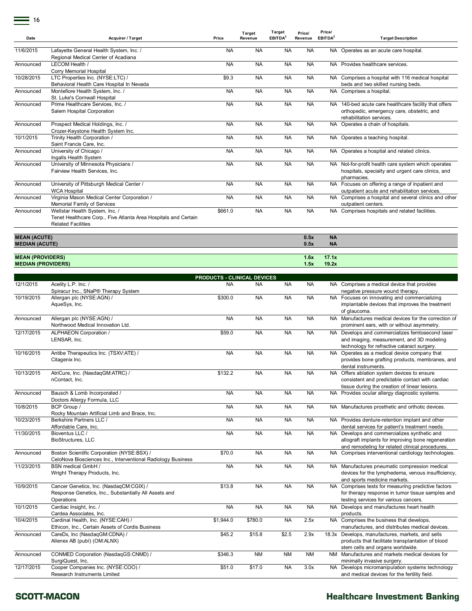$=$  16

| Date                                         | <b>Acquirer / Target</b>                                                                                                       | Price     | Target<br>Revenue                               | Target<br>EBITDA <sup>2</sup> | Price/<br>Revenue | Price/<br>EBITDA <sup>2</sup> | <b>Target Description</b>                                                                                                                             |
|----------------------------------------------|--------------------------------------------------------------------------------------------------------------------------------|-----------|-------------------------------------------------|-------------------------------|-------------------|-------------------------------|-------------------------------------------------------------------------------------------------------------------------------------------------------|
| 11/6/2015                                    | Lafayette General Health System, Inc. /<br>Regional Medical Center of Acadiana                                                 | <b>NA</b> | <b>NA</b>                                       | <b>NA</b>                     | <b>NA</b>         |                               | NA Operates as an acute care hospital.                                                                                                                |
| Announced                                    | LECOM Health /<br>Corry Memorial Hospital                                                                                      | <b>NA</b> | <b>NA</b>                                       | <b>NA</b>                     | <b>NA</b>         | NA.                           | Provides healthcare services.                                                                                                                         |
| 10/28/2015                                   | LTC Properties Inc. (NYSE:LTC) /<br>Behavioral Health Care Hospital In Nevada                                                  | \$9.3     | <b>NA</b>                                       | <b>NA</b>                     | <b>NA</b>         |                               | NA Comprises a hospital with 116 medical hospital<br>beds and two skilled nursing beds.                                                               |
| Announced                                    | Montefiore Health System, Inc. /<br>St. Luke's Cornwall Hospital                                                               | <b>NA</b> | <b>NA</b>                                       | <b>NA</b>                     | <b>NA</b>         |                               | NA Comprises a hospital.                                                                                                                              |
| Announced                                    | Prime Healthcare Services, Inc. /<br>Salem Hospital Corporation                                                                | <b>NA</b> | <b>NA</b>                                       | <b>NA</b>                     | <b>NA</b>         |                               | NA 140-bed acute care healthcare facility that offers<br>orthopedic, emergency care, obstetric, and<br>rehabilitation services.                       |
| Announced                                    | Prospect Medical Holdings, Inc. /<br>Crozer-Keystone Health System Inc.                                                        | <b>NA</b> | <b>NA</b>                                       | <b>NA</b>                     | <b>NA</b>         |                               | NA Operates a chain of hospitals.                                                                                                                     |
| 10/1/2015                                    | Trinity Health Corporation /<br>Saint Francis Care, Inc.                                                                       | <b>NA</b> | <b>NA</b>                                       | <b>NA</b>                     | <b>NA</b>         |                               | NA Operates a teaching hospital.                                                                                                                      |
| Announced                                    | University of Chicago /<br>Ingalls Health System                                                                               | <b>NA</b> | <b>NA</b>                                       | <b>NA</b>                     | <b>NA</b>         |                               | NA Operates a hospital and related clinics.                                                                                                           |
| Announced                                    | University of Minnesota Physicians /<br>Fairview Health Services, Inc.                                                         | <b>NA</b> | <b>NA</b>                                       | <b>NA</b>                     | <b>NA</b>         |                               | NA Not-for-profit health care system which operates<br>hospitals, specialty and urgent care clinics, and<br>pharmacies.                               |
| Announced                                    | University of Pittsburgh Medical Center /<br><b>WCA Hospital</b>                                                               | <b>NA</b> | <b>NA</b>                                       | <b>NA</b>                     | <b>NA</b>         |                               | NA Focuses on offering a range of inpatient and<br>outpatient acute and rehabilitation services.                                                      |
| Announced                                    | Virginia Mason Medical Center Corporation /<br>Memorial Family of Services                                                     | NA        | <b>NA</b>                                       | <b>NA</b>                     | <b>NA</b>         |                               | NA Comprises a hospital and several clinics and other<br>outpatient centers.                                                                          |
| Announced                                    | Wellstar Health System, Inc. /<br>Tenet Healthcare Corp., Five Atlanta Area Hospitals and Certain<br><b>Related Facilities</b> | \$661.0   | <b>NA</b>                                       | <b>NA</b>                     | <b>NA</b>         |                               | NA Comprises hospitals and related facilities.                                                                                                        |
| <b>MEAN (ACUTE)</b><br><b>MEDIAN (ACUTE)</b> |                                                                                                                                |           |                                                 |                               | 0.5x<br>0.5x      | <b>NA</b><br><b>NA</b>        |                                                                                                                                                       |
| <b>MEAN (PROVIDERS)</b>                      |                                                                                                                                |           |                                                 |                               | 1.6x<br>1.5x      | 17.1x<br>19.2x                |                                                                                                                                                       |
| <b>MEDIAN (PROVIDERS)</b>                    |                                                                                                                                |           |                                                 |                               |                   |                               |                                                                                                                                                       |
| 12/1/2015                                    | Acelity L.P. Inc. /                                                                                                            | NA        | <b>PRODUCTS - CLINICAL DEVICES</b><br><b>NA</b> | <b>NA</b>                     | <b>NA</b>         |                               | NA Comprises a medical device that provides                                                                                                           |
| 10/19/2015                                   | Spiracur Inc., SNaP® Therapy System<br>Allergan plc (NYSE:AGN) /<br>AqueSys, Inc.                                              | \$300.0   | <b>NA</b>                                       | <b>NA</b>                     | <b>NA</b>         |                               | negative pressure wound therapy.<br>NA Focuses on innovating and commercializing<br>implantable devices that improves the treatment<br>of glaucoma.   |
| Announced                                    | Allergan plc (NYSE:AGN) /<br>Northwood Medical Innovation Ltd.                                                                 | <b>NA</b> | <b>NA</b>                                       | <b>NA</b>                     | <b>NA</b>         |                               | NA Manufactures medical devices for the correction of<br>prominent ears, with or without asymmetry.                                                   |
| 12/17/2015                                   | ALPHAEON Corporation /<br>LENSAR, Inc.                                                                                         | \$59.0    | <b>NA</b>                                       | <b>NA</b>                     | <b>NA</b>         |                               | NA Develops and commercializes femtosecond laser<br>and imaging, measurement, and 3D modeling<br>technology for refractive cataract surgery.          |
| 10/16/2015                                   | Antibe Therapeutics Inc. (TSXV:ATE) /<br>Citagenix Inc.                                                                        | <b>NA</b> | <b>NA</b>                                       | <b>NA</b>                     | <b>NA</b>         |                               | NA Operates as a medical device company that<br>provides bone grafting products, membranes, and<br>dental instruments.                                |
| 10/13/2015                                   | AtriCure, Inc. (NasdaqGM:ATRC) /<br>nContact, Inc.                                                                             | \$132.2   | <b>NA</b>                                       | <b>NA</b>                     | NA                |                               | NA Offers ablation system devices to ensure<br>consistent and predictable contact with cardiac<br>tissue during the creation of linear lesions.       |
| Announced                                    | Bausch & Lomb Incorporated /<br>Doctors Allergy Formula, LLC                                                                   | NA        | <b>NA</b>                                       | <b>NA</b>                     | <b>NA</b>         |                               | NA Provides ocular allergy diagnostic systems.                                                                                                        |
| 10/8/2015                                    | BCP Group /<br>Rocky Mountain Artificial Limb and Brace, Inc.                                                                  | <b>NA</b> | <b>NA</b>                                       | <b>NA</b>                     | <b>NA</b>         |                               | NA Manufactures prosthetic and orthotic devices.                                                                                                      |
| 10/23/2015                                   | Berkshire Partners LLC /<br>Affordable Care, Inc.                                                                              | <b>NA</b> | <b>NA</b>                                       | <b>NA</b>                     | <b>NA</b>         |                               | NA Provides denture-retention implant and other<br>dental services for patient's treatment needs.                                                     |
| 11/30/2015                                   | Bioventus LLC /<br>BioStructures, LLC                                                                                          | <b>NA</b> | <b>NA</b>                                       | <b>NA</b>                     | <b>NA</b>         |                               | NA Develops and commercializes synthetic and<br>allograft implants for improving bone regeneration<br>and remodeling for related clinical procedures. |
| Announced                                    | Boston Scientific Corporation (NYSE:BSX) /<br>CeloNova Biosciences Inc., Interventional Radiology Business                     | \$70.0    | <b>NA</b>                                       | <b>NA</b>                     | <b>NA</b>         |                               | NA Comprises interventional cardiology technologies.                                                                                                  |
| 11/23/2015                                   | BSN medical GmbH /<br>Wright Therapy Products, Inc.                                                                            | <b>NA</b> | <b>NA</b>                                       | <b>NA</b>                     | <b>NA</b>         |                               | NA Manufactures pneumatic compression medical<br>devices for the lymphedema, venous insufficiency,<br>and sports medicine markets.                    |
| 10/9/2015                                    | Cancer Genetics, Inc. (NasdaqCM:CGIX) /<br>Response Genetics, Inc., Substantially All Assets and<br>Operations                 | \$13.8    | <b>NA</b>                                       | <b>NA</b>                     | <b>NA</b>         |                               | NA Comprises tests for measuring predictive factors<br>for therapy response in tumor tissue samples and<br>testing services for various cancers.      |
| 10/1/2015                                    | Cardiac Insight, Inc. /<br>Cardea Associates, Inc.                                                                             | <b>NA</b> | <b>NA</b>                                       | <b>NA</b>                     | <b>NA</b>         |                               | NA Develops and manufactures heart health<br>products.                                                                                                |
| 10/4/2015                                    | Cardinal Health, Inc. (NYSE:CAH) /<br>Ethicon, Inc., Certain Assets of Cordis Business                                         | \$1,944.0 | \$780.0                                         | NA                            | 2.5x              |                               | NA Comprises the business that develops,<br>manufactures, and distributes medical devices.                                                            |
| Announced                                    | CareDx, Inc (NasdaqGM:CDNA) /<br>Allenex AB (publ) (OM:ALNX)                                                                   | \$45.2    | \$15.8                                          | \$2.5                         | 2.9x              |                               | 18.3x Develops, manufactures, markets, and sells<br>products that facilitate transplantation of blood<br>stem cells and organs worldwide.             |
| Announced                                    | CONMED Corporation (NasdaqGS:CNMD) /<br>SurgiQuest, Inc.                                                                       | \$346.3   | <b>NM</b>                                       | <b>NM</b>                     | NM                | NM                            | Manufactures and markets medical devices for<br>minimally invasive surgery.                                                                           |
| 12/17/2015                                   | Cooper Companies Inc. (NYSE:COO) /<br>Research Instruments Limited                                                             | \$51.0    | \$17.0                                          | <b>NA</b>                     | 3.0x              | NA                            | Develops micromanipulation systems technology<br>and medical devices for the fertility field.                                                         |

#### **SCOTT-MACON**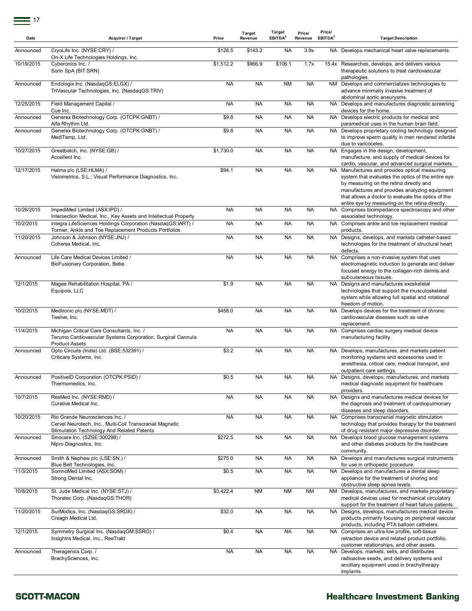| Date       | Acquirer / Target                                                                                                                         | Price     | Target<br>Revenue | Target<br>EBITDA <sup>2</sup> | Price/<br>Revenue | Price/<br>EBITDA <sup>2</sup> | <b>Target Description</b>                                                                                                                                                                                                                                                                                 |
|------------|-------------------------------------------------------------------------------------------------------------------------------------------|-----------|-------------------|-------------------------------|-------------------|-------------------------------|-----------------------------------------------------------------------------------------------------------------------------------------------------------------------------------------------------------------------------------------------------------------------------------------------------------|
| Announced  | CryoLife Inc. (NYSE:CRY) /<br>On-X Life Technologies Holdings, Inc.                                                                       | \$128.5   | \$143.2           | <b>NA</b>                     | 3.9x              |                               | NA Develops mechanical heart valve replacements.                                                                                                                                                                                                                                                          |
| 10/19/2015 | Cyberonics Inc. /<br>Sorin SpA (BIT:SRN)                                                                                                  | \$1,512.2 | \$966.9           | \$106.1                       | 1.7x              |                               | 15.4x Researches, develops, and delivers various<br>therapeutic solutions to treat cardiovascular<br>pathologies.                                                                                                                                                                                         |
| Announced  | Endologix Inc. (NasdaqGS:ELGX) /<br>TriVascular Technologies, Inc. (NasdaqGS:TRIV)                                                        | <b>NA</b> | <b>NA</b>         | <b>NM</b>                     | <b>NA</b>         |                               | NM Develops and commercializes technologies to<br>advance minimally invasive treatment of<br>abdominal aortic aneurysms.                                                                                                                                                                                  |
| 12/25/2015 | Field Management Capital /<br>Cue Inc.                                                                                                    | <b>NA</b> | <b>NA</b>         | <b>NA</b>                     | <b>NA</b>         |                               | NA Develops and manufactures diagnostic screening<br>devices for the home.                                                                                                                                                                                                                                |
| Announced  | Generex Biotechnology Corp. (OTCPK:GNBT) /<br>Alfa Rhythm Ltd.                                                                            | \$9.8     | <b>NA</b>         | <b>NA</b>                     | <b>NA</b>         |                               | NA Develops electric products for medical and<br>paramedical uses in the human brain field.                                                                                                                                                                                                               |
| Announced  | Generex Biotechnology Corp. (OTCPK:GNBT) /<br>MediTemp, Ltd.                                                                              | \$9.8     | <b>NA</b>         | <b>NA</b>                     | <b>NA</b>         |                               | NA Develops proprietary cooling technology designed<br>to improve sperm quality in men rendered infertile<br>due to varicoceles.                                                                                                                                                                          |
| 10/27/2015 | Greatbatch, Inc. (NYSE:GB) /<br>Accellent Inc.                                                                                            | \$1,730.0 | <b>NA</b>         | <b>NA</b>                     | <b>NA</b>         |                               | NA Engages in the design, development,<br>manufacture, and supply of medical devices for<br>cardio, vascular, and advanced surgical markets.                                                                                                                                                              |
| 12/17/2015 | Halma plc (LSE:HLMA) /<br>Visiometrics, S.L.; Visual Performance Diagnostics, Inc.                                                        | \$94.1    | <b>NA</b>         | <b>NA</b>                     | <b>NA</b>         |                               | NA Manufactures and provides optical measuring<br>system that evaluates the optics of the entire eye<br>by measuring on the retina directly and<br>manufactures and provides analyzing equipment<br>that allows a doctor to evaluate the optics of the<br>entire eye by measuring on the retina directly. |
| 10/26/2015 | ImpediMed Limited (ASX:IPD) /<br>Intersection Medical, Inc., Key Assets and Intellectual Property                                         | <b>NA</b> | <b>NA</b>         | <b>NA</b>                     | <b>NA</b>         |                               | NA Comprises bioimpedance spectroscopy and other<br>associated technology.                                                                                                                                                                                                                                |
| 10/2/2015  | Integra LifeSciences Holdings Corporation (NasdaqGS:IART) /<br>Tornier, Ankle and Toe Replacement Products Portfolios                     | <b>NA</b> | <b>NA</b>         | <b>NA</b>                     | <b>NA</b>         |                               | NA Comprises ankle and toe replacement medical<br>products.                                                                                                                                                                                                                                               |
| 11/20/2015 | Johnson & Johnson (NYSE:JNJ) /<br>Coherex Medical, Inc.                                                                                   | <b>NA</b> | <b>NA</b>         | <b>NA</b>                     | <b>NA</b>         |                               | NA Designs, develops, and markets catheter-based<br>technologies for the treatment of structural heart<br>defects.                                                                                                                                                                                        |
| Announced  | Life Care Medical Devices Limited /<br>BioFusionary Corporation, Bebe                                                                     | <b>NA</b> | <b>NA</b>         | <b>NA</b>                     | <b>NA</b>         |                               | NA Comprises a non-invasive system that uses<br>electromagnetic induction to generate and deliver<br>focused energy to the collagen-rich dermis and<br>subcutaneous tissues.                                                                                                                              |
| 12/1/2015  | Magee Rehabilitation Hospital, PA /<br>Equipois, LLC                                                                                      | \$1.9     | <b>NA</b>         | <b>NA</b>                     | <b>NA</b>         |                               | NA Designs and manufactures exoskeletal<br>technologies that support the musculoskeletal<br>system while allowing full spatial and rotational<br>freedom of motion.                                                                                                                                       |
| 10/2/2015  | Medtronic plc (NYSE:MDT) /<br>Twelve, Inc.                                                                                                | \$458.0   | <b>NA</b>         | <b>NA</b>                     | <b>NA</b>         |                               | NA Develops devices for the treatment of chronic<br>cardiovascular diseases such as valve<br>replacement.                                                                                                                                                                                                 |
| 11/4/2015  | Michigan Critical Care Consultants, Inc. /<br>Terumo Cardiovascular Systems Corporation, Surgical Cannula<br><b>Product Assets</b>        | <b>NA</b> | <b>NA</b>         | <b>NA</b>                     | <b>NA</b>         |                               | NA Comprises cardiac surgery medical device<br>manufacturing facility.                                                                                                                                                                                                                                    |
| Announced  | Opto Circuits (India) Ltd. (BSE:532391) /<br>Criticare Systems, Inc.                                                                      | \$3.2     | <b>NA</b>         | <b>NA</b>                     | <b>NA</b>         |                               | NA Develops, manufactures, and markets patient<br>monitoring systems and accessories used in<br>anesthesia, critical care, medical transport, and<br>outpatient care settings.                                                                                                                            |
| Announced  | PositiveID Corporation (OTCPK:PSID) /<br>Thermomedics, Inc.                                                                               | \$0.5     | NA                | NA                            | <b>NA</b>         |                               | NA Designs, develops, manufactures, and markets<br>medical diagnostic equipment for healthcare<br>providers.                                                                                                                                                                                              |
| 10/7/2015  | ResMed Inc. (NYSE:RMD) /<br>Curative Medical Inc.                                                                                         | <b>NA</b> | <b>NA</b>         | <b>NA</b>                     | <b>NA</b>         |                               | NA Designs and manufactures medical devices for<br>the diagnosis and treatment of cardiopulmonary<br>diseases and sleep disorders.                                                                                                                                                                        |
| 10/20/2015 | Rio Grande Neurosciences Inc. /<br>Cervel Neurotech, Inc., Multi-Coil Transcranial Magnetic<br>Stimulation Technology And Related Patents | <b>NA</b> | <b>NA</b>         | <b>NA</b>                     | <b>NA</b>         |                               | NA Comprises transcranial magnetic stimulation<br>technology that provides therapy for the treatment<br>of drug resistant major depressive disorder.                                                                                                                                                      |
| Announced  | Sinocare Inc. (SZSE:300298) /<br>Nipro Diagnostics, Inc.                                                                                  | \$272.5   | <b>NA</b>         | <b>NA</b>                     | <b>NA</b>         |                               | NA Develops blood glucose management systems<br>and other diabetes products for the healthcare<br>community.                                                                                                                                                                                              |
| Announced  | Smith & Nephew plc (LSE:SN.) /<br>Blue Belt Technologies, Inc.                                                                            | \$275.0   | <b>NA</b>         | <b>NA</b>                     | <b>NA</b>         |                               | NA Develops and manufactures surgical instruments<br>for use in orthopedic procedure.                                                                                                                                                                                                                     |
| 11/3/2015  | SomnoMed Limited (ASX:SOM) /<br>Strong Dental Inc.                                                                                        | \$0.5     | <b>NA</b>         | <b>NA</b>                     | <b>NA</b>         |                               | NA Develops and manufactures a dental sleep<br>appliance for the treatment of snoring and<br>obstructive sleep apnea levels.                                                                                                                                                                              |
| 10/8/2015  | St. Jude Medical Inc. (NYSE:STJ) /<br>Thoratec Corp. (NasdaqGS:THOR)                                                                      | \$3,422.4 | <b>NM</b>         | <b>NM</b>                     | <b>NM</b>         | ΝM                            | Develops, manufactures, and markets proprietary<br>medical devices used for mechanical circulatory<br>support for the treatment of heart failure patients.                                                                                                                                                |
| 11/20/2015 | SurModics, Inc. (NasdaqGS:SRDX) /<br>Creagh Medical Ltd.                                                                                  | \$32.0    | <b>NA</b>         | <b>NA</b>                     | <b>NA</b>         |                               | NA Designs, develops, manufactures medical device<br>products primarily focusing on peripheral vascular<br>products, including PTA balloon catheters.                                                                                                                                                     |
| 12/1/2015  | Symmetry Surgical Inc. (NasdaqGM:SSRG) /<br>Insightra Medical, Inc., ReeTrakt                                                             | \$0.4     | <b>NA</b>         | <b>NA</b>                     | <b>NA</b>         |                               | NA Comprises an ultra-low profile, soft-tissue<br>retraction device and related product portfolio,<br>customer relationships, and other assets.                                                                                                                                                           |
| Announced  | Theragenics Corp. /<br>BrachySciences, Inc.                                                                                               | <b>NA</b> | <b>NA</b>         | <b>NA</b>                     | <b>NA</b>         |                               | NA Develops, markets, sells, and distributes<br>radioactive seeds, and delivery systems and<br>ancillary equipment used in brachytherapy<br>implants.                                                                                                                                                     |

#### **SCOTT-MACON**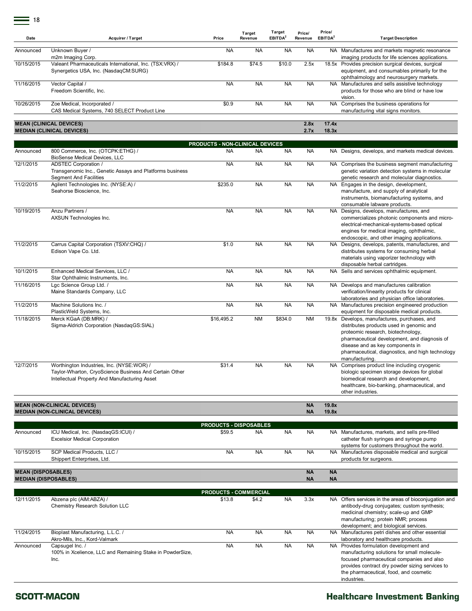÷

| ט ו                       |                                                                                                                                                      |                                 |                   |                               |                        |                               |                                                                                                                                                                                                                                                                                          |
|---------------------------|------------------------------------------------------------------------------------------------------------------------------------------------------|---------------------------------|-------------------|-------------------------------|------------------------|-------------------------------|------------------------------------------------------------------------------------------------------------------------------------------------------------------------------------------------------------------------------------------------------------------------------------------|
| Date                      | Acquirer / Target                                                                                                                                    | Price                           | Target<br>Revenue | Target<br>EBITDA <sup>2</sup> | Price/<br>Revenue      | Price/<br>EBITDA <sup>2</sup> | <b>Target Description</b>                                                                                                                                                                                                                                                                |
| Announced                 | Unknown Buyer /<br>m2m Imaging Corp.                                                                                                                 | <b>NA</b>                       | <b>NA</b>         | <b>NA</b>                     | <b>NA</b>              |                               | NA Manufactures and markets magnetic resonance<br>imaging products for life sciences applications.                                                                                                                                                                                       |
| 10/15/2015                | Valeant Pharmaceuticals International, Inc. (TSX:VRX) /<br>Synergetics USA, Inc. (NasdaqCM:SURG)                                                     | \$184.8                         | \$74.5            | \$10.0                        | 2.5x                   |                               | 18.5x Provides precision surgical devices, surgical<br>equipment, and consumables primarily for the<br>ophthalmology and neurosurgery markets.                                                                                                                                           |
| 11/16/2015                | Vector Capital /<br>Freedom Scientific, Inc.                                                                                                         | <b>NA</b>                       | <b>NA</b>         | <b>NA</b>                     | <b>NA</b>              |                               | NA Manufactures and sells assistive technology<br>products for those who are blind or have low<br>vision.                                                                                                                                                                                |
| 10/26/2015                | Zoe Medical, Incorporated /<br>CAS Medical Systems, 740 SELECT Product Line                                                                          | \$0.9                           | <b>NA</b>         | <b>NA</b>                     | <b>NA</b>              |                               | NA Comprises the business operations for<br>manufacturing vital signs monitors.                                                                                                                                                                                                          |
|                           | <b>MEAN (CLINICAL DEVICES)</b><br><b>MEDIAN (CLINICAL DEVICES)</b>                                                                                   |                                 |                   |                               | 2.8x<br>2.7x           | 17.4x<br>18.3x                |                                                                                                                                                                                                                                                                                          |
|                           |                                                                                                                                                      | PRODUCTS - NON-CLINICAL DEVICES |                   |                               |                        |                               |                                                                                                                                                                                                                                                                                          |
| Announced                 | 800 Commerce, Inc. (OTCPK:ETHG) /<br>BioSense Medical Devices, LLC                                                                                   | <b>NA</b>                       | <b>NA</b>         | <b>NA</b>                     | <b>NA</b>              |                               | NA Designs, develops, and markets medical devices.                                                                                                                                                                                                                                       |
| 12/1/2015                 | ADSTEC Corporation /<br>Transgenomic Inc., Genetic Assays and Platforms business<br><b>Segment And Facilities</b>                                    | <b>NA</b>                       | <b>NA</b>         | <b>NA</b>                     | <b>NA</b>              |                               | NA Comprises the business segment manufacturing<br>genetic variation detection systems in molecular<br>genetic research and molecular diagnostics.                                                                                                                                       |
| 11/2/2015                 | Agilent Technologies Inc. (NYSE:A) /<br>Seahorse Bioscience, Inc.                                                                                    | \$235.0                         | <b>NA</b>         | <b>NA</b>                     | <b>NA</b>              |                               | NA Engages in the design, development,<br>manufacture, and supply of analytical<br>instruments, biomanufacturing systems, and<br>consumable labware products.                                                                                                                            |
| 10/19/2015                | Anzu Partners /<br>AXSUN Technologies Inc.                                                                                                           | <b>NA</b>                       | <b>NA</b>         | <b>NA</b>                     | <b>NA</b>              |                               | NA Designs, develops, manufactures, and<br>commercializes photonic components and micro-<br>electrical-mechanical-systems-based optical<br>engines for medical imaging, ophthalmic,<br>endoscopic, and other imaging applications.                                                       |
| 11/2/2015                 | Carrus Capital Corporation (TSXV:CHQ) /<br>Edison Vape Co. Ltd.                                                                                      | \$1.0                           | <b>NA</b>         | <b>NA</b>                     | <b>NA</b>              |                               | NA Designs, develops, patents, manufactures, and<br>distributes systems for consuming herbal<br>materials using vaporizer technology with<br>disposable herbal cartridges.                                                                                                               |
| 10/1/2015                 | Enhanced Medical Services, LLC /<br>Star Ophthalmic Instruments, Inc.                                                                                | <b>NA</b>                       | <b>NA</b>         | <b>NA</b>                     | <b>NA</b>              |                               | NA Sells and services ophthalmic equipment.                                                                                                                                                                                                                                              |
| 11/16/2015                | Lgc Science Group Ltd. /<br>Maine Standards Company, LLC                                                                                             | <b>NA</b>                       | <b>NA</b>         | <b>NA</b>                     | <b>NA</b>              |                               | NA Develops and manufactures calibration<br>verification/linearity products for clinical<br>laboratories and physician office laboratories.                                                                                                                                              |
| 11/2/2015                 | Machine Solutions Inc. /<br>PlasticWeld Systems, Inc.                                                                                                | <b>NA</b>                       | <b>NA</b>         | <b>NA</b>                     | <b>NA</b>              |                               | NA Manufactures precision engineered production<br>equipment for disposable medical products.                                                                                                                                                                                            |
| 11/18/2015                | Merck KGaA (DB:MRK) /<br>Sigma-Aldrich Corporation (NasdaqGS:SIAL)                                                                                   | \$16,495.2                      | <b>NM</b>         | \$834.0                       | <b>NM</b>              |                               | 19.8x Develops, manufactures, purchases, and<br>distributes products used in genomic and<br>proteomic research, biotechnology,<br>pharmaceutical development, and diagnosis of<br>disease and as key components in<br>pharmaceutical, diagnostics, and high technology<br>manufacturing. |
| 12/7/2015                 | Worthington Industries, Inc. (NYSE:WOR) /<br>Taylor-Wharton, CryoScience Business And Certain Other<br>Intellectual Property And Manufacturing Asset | \$31.4                          | <b>NA</b>         | <b>NA</b>                     | <b>NA</b>              |                               | NA Comprises product line including cryogenic<br>biologic specimen storage devices for global<br>biomedical research and development,<br>healthcare, bio-banking, pharmaceutical, and<br>other industries.                                                                               |
|                           | <b>MEAN (NON-CLINICAL DEVICES)</b><br><b>MEDIAN (NON-CLINICAL DEVICES)</b>                                                                           |                                 |                   |                               | <b>NA</b><br><b>NA</b> | 19.8x<br>19.8x                |                                                                                                                                                                                                                                                                                          |
|                           |                                                                                                                                                      | <b>PRODUCTS - DISPOSABLES</b>   |                   |                               |                        |                               |                                                                                                                                                                                                                                                                                          |
| Announced                 | ICU Medical, Inc. (NasdaqGS:ICUI) /<br><b>Excelsior Medical Corporation</b>                                                                          | \$59.5                          | NA                | <b>NA</b>                     | <b>NA</b>              |                               | NA Manufactures, markets, and sells pre-filled<br>catheter flush syringes and syringe pump<br>systems for customers throughout the world.                                                                                                                                                |
| 10/15/2015                | SCP Medical Products, LLC /<br>Shippert Enterprises, Ltd.                                                                                            | <b>NA</b>                       | <b>NA</b>         | <b>NA</b>                     | <b>NA</b>              |                               | NA Manufactures disposable medical and surgical<br>products for surgeons.                                                                                                                                                                                                                |
| <b>MEAN (DISPOSABLES)</b> | <b>MEDIAN (DISPOSABLES)</b>                                                                                                                          |                                 |                   |                               | <b>NA</b><br><b>NA</b> | <b>NA</b><br><b>NA</b>        |                                                                                                                                                                                                                                                                                          |
|                           |                                                                                                                                                      | <b>PRODUCTS - COMMERCIAL</b>    |                   |                               |                        |                               |                                                                                                                                                                                                                                                                                          |
| 12/11/2015                | Abzena plc (AIM:ABZA) /<br>Chemistry Research Solution LLC                                                                                           | \$13.8                          | \$4.2             | <b>NA</b>                     | 3.3x                   |                               | NA Offers services in the areas of bioconjugation and<br>antibody-drug conjugates; custom synthesis;<br>medicinal chemistry; scale-up and GMP<br>manufacturing; protein NMR; process                                                                                                     |
| 11/24/2015                | Bioplast Manufacturing, L.L.C. /<br>Akro-Mils, Inc., Kord-Valmark                                                                                    | <b>NA</b>                       | <b>NA</b>         | <b>NA</b>                     | <b>NA</b>              |                               | development; and biological services.<br>NA Manufactures petri dishes and other essential<br>laboratory and healthcare products.                                                                                                                                                         |
| Announced                 | Capsugel Inc. /<br>100% in Xcelience, LLC and Remaining Stake in PowderSize,<br>Inc.                                                                 | <b>NA</b>                       | <b>NA</b>         | <b>NA</b>                     | <b>NA</b>              |                               | NA Provides formulation development and<br>manufacturing solutions for small molecule-<br>focused pharmaceutical companies and also<br>provides contract dry powder sizing services to                                                                                                   |

**SCOTT-MACON** 

# **Healthcare Investment Banking**

the pharmaceutical, food, and cosmetic

industries.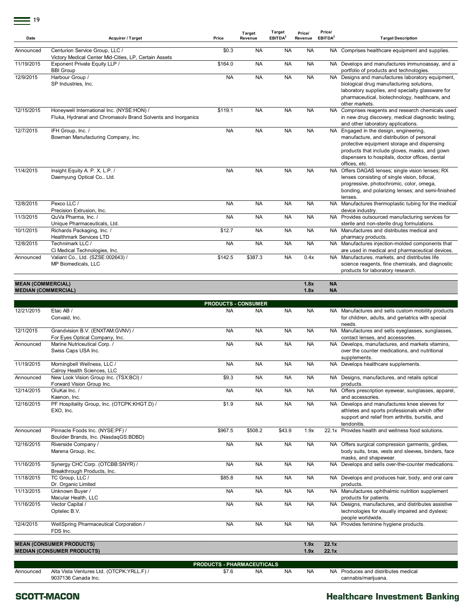| Date                     | <b>Acquirer / Target</b>                                                                                  | Price                               | Target<br>Revenue | <b>Target</b><br>EBITDA <sup>2</sup> | Price/<br>Revenue | Price/<br>EBITDA <sup>2</sup> | <b>Target Description</b>                                                                                                                                                                                                                               |
|--------------------------|-----------------------------------------------------------------------------------------------------------|-------------------------------------|-------------------|--------------------------------------|-------------------|-------------------------------|---------------------------------------------------------------------------------------------------------------------------------------------------------------------------------------------------------------------------------------------------------|
| Announced                | Centurion Service Group, LLC /<br>Victory Medical Center Mid-Cities, LP, Certain Assets                   | \$0.3                               | <b>NA</b>         | <b>NA</b>                            | <b>NA</b>         |                               | NA Comprises healthcare equipment and supplies.                                                                                                                                                                                                         |
| 11/19/2015               | Exponent Private Equity LLP /<br><b>BBI Group</b>                                                         | \$164.0                             | <b>NA</b>         | <b>NA</b>                            | <b>NA</b>         |                               | NA Develops and manufactures immunoassay, and a<br>portfolio of products and technologies.                                                                                                                                                              |
| 12/9/2015                | Harbour Group /<br>SP Industries, Inc.                                                                    | <b>NA</b>                           | <b>NA</b>         | <b>NA</b>                            | <b>NA</b>         |                               | NA Designs and manufactures laboratory equipment,<br>biological drug manufacturing solutions,<br>laboratory supplies, and specialty glassware for<br>pharmaceutical, biotechnology, healthcare, and<br>other markets.                                   |
| 12/15/2015               | Honeywell International Inc. (NYSE:HON) /<br>Fluka, Hydranal and Chromasolv Brand Solvents and Inorganics | \$119.1                             | <b>NA</b>         | <b>NA</b>                            | <b>NA</b>         |                               | NA Comprises reagents and research chemicals used<br>in new drug discovery, medical diagnostic testing,<br>and other laboratory applications.                                                                                                           |
| 12/7/2015                | IFH Group, Inc. /<br>Bowman Manufacturing Company, Inc.                                                   | <b>NA</b>                           | <b>NA</b>         | <b>NA</b>                            | <b>NA</b>         |                               | NA Engaged in the design, engineering,<br>manufacture, and distribution of personal<br>protective equipment storage and dispensing<br>products that include gloves, masks, and gown<br>dispensers to hospitals, doctor offices, dental<br>offices, etc. |
| 11/4/2015                | Insight Equity A. P. X, L.P. /<br>Daemyung Optical Co., Ltd.                                              | <b>NA</b>                           | <b>NA</b>         | <b>NA</b>                            | <b>NA</b>         |                               | NA Offers DAGAS lenses; single vision lenses; RX<br>lenses consisting of single vision, bifocal,<br>progressive, photochromic, color, omega,<br>bonding, and polarizing lenses; and semi-finished<br>lenses.                                            |
| 12/8/2015                | Pexco LLC /<br>Precision Extrusion, Inc.                                                                  | <b>NA</b>                           | <b>NA</b>         | <b>NA</b>                            | <b>NA</b>         |                               | NA Manufactures thermoplastic tubing for the medical<br>device industry.                                                                                                                                                                                |
| 11/3/2015                | QuVa Pharma, Inc. /<br>Unique Pharmaceuticals, Ltd.                                                       | <b>NA</b>                           | <b>NA</b>         | <b>NA</b>                            | <b>NA</b>         |                               | NA Provides outsourced manufacturing services for<br>sterile and non-sterile drug formulations.                                                                                                                                                         |
| 10/1/2015                | Richards Packaging, Inc. /<br><b>Healthmark Services LTD</b>                                              | \$12.7                              | <b>NA</b>         | <b>NA</b>                            | <b>NA</b>         |                               | NA Manufactures and distributes medical and<br>pharmacy products.                                                                                                                                                                                       |
| 12/8/2015                | Technimark LLC /                                                                                          | <b>NA</b>                           | <b>NA</b>         | <b>NA</b>                            | <b>NA</b>         |                               | NA Manufactures injection-molded components that                                                                                                                                                                                                        |
| Announced                | Ci Medical Technologies, Inc.<br>Valiant Co., Ltd. (SZSE:002643) /<br>MP Biomedicals, LLC                 | \$142.5                             | \$387.3           | <b>NA</b>                            | 0.4x              |                               | are used in medical and pharmaceutical devices.<br>NA Manufactures, markets, and distributes life<br>science reagents, fine chemicals, and diagnostic<br>products for laboratory research.                                                              |
| <b>MEAN (COMMERCIAL)</b> | <b>MEDIAN (COMMERCIAL)</b>                                                                                |                                     |                   |                                      | 1.8x<br>1.8x      | <b>NA</b><br><b>NA</b>        |                                                                                                                                                                                                                                                         |
|                          |                                                                                                           | <b>PRODUCTS - CONSUMER</b>          |                   |                                      |                   |                               |                                                                                                                                                                                                                                                         |
| 12/21/2015               | Etac AB /<br>Convaid, Inc.                                                                                | <b>NA</b>                           | <b>NA</b>         | NA                                   | <b>NA</b>         |                               | NA Manufactures and sells custom mobility products<br>for children, adults, and geriatrics with special<br>needs.                                                                                                                                       |
| 12/1/2015                | Grandvision B.V. (ENXTAM:GVNV) /<br>For Eyes Optical Company, Inc.                                        | <b>NA</b>                           | <b>NA</b>         | <b>NA</b>                            | <b>NA</b>         |                               | NA Manufactures and sells eyeglasses, sunglasses,<br>contact lenses, and accessories.                                                                                                                                                                   |
| Announced                | Marine Nutriceutical Corp. /<br>Swiss Caps USA Inc.                                                       | <b>NA</b>                           | <b>NA</b>         | <b>NA</b>                            | <b>NA</b>         | NA.                           | Develops, manufactures, and markets vitamins,<br>over the counter medications, and nutritional<br>supplements.                                                                                                                                          |
| 11/19/2015               | Morningbell Wellness, LLC /<br>Calroy Health Sciences, LLC                                                | <b>NA</b>                           | <b>NA</b>         | <b>NA</b>                            | <b>NA</b>         |                               | NA Develops healthcare supplements.                                                                                                                                                                                                                     |
| Announced                | New Look Vision Group Inc. (TSX:BCI) /<br>Forward Vision Group Inc.                                       | \$9.3                               | NA                | NA                                   | NA                |                               | NA Designs, manufactures, and retails optical<br>products.                                                                                                                                                                                              |
| 12/14/2015               | OluKai Inc. /                                                                                             | <b>NA</b>                           | <b>NA</b>         | <b>NA</b>                            | <b>NA</b>         |                               | NA Offers prescription eyewear, sunglasses, apparel,                                                                                                                                                                                                    |
| 12/16/2015               | Kaenon, Inc.<br>PF Hospitality Group, Inc. (OTCPK:KHGT.D) /<br>EXO, Inc.                                  | \$1.9                               | <b>NA</b>         | NA                                   | <b>NA</b>         | NA.                           | and accessories.<br>Develops and manufactures knee sleeves for<br>athletes and sports professionals which offer<br>support and relief from arthritis, bursitis, and<br>tendonitis.                                                                      |
| Announced                | Pinnacle Foods Inc. (NYSE:PF) /<br>Boulder Brands, Inc. (NasdaqGS:BDBD)                                   | \$967.5                             | \$508.2           | \$43.9                               | 1.9x              |                               | 22.1x Provides health and wellness food solutions.                                                                                                                                                                                                      |
| 12/16/2015               | Riverside Company /<br>Marena Group, Inc.                                                                 | <b>NA</b>                           | <b>NA</b>         | <b>NA</b>                            | <b>NA</b>         |                               | NA Offers surgical compression garments, girdles,<br>body suits, bras, vests and sleeves, binders, face<br>masks, and shapewear.                                                                                                                        |
| 11/16/2015               | Synergy CHC Corp. (OTCBB:SNYR) /<br>Breakthrough Products, Inc.                                           | <b>NA</b>                           | <b>NA</b>         | NA                                   | <b>NA</b>         |                               | NA Develops and sells over-the-counter medications.                                                                                                                                                                                                     |
| 11/18/2015               | TC Group, LLC /<br>Dr. Organic Limited                                                                    | \$85.8                              | <b>NA</b>         | NA                                   | <b>NA</b>         |                               | NA Develops and produces hair, body, and oral care<br>products.                                                                                                                                                                                         |
| 11/13/2015               | Unknown Buyer /<br>Macular Health, LLC                                                                    | <b>NA</b>                           | <b>NA</b>         | NA                                   | <b>NA</b>         |                               | NA Manufactures ophthalmic nutrition supplement<br>products for patients.                                                                                                                                                                               |
| 11/16/2015               | Vector Capital /<br>Optelec B.V.                                                                          | <b>NA</b>                           | <b>NA</b>         | <b>NA</b>                            | <b>NA</b>         |                               | NA Designs, manufactures, and distributes assistive<br>technologies for visually impaired and dyslexic<br>people worldwide.                                                                                                                             |
| 12/4/2015                | WellSpring Pharmaceutical Corporation /<br>FDS Inc.                                                       | <b>NA</b>                           | <b>NA</b>         | NA                                   | <b>NA</b>         |                               | NA Provides feminine hygiene products.                                                                                                                                                                                                                  |
|                          | <b>MEAN (CONSUMER PRODUCTS)</b><br><b>MEDIAN (CONSUMER PRODUCTS)</b>                                      |                                     |                   |                                      | 1.9x<br>1.9x      | 22.1x<br>22.1x                |                                                                                                                                                                                                                                                         |
|                          |                                                                                                           |                                     |                   |                                      |                   |                               |                                                                                                                                                                                                                                                         |
| Announced                | Alta Vista Ventures Ltd. (OTCPK:YRLL.F) /                                                                 | PRODUCTS - PHARMACEUTICALS<br>\$7.6 | <b>NA</b>         | <b>NA</b>                            | <b>NA</b>         |                               | NA Produces and distributes medical                                                                                                                                                                                                                     |
|                          | 9037136 Canada Inc.                                                                                       |                                     |                   |                                      |                   |                               | cannabis/marijuana.                                                                                                                                                                                                                                     |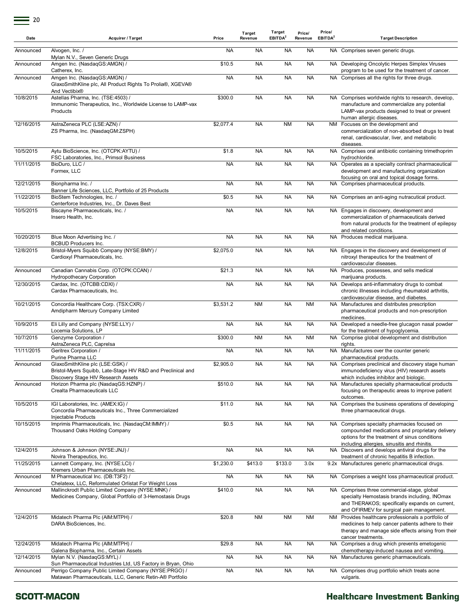| Date       | <b>Acquirer / Target</b>                                                                                                               | Price     | Target<br>Revenue | Target<br>EBITDA <sup>2</sup> | Price/<br>Revenue | Price/<br>EBITDA <sup>2</sup> | <b>Target Description</b>                                                                                                                                                                        |
|------------|----------------------------------------------------------------------------------------------------------------------------------------|-----------|-------------------|-------------------------------|-------------------|-------------------------------|--------------------------------------------------------------------------------------------------------------------------------------------------------------------------------------------------|
| Announced  | Alvogen, Inc. /<br>Mylan N.V., Seven Generic Drugs                                                                                     | <b>NA</b> | NA                | <b>NA</b>                     | <b>NA</b>         |                               | NA Comprises seven generic drugs.                                                                                                                                                                |
| Announced  | Amgen Inc. (NasdaqGS:AMGN) /<br>Catherex, Inc.                                                                                         | \$10.5    | NA                | <b>NA</b>                     | <b>NA</b>         |                               | NA Developing Oncolytic Herpes Simplex Viruses<br>program to be used for the treatment of cancer.                                                                                                |
| Announced  | Amgen Inc. (NasdaqGS:AMGN) /<br>GlaxoSmithKline plc, All Product Rights To Prolia®, XGEVA®<br>And Vectibix®                            | <b>NA</b> | <b>NA</b>         | <b>NA</b>                     | <b>NA</b>         |                               | NA Comprises all the rights for three drugs.                                                                                                                                                     |
| 10/8/2015  | Astellas Pharma, Inc. (TSE:4503) /<br>Immunomic Therapeutics, Inc., Worldwide License to LAMP-vax<br>Products                          | \$300.0   | <b>NA</b>         | <b>NA</b>                     | <b>NA</b>         |                               | NA Comprises worldwide rights to research, develop,<br>manufacture and commercialize any potential<br>LAMP-vax products designed to treat or prevent<br>human allergic diseases.                 |
| 12/16/2015 | AstraZeneca PLC (LSE:AZN) /<br>ZS Pharma, Inc. (NasdaqGM:ZSPH)                                                                         | \$2,077.4 | <b>NA</b>         | <b>NM</b>                     | <b>NA</b>         |                               | NM Focuses on the development and<br>commercialization of non-absorbed drugs to treat<br>renal, cardiovascular, liver, and metabolic<br>diseases.                                                |
| 10/5/2015  | Aytu BioScience, Inc. (OTCPK:AYTU) /<br>FSC Laboratories, Inc., Primsol Business                                                       | \$1.8     | <b>NA</b>         | <b>NA</b>                     | <b>NA</b>         |                               | NA Comprises oral antibiotic containing trimethoprim<br>hydrochloride.                                                                                                                           |
| 11/11/2015 | BioDuro, LLC /<br>Formex, LLC                                                                                                          | <b>NA</b> | <b>NA</b>         | <b>NA</b>                     | <b>NA</b>         |                               | NA Operates as a specialty contract pharmaceutical<br>development and manufacturing organization<br>focusing on oral and topical dosage forms.                                                   |
| 12/21/2015 | Bionpharma Inc. /<br>Banner Life Sciences, LLC, Portfolio of 25 Products                                                               | <b>NA</b> | <b>NA</b>         | <b>NA</b>                     | <b>NA</b>         |                               | NA Comprises pharmaceutical products.                                                                                                                                                            |
| 11/22/2015 | BioStem Technologies, Inc. /<br>Centerforce Industries, Inc., Dr. Daves Best                                                           | \$0.5     | <b>NA</b>         | <b>NA</b>                     | <b>NA</b>         |                               | NA Comprises an anti-aging nutracutical product.                                                                                                                                                 |
| 10/5/2015  | Biscayne Pharmaceuticals, Inc. /<br>Insero Health, Inc.                                                                                | <b>NA</b> | <b>NA</b>         | <b>NA</b>                     | <b>NA</b>         |                               | NA Engages in discovery, development and<br>commercialization of pharmaceuticals derived<br>from natural products for the treatment of epilepsy<br>and related conditions.                       |
| 10/20/2015 | Blue Moon Advertising Inc. /<br><b>BCBUD Producers Inc.</b>                                                                            | <b>NA</b> | <b>NA</b>         | <b>NA</b>                     | <b>NA</b>         |                               | NA Produces medical marijuana.                                                                                                                                                                   |
| 12/8/2015  | Bristol-Myers Squibb Company (NYSE:BMY) /<br>Cardioxyl Pharmaceuticals, Inc.                                                           | \$2,075.0 | NA                | <b>NA</b>                     | <b>NA</b>         |                               | NA Engages in the discovery and development of<br>nitroxyl therapeutics for the treatment of<br>cardiovascular diseases.                                                                         |
| Announced  | Canadian Cannabis Corp. (OTCPK:CCAN) /<br><b>Hydropothecary Corporation</b>                                                            | \$21.3    | <b>NA</b>         | <b>NA</b>                     | <b>NA</b>         |                               | NA Produces, possesses, and sells medical<br>marijuana products.                                                                                                                                 |
| 12/30/2015 | Cardax, Inc. (OTCBB:CDXI) /<br>Cardax Pharmaceuticals, Inc.                                                                            | <b>NA</b> | <b>NA</b>         | <b>NA</b>                     | <b>NA</b>         |                               | NA Develops anti-inflammatory drugs to combat<br>chronic illnesses including rheumatoid arthritis,<br>cardiovascular disease, and diabetes.                                                      |
| 10/21/2015 | Concordia Healthcare Corp. (TSX:CXR) /<br>Amdipharm Mercury Company Limited                                                            | \$3,531.2 | <b>NM</b>         | <b>NA</b>                     | <b>NM</b>         |                               | NA Manufactures and distributes prescription<br>pharmaceutical products and non-prescription<br>medicines.                                                                                       |
| 10/9/2015  | Eli Lilly and Company (NYSE:LLY) /<br>Locemia Solutions, LP                                                                            | <b>NA</b> | <b>NA</b>         | <b>NA</b>                     | <b>NA</b>         |                               | NA Developed a needle-free glucagon nasal powder<br>for the treatment of hypoglycemia.                                                                                                           |
| 10/7/2015  | Genzyme Corporation /<br>AstraZeneca PLC, Caprelsa                                                                                     | \$300.0   | <b>NM</b>         | <b>NA</b>                     | <b>NM</b>         |                               | NA Comprise global development and distribution<br>rights.                                                                                                                                       |
| 11/11/2015 | Geritrex Corporation /<br>Purine Pharma LLC                                                                                            | <b>NA</b> | NA                | <b>NA</b>                     | <b>NA</b>         |                               | NA Manufactures over the counter generic<br>pharmaceutical products.                                                                                                                             |
| Announced  | GlaxoSmithKline plc (LSE:GSK) /<br>Bristol-Myers Squibb, Late-Stage HIV R&D and Preclinical and<br>Discovery Stage HIV Research Assets | \$2,905.0 | <b>NA</b>         | <b>NA</b>                     | <b>NA</b>         |                               | NA Comprises preclinical and discovery stage human<br>immunodeficiency virus (HIV) research assets<br>which includes inhibitor and biologic.                                                     |
| Announced  | Horizon Pharma plc (NasdaqGS:HZNP) /<br>Crealta Pharmaceuticals LLC                                                                    | \$510.0   | <b>NA</b>         | <b>NA</b>                     | <b>NA</b>         |                               | NA Manufactures specialty pharmaceutical products<br>focusing on therapeutic areas to improve patient                                                                                            |
| 10/5/2015  | IGI Laboratories, Inc. (AMEX:IG) /<br>Concordia Pharmaceuticals Inc., Three Commercialized                                             | \$11.0    | <b>NA</b>         | <b>NA</b>                     | <b>NA</b>         |                               | outcomes.<br>NA Comprises the business operations of developing<br>three pharmaceutical drugs.                                                                                                   |
| 10/15/2015 | Injectable Products<br>Imprimis Pharmaceuticals, Inc. (NasdaqCM:IMMY) /<br>Thousand Oaks Holding Company                               | \$0.5     | <b>NA</b>         | <b>NA</b>                     | <b>NA</b>         |                               | NA Comprises specialty pharmacies focused on<br>compounded medications and proprietary delivery<br>options for the treatment of sinus conditions<br>including allergies, sinusitis and rhinitis. |
| 12/4/2015  | Johnson & Johnson (NYSE:JNJ) /<br>Novira Therapeutics, Inc.                                                                            | <b>NA</b> | <b>NA</b>         | <b>NA</b>                     | <b>NA</b>         |                               | NA Discovers and develops antiviral drugs for the<br>treatment of chronic hepatitis B infection.                                                                                                 |
| 11/25/2015 | Lannett Company, Inc. (NYSE:LCI) /<br>Kremers Urban Pharmaceuticals Inc.                                                               | \$1,230.0 | \$413.0           | \$133.0                       | 3.0x              |                               | 9.2x Manufactures generic pharmaceutical drugs.                                                                                                                                                  |
| Announced  | M Pharmaceutical Inc. (DB:T3F2) /<br>Chelatexx, LLC, Reformulated Orlistat For Weight Loss                                             | <b>NA</b> | <b>NA</b>         | <b>NA</b>                     | <b>NA</b>         | NA.                           | Comprises a weight loss pharmaceutical product.                                                                                                                                                  |
| Announced  | Mallinckrodt Public Limited Company (NYSE:MNK) /<br>Medicines Company, Global Portfolio of 3-Hemostasis Drugs                          | \$410.0   | <b>NA</b>         | <b>NA</b>                     | <b>NA</b>         |                               | NA Comprises three commercial-stage, global<br>specialty Hemostasis brands including, INOmax<br>and THERAKOS; specifically expands on current,<br>and OFIRMEV for surgical pain management.      |
| 12/4/2015  | Midatech Pharma Plc (AIM:MTPH) /<br>DARA BioSciences, Inc.                                                                             | \$20.8    | <b>NM</b>         | <b>NM</b>                     | <b>NM</b>         |                               | NM Provides healthcare professionals a portfolio of<br>medicines to help cancer patients adhere to their<br>therapy and manage side effects arising from their<br>cancer treatments.             |
| 12/24/2015 | Midatech Pharma Plc (AIM:MTPH) /<br>Galena Biopharma, Inc., Certain Assets                                                             | \$29.8    | <b>NA</b>         | <b>NA</b>                     | <b>NA</b>         |                               | NA Comprises a drug which prevents emetogenic<br>chemotherapy-induced nausea and vomiting.                                                                                                       |
| 12/14/2015 | Mylan N.V. (NasdaqGS:MYL) /<br>Sun Pharmaceutical Industries Ltd, US Factory in Bryan, Ohio                                            | <b>NA</b> | <b>NA</b>         | <b>NA</b>                     | <b>NA</b>         |                               | NA Manufactures generic pharmaceuticals.                                                                                                                                                         |
| Announced  | Perrigo Company Public Limited Company (NYSE:PRGO) /<br>Matawan Pharmaceuticals, LLC, Generic Retin-A® Portfolio                       | <b>NA</b> | <b>NA</b>         | <b>NA</b>                     | <b>NA</b>         |                               | NA Comprises drug portfolio which treats acne<br>vulgaris.                                                                                                                                       |

#### **SCOTT-MACON**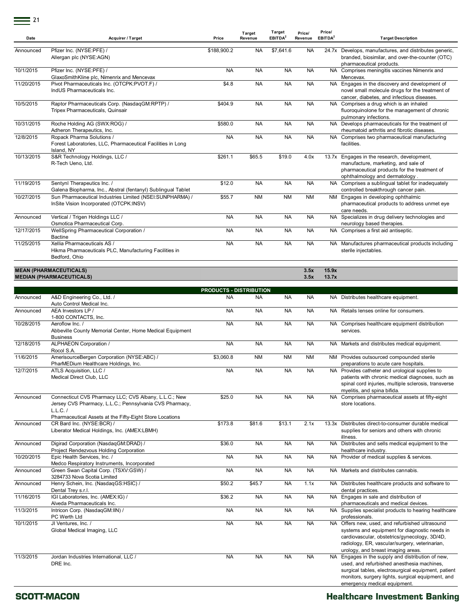| Date       | <b>Acquirer / Target</b>                                                                                                              | Price                          | Target<br>Revenue | Target<br>EBITDA <sup>2</sup> | Price/<br>Revenue | Price/<br>EBITDA <sup>2</sup> | <b>Target Description</b>                                                                                                                                                                                                                   |
|------------|---------------------------------------------------------------------------------------------------------------------------------------|--------------------------------|-------------------|-------------------------------|-------------------|-------------------------------|---------------------------------------------------------------------------------------------------------------------------------------------------------------------------------------------------------------------------------------------|
| Announced  | Pfizer Inc. (NYSE:PFE) /<br>Allergan plc (NYSE:AGN)                                                                                   | \$188,900.2                    | <b>NA</b>         | \$7,641.6                     | <b>NA</b>         |                               | 24.7x Develops, manufactures, and distributes generic,<br>branded, biosimilar, and over-the-counter (OTC)<br>pharmaceutical products.                                                                                                       |
| 10/1/2015  | Pfizer Inc. (NYSE:PFE) /<br>GlaxoSmithKline plc, Nimenrix and Mencevax                                                                | <b>NA</b>                      | <b>NA</b>         | <b>NA</b>                     | <b>NA</b>         |                               | NA Comprises meningitis vaccines Nimenrix and<br>Mencevax.                                                                                                                                                                                  |
| 11/20/2015 | Pivot Pharmaceuticals Inc. (OTCPK:PVOT.F) /<br>IndUS Pharmaceuticals Inc.                                                             | \$4.8                          | <b>NA</b>         | <b>NA</b>                     | <b>NA</b>         |                               | NA Engages in the discovery and development of<br>novel small molecule drugs for the treatment of<br>cancer, diabetes, and infectious diseases.                                                                                             |
| 10/5/2015  | Raptor Pharmaceuticals Corp. (NasdaqGM:RPTP) /<br>Tripex Pharmaceuticals, Quinsair                                                    | \$404.9                        | <b>NA</b>         | <b>NA</b>                     | <b>NA</b>         |                               | NA Comprises a drug which is an inhaled<br>fluoroquinolone for the management of chronic<br>pulmonary infections.                                                                                                                           |
| 10/31/2015 | Roche Holding AG (SWX:ROG) /<br>Adheron Therapeutics, Inc.                                                                            | \$580.0                        | <b>NA</b>         | <b>NA</b>                     | <b>NA</b>         |                               | NA Develops pharmaceuticals for the treatment of<br>rheumatoid arthritis and fibrotic diseases.                                                                                                                                             |
| 12/8/2015  | Ropack Pharma Solutions /<br>Forest Laboratories, LLC, Pharmaceutical Facilities in Long<br>Island, NY                                | <b>NA</b>                      | <b>NA</b>         | <b>NA</b>                     | <b>NA</b>         |                               | NA Comprises two pharmaceutical manufacturing<br>facilities.                                                                                                                                                                                |
| 10/13/2015 | S&R Technology Holdings, LLC /<br>R-Tech Ueno, Ltd.                                                                                   | \$261.1                        | \$65.5            | \$19.0                        | 4.0x              |                               | 13.7x Engages in the research, development,<br>manufacture, marketing, and sale of<br>pharmaceutical products for the treatment of<br>ophthalmology and dermatology.                                                                        |
| 11/19/2015 | Sentynl Therapeutics Inc. /<br>Galena Biopharma, Inc., Abstral (fentanyl) Sublingual Tablet                                           | \$12.0                         | <b>NA</b>         | <b>NA</b>                     | <b>NA</b>         |                               | NA Comprises a sublingual tablet for inadequately<br>controlled breakthrough cancer pain.                                                                                                                                                   |
| 10/27/2015 | Sun Pharmaceutical Industries Limited (NSEI:SUNPHARMA) /<br>InSite Vision Incorporated (OTCPK:INSV)                                   | \$55.7                         | <b>NM</b>         | NM                            | ΝM                |                               | NM Engages in developing ophthalmic<br>pharmaceutical products to address unmet eye<br>care needs.                                                                                                                                          |
| Announced  | Vertical / Trigen Holdings LLC /<br>Osmotica Pharmaceutical Corp.                                                                     | <b>NA</b>                      | <b>NA</b>         | <b>NA</b>                     | <b>NA</b>         |                               | NA Specializes in drug delivery technologies and<br>neurology based therapies.                                                                                                                                                              |
| 12/17/2015 | WellSpring Pharmaceutical Corporation /<br><b>Bactine</b>                                                                             | <b>NA</b>                      | <b>NA</b>         | <b>NA</b>                     | NA                |                               | NA Comprises a first aid antiseptic.                                                                                                                                                                                                        |
| 11/25/2015 | Xellia Pharmaceuticals AS /<br>Hikma Pharmaceuticals PLC, Manufacturing Facilities in<br>Bedford, Ohio                                | <b>NA</b>                      | <b>NA</b>         | <b>NA</b>                     | <b>NA</b>         |                               | NA Manufactures pharmaceutical products including<br>sterile injectables.                                                                                                                                                                   |
|            | <b>MEAN (PHARMACEUTICALS)</b><br><b>MEDIAN (PHARMACEUTICALS)</b>                                                                      |                                |                   |                               | 3.5x<br>3.5x      | 15.9x<br>13.7x                |                                                                                                                                                                                                                                             |
|            |                                                                                                                                       | <b>PRODUCTS - DISTRIBUTION</b> |                   |                               |                   |                               |                                                                                                                                                                                                                                             |
| Announced  | A&D Engineering Co., Ltd. /<br>Auto Control Medical Inc.                                                                              | <b>NA</b>                      | <b>NA</b>         | <b>NA</b>                     | <b>NA</b>         |                               | NA Distributes healthcare equipment.                                                                                                                                                                                                        |
| Announced  | AEA Investors LP /<br>1-800 CONTACTS, Inc.                                                                                            | <b>NA</b>                      | <b>NA</b>         | <b>NA</b>                     | <b>NA</b>         |                               | NA Retails lenses online for consumers.                                                                                                                                                                                                     |
| 10/28/2015 | Aeroflow Inc. /<br>Abbeville County Memorial Center, Home Medical Equipment<br><b>Business</b>                                        | <b>NA</b>                      | <b>NA</b>         | <b>NA</b>                     | <b>NA</b>         |                               | NA Comprises healthcare equipment distribution<br>services.                                                                                                                                                                                 |
| 12/18/2015 | ALPHAEON Corporation /<br>Rocol S.A.                                                                                                  | <b>NA</b>                      | <b>NA</b>         | <b>NA</b>                     | <b>NA</b>         |                               | NA Markets and distributes medical equipment.                                                                                                                                                                                               |
| 11/6/2015  | AmerisourceBergen Corporation (NYSE:ABC) /<br>PharMEDium Healthcare Holdings, Inc.                                                    | \$3,060.8                      | <b>NM</b>         | NM                            | <b>NM</b>         |                               | NM Provides outsourced compounded sterile<br>preparations to acute care hospitals.                                                                                                                                                          |
| 12/7/2015  | ATLS Acquisition, LLC /<br>Medical Direct Club, LLC                                                                                   | <b>NA</b>                      | <b>NA</b>         | <b>NA</b>                     | <b>NA</b>         |                               | NA Provides catheter and urological supplies to<br>patients with chronic medical diagnoses, such as<br>spinal cord injuries, multiple sclerosis, transverse<br>myelitis, and spina bifida.                                                  |
| Announced  | Connecticut CVS Pharmacy LLC; CVS Albany, L.L.C.; New<br>Jersey CVS Pharmacy, L.L.C.; Pennsylvania CVS Pharmacy,<br>$L.L.C.$ /        | \$25.0                         | <b>NA</b>         | <b>NA</b>                     | <b>NA</b>         |                               | NA Comprises pharmaceutical assets at fifty-eight<br>store locations.                                                                                                                                                                       |
| Announced  | Pharmaceutical Assets at the Fifty-Eight Store Locations<br>CR Bard Inc. (NYSE:BCR) /<br>Liberator Medical Holdings, Inc. (AMEX:LBMH) | \$173.8                        | \$81.6            | \$13.1                        | 2.1x              |                               | 13.3x Distributes direct-to-consumer durable medical<br>supplies for seniors and others with chronic<br>illness.                                                                                                                            |
| Announced  | Digirad Corporation (NasdaqGM:DRAD) /<br>Project Rendezvous Holding Corporation                                                       | \$36.0                         | <b>NA</b>         | <b>NA</b>                     | <b>NA</b>         |                               | NA Distributes and sells medical equipment to the<br>healthcare industry.                                                                                                                                                                   |
| 10/20/2015 | Epic Health Services, Inc. /<br>Medco Respiratory Instruments, Incorporated                                                           | <b>NA</b>                      | <b>NA</b>         | <b>NA</b>                     | <b>NA</b>         |                               | NA Provider of medical supplies & services.                                                                                                                                                                                                 |
| Announced  | Green Swan Capital Corp. (TSXV:GSW) /<br>3284733 Nova Scotia Limited                                                                  | <b>NA</b>                      | <b>NA</b>         | NA.                           | NA.               |                               | NA Markets and distributes cannabis.                                                                                                                                                                                                        |
| Announced  | Henry Schein, Inc. (NasdaqGS:HSIC) /<br>Dental Trey s.r.l.                                                                            | \$50.2                         | \$45.7            | <b>NA</b>                     | 1.1x              |                               | NA Distributes healthcare products and software to<br>dental practices.                                                                                                                                                                     |
| 11/16/2015 | IGI Laboratories, Inc. (AMEX:IG) /<br>Alveda Pharmaceuticals Inc.                                                                     | \$36.2                         | <b>NA</b>         | <b>NA</b>                     | <b>NA</b>         |                               | NA Engages in sale and distribution of<br>pharmaceuticals and medical devices.                                                                                                                                                              |
| 11/3/2015  | Intricon Corp. (NasdaqGM:IIN) /<br>PC Werth Ltd                                                                                       | <b>NA</b>                      | <b>NA</b>         | <b>NA</b>                     | <b>NA</b>         |                               | NA Supplies specialist products to hearing healthcare<br>professionals.                                                                                                                                                                     |
| 10/1/2015  | JI Ventures, Inc. /<br>Global Medical Imaging, LLC                                                                                    | <b>NA</b>                      | <b>NA</b>         | <b>NA</b>                     | <b>NA</b>         |                               | NA Offers new, used, and refurbished ultrasound<br>systems and equipment for diagnostic needs in<br>cardiovascular, obstetrics/gynecology, 3D/4D,<br>radiology, ER, vascular/surgery, veterinarian,<br>urology, and breast imaging areas.   |
| 11/3/2015  | Jordan Industries International, LLC /<br>DRE Inc.                                                                                    | <b>NA</b>                      | <b>NA</b>         | <b>NA</b>                     | <b>NA</b>         |                               | NA Engages in the supply and distribution of new,<br>used, and refurbished anesthesia machines,<br>surgical tables, electrosurgical equipment, patient<br>monitors, surgery lights, surgical equipment, and<br>emergency medical equipment. |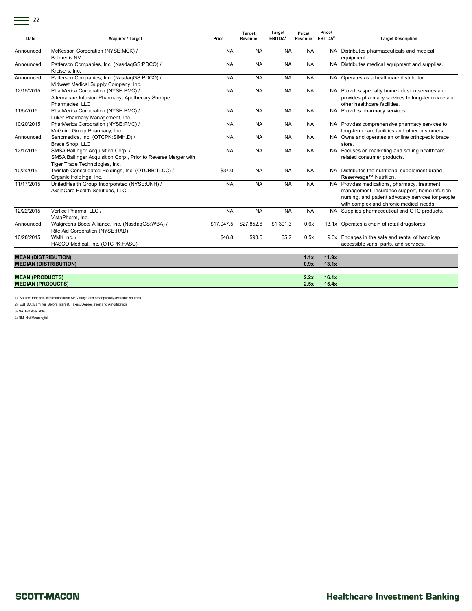|--|

| Date                                                       | <b>Acquirer / Target</b>                                                                                                               | Price      | Target<br>Revenue | Target<br>EBITDA <sup>2</sup> | Price/<br>Revenue | Price/<br>EBITDA <sup>2</sup> | <b>Target Description</b>                                                                                                                                                                    |
|------------------------------------------------------------|----------------------------------------------------------------------------------------------------------------------------------------|------------|-------------------|-------------------------------|-------------------|-------------------------------|----------------------------------------------------------------------------------------------------------------------------------------------------------------------------------------------|
| Announced                                                  | McKesson Corporation (NYSE:MCK) /<br><b>Belmedis NV</b>                                                                                | <b>NA</b>  | <b>NA</b>         | <b>NA</b>                     | <b>NA</b>         |                               | NA Distributes pharmaceuticals and medical<br>equipment.                                                                                                                                     |
| Announced                                                  | Patterson Companies, Inc. (NasdaqGS:PDCO) /<br>Kreisers, Inc.                                                                          | <b>NA</b>  | <b>NA</b>         | <b>NA</b>                     | <b>NA</b>         |                               | NA Distributes medical equipment and supplies.                                                                                                                                               |
| Announced                                                  | Patterson Companies, Inc. (NasdaqGS:PDCO) /<br>Midwest Medical Supply Company, Inc.                                                    | <b>NA</b>  | <b>NA</b>         | <b>NA</b>                     | <b>NA</b>         |                               | NA Operates as a healthcare distributor.                                                                                                                                                     |
| 12/15/2015                                                 | PharMerica Corporation (NYSE:PMC) /<br>Alternacare Infusion Pharmacy; Apothecary Shoppe<br>Pharmacies, LLC                             | <b>NA</b>  | <b>NA</b>         | <b>NA</b>                     | <b>NA</b>         |                               | NA Provides specialty home infusion services and<br>provides pharmacy services to long-term care and<br>other healthcare facilities.                                                         |
| 11/5/2015                                                  | PharMerica Corporation (NYSE:PMC) /<br>Luker Pharmacy Management, Inc.                                                                 | <b>NA</b>  | <b>NA</b>         | <b>NA</b>                     | <b>NA</b>         |                               | NA Provides pharmacy services.                                                                                                                                                               |
| 10/20/2015                                                 | PharMerica Corporation (NYSE:PMC) /<br>McGuire Group Pharmacy, Inc.                                                                    | <b>NA</b>  | <b>NA</b>         | <b>NA</b>                     | <b>NA</b>         |                               | NA Provides comprehensive pharmacy services to<br>long-term care facilities and other customers.                                                                                             |
| Announced                                                  | Sanomedics, Inc. (OTCPK:SIMH.D) /<br>Brace Shop, LLC                                                                                   | <b>NA</b>  | <b>NA</b>         | <b>NA</b>                     | <b>NA</b>         |                               | NA Owns and operates an online orthopedic brace<br>store.                                                                                                                                    |
| 12/1/2015                                                  | SMSA Ballinger Acquisition Corp. /<br>SMSA Ballinger Acquisition Corp., Prior to Reverse Merger with<br>Tiger Trade Technologies, Inc. | <b>NA</b>  | <b>NA</b>         | <b>NA</b>                     | <b>NA</b>         |                               | NA Focuses on marketing and selling healthcare<br>related consumer products.                                                                                                                 |
| 10/2/2015                                                  | Twinlab Consolidated Holdings, Inc. (OTCBB:TLCC) /<br>Organic Holdings, Inc.                                                           | \$37.0     | <b>NA</b>         | <b>NA</b>                     | <b>NA</b>         |                               | NA Distributes the nutritional supplement brand,<br>Reserveage™ Nutrition.                                                                                                                   |
| 11/17/2015                                                 | UnitedHealth Group Incorporated (NYSE:UNH) /<br>AxelaCare Health Solutions, LLC                                                        | <b>NA</b>  | <b>NA</b>         | <b>NA</b>                     | <b>NA</b>         |                               | NA Provides medications, pharmacy, treatment<br>management, insurance support, home infusion<br>nursing, and patient advocacy services for people<br>with complex and chronic medical needs. |
| 12/22/2015                                                 | Vertice Pharma. LLC /<br>VistaPharm, Inc.                                                                                              | <b>NA</b>  | <b>NA</b>         | <b>NA</b>                     | <b>NA</b>         |                               | NA Supplies pharmaceutical and OTC products.                                                                                                                                                 |
| Announced                                                  | Walgreens Boots Alliance, Inc. (NasdagGS:WBA) /<br>Rite Aid Corporation (NYSE:RAD)                                                     | \$17,047.5 | \$27,852.6        | \$1,301.3                     | 0.6x              |                               | 13.1x Operates a chain of retail drugstores.                                                                                                                                                 |
| 10/28/2015                                                 | WMK Inc. /<br>HASCO Medical, Inc. (OTCPK:HASC)                                                                                         | \$48.8     | \$93.5            | \$5.2                         | 0.5x              |                               | 9.3x Engages in the sale and rental of handicap<br>accessible vans, parts, and services.                                                                                                     |
| <b>MEAN (DISTRIBUTION)</b><br><b>MEDIAN (DISTRIBUTION)</b> |                                                                                                                                        |            |                   |                               | 1.1x<br>0.9x      | 11.9x<br>13.1x                |                                                                                                                                                                                              |
| <b>MEAN (PRODUCTS)</b><br><b>MEDIAN (PRODUCTS)</b>         |                                                                                                                                        |            |                   |                               | 2.2x<br>2.5x      | 16.1x<br>15.4x                |                                                                                                                                                                                              |

1) Source: Financial Information from SEC filings and other publicly-available sources

2) EBITDA: Earnings Before Interest, Taxes, Depreciation and Amortization

3) NA: Not Available

4) NM: Not Meaningful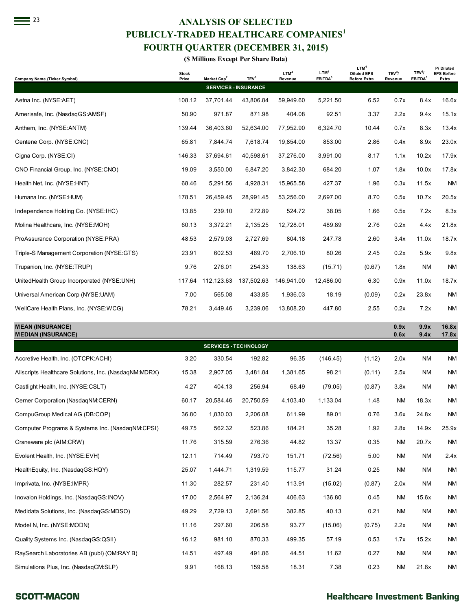# <sup>23</sup> **ANALYSIS OF SELECTED PUBLICLY-TRADED HEALTHCARE COMPANIES<sup>1</sup> FOURTH QUARTER (DECEMBER 31, 2015)**

| PUBLICLY-TRADED HEALTHCARE COMPANIES <sup>1</sup><br><b>FOURTH QUARTER (DECEMBER 31, 2015)</b> |                       |                         |                              |                             |                                         |                                           |                               |                                           |                            |  |  |  |
|------------------------------------------------------------------------------------------------|-----------------------|-------------------------|------------------------------|-----------------------------|-----------------------------------------|-------------------------------------------|-------------------------------|-------------------------------------------|----------------------------|--|--|--|
| (\$ Millions Except Per Share Data)<br>LTM <sup>4</sup><br>P/Diluted                           |                       |                         |                              |                             |                                         |                                           |                               |                                           |                            |  |  |  |
| Company Name (Ticker Symbol)                                                                   | <b>Stock</b><br>Price | Market Cap <sup>2</sup> | TEV <sup>3</sup>             | LTM <sup>4</sup><br>Revenue | LTM <sup>4</sup><br>EBITDA <sup>5</sup> | <b>Diluted EPS</b><br><b>Before Extra</b> | TEV <sup>3</sup> /<br>Revenue | TEV <sup>3</sup> /<br>EBITDA <sup>5</sup> | <b>EPS Before</b><br>Extra |  |  |  |
|                                                                                                |                       |                         | <b>SERVICES - INSURANCE</b>  |                             |                                         |                                           |                               |                                           |                            |  |  |  |
| Aetna Inc. (NYSE:AET)                                                                          | 108.12                | 37,701.44               | 43,806.84                    | 59.949.60                   | 5,221.50                                | 6.52                                      | 0.7x                          | 8.4x                                      | 16.6x                      |  |  |  |
| Amerisafe, Inc. (NasdaqGS:AMSF)                                                                | 50.90                 | 971.87                  | 871.98                       | 404.08                      | 92.51                                   | 3.37                                      | 2.2x                          | 9.4x                                      | 15.1x                      |  |  |  |
| Anthem, Inc. (NYSE:ANTM)                                                                       | 139.44                | 36,403.60               | 52,634.00                    | 77,952.90                   | 6,324.70                                | 10.44                                     | 0.7x                          | 8.3x                                      | 13.4x                      |  |  |  |
| Centene Corp. (NYSE:CNC)                                                                       | 65.81                 | 7,844.74                | 7,618.74                     | 19,854.00                   | 853.00                                  | 2.86                                      | 0.4x                          | 8.9x                                      | 23.0x                      |  |  |  |
| Cigna Corp. (NYSE:CI)                                                                          | 146.33                | 37,694.61               | 40,598.61                    | 37,276.00                   | 3,991.00                                | 8.17                                      | 1.1x                          | 10.2x                                     | 17.9x                      |  |  |  |
| CNO Financial Group, Inc. (NYSE:CNO)                                                           | 19.09                 | 3,550.00                | 6,847.20                     | 3,842.30                    | 684.20                                  | 1.07                                      | 1.8x                          | 10.0x                                     | 17.8x                      |  |  |  |
| Health Net, Inc. (NYSE:HNT)                                                                    | 68.46                 | 5,291.56                | 4,928.31                     | 15,965.58                   | 427.37                                  | 1.96                                      | 0.3x                          | 11.5x                                     | <b>NM</b>                  |  |  |  |
| Humana Inc. (NYSE:HUM)                                                                         | 178.51                | 26,459.45               | 28,991.45                    | 53,256.00                   | 2,697.00                                | 8.70                                      | 0.5x                          | 10.7x                                     | 20.5x                      |  |  |  |
| Independence Holding Co. (NYSE:IHC)                                                            | 13.85                 | 239.10                  | 272.89                       | 524.72                      | 38.05                                   | 1.66                                      | 0.5x                          | 7.2x                                      | 8.3x                       |  |  |  |
| Molina Healthcare, Inc. (NYSE:MOH)                                                             | 60.13                 | 3,372.21                | 2,135.25                     | 12,728.01                   | 489.89                                  | 2.76                                      | 0.2x                          | 4.4x                                      | 21.8x                      |  |  |  |
| ProAssurance Corporation (NYSE:PRA)                                                            | 48.53                 | 2,579.03                | 2,727.69                     | 804.18                      | 247.78                                  | 2.60                                      | 3.4x                          | 11.0x                                     | 18.7x                      |  |  |  |
| Triple-S Management Corporation (NYSE:GTS)                                                     | 23.91                 | 602.53                  | 469.70                       | 2,706.10                    | 80.26                                   | 2.45                                      | 0.2x                          | 5.9x                                      | 9.8x                       |  |  |  |
| Trupanion, Inc. (NYSE:TRUP)                                                                    | 9.76                  | 276.01                  | 254.33                       | 138.63                      | (15.71)                                 | (0.67)                                    | 1.8x                          | <b>NM</b>                                 | <b>NM</b>                  |  |  |  |
| UnitedHealth Group Incorporated (NYSE:UNH)                                                     | 117.64                | 112,123.63              | 137,502.63                   | 146.941.00                  | 12,486.00                               | 6.30                                      | 0.9x                          | 11.0x                                     | 18.7x                      |  |  |  |
| Universal American Corp (NYSE:UAM)                                                             | 7.00                  | 565.08                  | 433.85                       | 1,936.03                    | 18.19                                   | (0.09)                                    | 0.2x                          | 23.8x                                     | <b>NM</b>                  |  |  |  |
| WellCare Health Plans, Inc. (NYSE:WCG)                                                         | 78.21                 | 3,449.46                | 3,239.06                     | 13,808.20                   | 447.80                                  | 2.55                                      | 0.2x                          | 7.2x                                      | <b>NM</b>                  |  |  |  |
| <b>MEAN (INSURANCE)</b><br><b>MEDIAN (INSURANCE)</b>                                           |                       |                         |                              |                             |                                         |                                           | 0.9x<br>0.6x                  | 9.9x<br>9.4x                              | 16.8x<br>17.8x             |  |  |  |
|                                                                                                |                       |                         | <b>SERVICES - TECHNOLOGY</b> |                             |                                         |                                           |                               |                                           |                            |  |  |  |
| Approtive Hoolth Inc. (OTCDK:ACHI)                                                             | 2.OO                  | 220E                    | 1020                         | 06.25                       | (11615)                                 | (112)                                     | 20v                           | <b>NIM</b>                                | <b>NIM</b>                 |  |  |  |

|                                                       |       | <b>SERVICES - IECHNULUGT</b> |           |          |          |        |           |           |           |
|-------------------------------------------------------|-------|------------------------------|-----------|----------|----------|--------|-----------|-----------|-----------|
| Accretive Health, Inc. (OTCPK:ACHI)                   | 3.20  | 330.54                       | 192.82    | 96.35    | (146.45) | (1.12) | 2.0x      | <b>NM</b> | <b>NM</b> |
| Allscripts Healthcare Solutions, Inc. (NasdagNM:MDRX) | 15.38 | 2,907.05                     | 3,481.84  | 1,381.65 | 98.21    | (0.11) | 2.5x      | <b>NM</b> | <b>NM</b> |
| Castlight Health, Inc. (NYSE:CSLT)                    | 4.27  | 404.13                       | 256.94    | 68.49    | (79.05)  | (0.87) | 3.8x      | <b>NM</b> | <b>NM</b> |
| Cerner Corporation (NasdagNM:CERN)                    | 60.17 | 20,584.46                    | 20,750.59 | 4,103.40 | 1,133.04 | 1.48   | <b>NM</b> | 18.3x     | <b>NM</b> |
| CompuGroup Medical AG (DB:COP)                        | 36.80 | 1,830.03                     | 2,206.08  | 611.99   | 89.01    | 0.76   | 3.6x      | 24.8x     | <b>NM</b> |
| Computer Programs & Systems Inc. (NasdagNM:CPSI)      | 49.75 | 562.32                       | 523.86    | 184.21   | 35.28    | 1.92   | 2.8x      | 14.9x     | 25.9x     |
| Craneware plc (AIM:CRW)                               | 11.76 | 315.59                       | 276.36    | 44.82    | 13.37    | 0.35   | <b>NM</b> | 20.7x     | <b>NM</b> |
| Evolent Health, Inc. (NYSE:EVH)                       | 12.11 | 714.49                       | 793.70    | 151.71   | (72.56)  | 5.00   | <b>NM</b> | <b>NM</b> | 2.4x      |
| HealthEquity, Inc. (NasdaqGS:HQY)                     | 25.07 | 1,444.71                     | 1,319.59  | 115.77   | 31.24    | 0.25   | <b>NM</b> | <b>NM</b> | <b>NM</b> |
| Imprivata, Inc. (NYSE:IMPR)                           | 11.30 | 282.57                       | 231.40    | 113.91   | (15.02)  | (0.87) | 2.0x      | <b>NM</b> | <b>NM</b> |
| Inovalon Holdings, Inc. (NasdaqGS:INOV)               | 17.00 | 2,564.97                     | 2,136.24  | 406.63   | 136.80   | 0.45   | <b>NM</b> | 15.6x     | <b>NM</b> |
| Medidata Solutions, Inc. (NasdagGS:MDSO)              | 49.29 | 2,729.13                     | 2,691.56  | 382.85   | 40.13    | 0.21   | <b>NM</b> | <b>NM</b> | <b>NM</b> |
| Model N, Inc. (NYSE:MODN)                             | 11.16 | 297.60                       | 206.58    | 93.77    | (15.06)  | (0.75) | 2.2x      | <b>NM</b> | <b>NM</b> |
| Quality Systems Inc. (NasdaqGS:QSII)                  | 16.12 | 981.10                       | 870.33    | 499.35   | 57.19    | 0.53   | 1.7x      | 15.2x     | <b>NM</b> |
| RaySearch Laboratories AB (publ) (OM:RAY B)           | 14.51 | 497.49                       | 491.86    | 44.51    | 11.62    | 0.27   | <b>NM</b> | <b>NM</b> | <b>NM</b> |
| Simulations Plus, Inc. (NasdagCM:SLP)                 | 9.91  | 168.13                       | 159.58    | 18.31    | 7.38     | 0.23   | <b>NM</b> | 21.6x     | <b>NM</b> |

#### **SCOTT-MACON**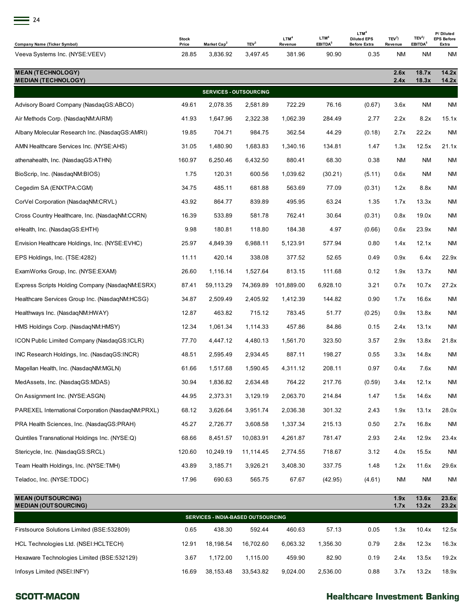| 24                                                     |                       |                               |                  |                             |                                         |                                                               |                               |                                           |                                         |
|--------------------------------------------------------|-----------------------|-------------------------------|------------------|-----------------------------|-----------------------------------------|---------------------------------------------------------------|-------------------------------|-------------------------------------------|-----------------------------------------|
| Company Name (Ticker Symbol)                           | <b>Stock</b><br>Price | Market Cap <sup>2</sup>       | TEV <sup>3</sup> | LTM <sup>4</sup><br>Revenue | LTM <sup>4</sup><br>EBITDA <sup>5</sup> | LTM <sup>4</sup><br><b>Diluted EPS</b><br><b>Before Extra</b> | TEV <sup>3</sup> /<br>Revenue | TEV <sup>3</sup> /<br>EBITDA <sup>5</sup> | P/Diluted<br><b>EPS Before</b><br>Extra |
| Veeva Systems Inc. (NYSE:VEEV)                         | 28.85                 | 3,836.92                      | 3,497.45         | 381.96                      | 90.90                                   | 0.35                                                          | ΝM                            | ΝM                                        | ΝM                                      |
| <b>MEAN (TECHNOLOGY)</b><br><b>MEDIAN (TECHNOLOGY)</b> |                       |                               |                  |                             |                                         |                                                               | 2.6x<br>2.4x                  | 18.7x<br>18.3x                            | 14.2x<br>14.2x                          |
|                                                        |                       | <b>SERVICES - OUTSOURCING</b> |                  |                             |                                         |                                                               |                               |                                           |                                         |
| Advisory Board Company (NasdaqGS:ABCO)                 | 49.61                 | 2,078.35                      | 2,581.89         | 722.29                      | 76.16                                   | (0.67)                                                        | 3.6x                          | ΝM                                        | ΝM                                      |
| Air Methods Corp. (NasdaqNM:AIRM)                      | 41.93                 | 1,647.96                      | 2,322.38         | 1,062.39                    | 284.49                                  | 2.77                                                          | 2.2x                          | 8.2x                                      | 15.1x                                   |
| Albany Molecular Research Inc. (NasdaqGS:AMRI)         | 19.85                 | 704.71                        | 984.75           | 362.54                      | 44.29                                   | (0.18)                                                        | 2.7x                          | 22.2x                                     | ΝM                                      |
| AMN Healthcare Services Inc. (NYSE:AHS)                | 31.05                 | 1,480.90                      | 1,683.83         | 1,340.16                    | 134.81                                  | 1.47                                                          | 1.3x                          | 12.5x                                     | 21.1x                                   |
| athenahealth, Inc. (NasdaqGS:ATHN)                     | 160.97                | 6,250.46                      | 6,432.50         | 880.41                      | 68.30                                   | 0.38                                                          | ΝM                            | ΝM                                        | ΝM                                      |
| BioScrip, Inc. (NasdagNM:BIOS)                         | 1.75                  | 120.31                        | 600.56           | 1,039.62                    | (30.21)                                 | (5.11)                                                        | 0.6x                          | ΝM                                        | ΝM                                      |
| Cegedim SA (ENXTPA:CGM)                                | 34.75                 | 485.11                        | 681.88           | 563.69                      | 77.09                                   | (0.31)                                                        | 1.2x                          | 8.8x                                      | <b>NM</b>                               |
| CorVel Corporation (NasdaqNM:CRVL)                     | 43.92                 | 864.77                        | 839.89           | 495.95                      | 63.24                                   | 1.35                                                          | 1.7x                          | 13.3x                                     | ΝM                                      |
| Cross Country Healthcare, Inc. (NasdaqNM:CCRN)         | 16.39                 | 533.89                        | 581.78           | 762.41                      | 30.64                                   | (0.31)                                                        | 0.8x                          | 19.0x                                     | ΝM                                      |
| eHealth, Inc. (NasdaqGS:EHTH)                          | 9.98                  | 180.81                        | 118.80           | 184.38                      | 4.97                                    | (0.66)                                                        | 0.6x                          | 23.9x                                     | ΝM                                      |
| Envision Healthcare Holdings, Inc. (NYSE:EVHC)         | 25.97                 | 4,849.39                      | 6,988.11         | 5,123.91                    | 577.94                                  | 0.80                                                          | 1.4x                          | 12.1x                                     | ΝM                                      |
| EPS Holdings, Inc. (TSE:4282)                          | 11.11                 | 420.14                        | 338.08           | 377.52                      | 52.65                                   | 0.49                                                          | 0.9x                          | 6.4x                                      | 22.9x                                   |
| ExamWorks Group, Inc. (NYSE:EXAM)                      | 26.60                 | 1,116.14                      | 1,527.64         | 813.15                      | 111.68                                  | 0.12                                                          | 1.9x                          | 13.7x                                     | ΝM                                      |
| Express Scripts Holding Company (NasdaqNM:ESRX)        | 87.41                 | 59,113.29                     | 74,369.89        | 101,889.00                  | 6,928.10                                | 3.21                                                          | 0.7x                          | 10.7x                                     | 27.2x                                   |
| Healthcare Services Group Inc. (NasdaqNM:HCSG)         | 34.87                 | 2,509.49                      | 2,405.92         | 1,412.39                    | 144.82                                  | 0.90                                                          | 1.7x                          | 16.6x                                     | ΝM                                      |
| Healthways Inc. (NasdagNM:HWAY)                        | 12.87                 | 463.82                        | 715.12           | 783.45                      | 51.77                                   | (0.25)                                                        | 0.9x                          | 13.8x                                     | ΝM                                      |
| HMS Holdings Corp. (NasdaqNM:HMSY)                     | 12.34                 | 1,061.34                      | 1,114.33         | 457.86                      | 84.86                                   | 0.15                                                          | 2.4x                          | 13.1x                                     | ΝM                                      |
| ICON Public Limited Company (NasdaqGS:ICLR)            | 77.70                 | 4,447.12                      | 4,480.13         | 1,561.70                    | 323.50                                  | 3.57                                                          | 2.9x                          | 13.8x                                     | 21.8x                                   |
| INC Research Holdings, Inc. (NasdaqGS:INCR)            | 48.51                 | 2,595.49                      | 2,934.45         | 887.11                      | 198.27                                  | 0.55                                                          | 3.3x                          | 14.8x                                     | <b>NM</b>                               |
| Magellan Health, Inc. (NasdaqNM:MGLN)                  | 61.66                 | 1,517.68                      | 1,590.45         | 4,311.12                    | 208.11                                  | 0.97                                                          | 0.4x                          | 7.6x                                      | <b>NM</b>                               |
| MedAssets, Inc. (NasdagGS:MDAS)                        | 30.94                 | 1,836.82                      | 2,634.48         | 764.22                      | 217.76                                  | (0.59)                                                        | 3.4x                          | 12.1x                                     | <b>NM</b>                               |
| On Assignment Inc. (NYSE:ASGN)                         | 44.95                 | 2,373.31                      | 3,129.19         | 2,063.70                    | 214.84                                  | 1.47                                                          | 1.5x                          | 14.6x                                     | <b>NM</b>                               |
| PAREXEL International Corporation (NasdaqNM:PRXL)      | 68.12                 | 3,626.64                      | 3,951.74         | 2,036.38                    | 301.32                                  | 2.43                                                          | 1.9x                          | 13.1x                                     | 28.0x                                   |
| PRA Health Sciences, Inc. (NasdaqGS:PRAH)              | 45.27                 | 2,726.77                      | 3,608.58         | 1,337.34                    | 215.13                                  | 0.50                                                          | 2.7x                          | 16.8x                                     | <b>NM</b>                               |
| Quintiles Transnational Holdings Inc. (NYSE:Q)         | 68.66                 | 8,451.57                      | 10,083.91        | 4,261.87                    | 781.47                                  | 2.93                                                          | 2.4x                          | 12.9x                                     | 23.4x                                   |
| Stericycle, Inc. (NasdaqGS:SRCL)                       | 120.60                | 10,249.19                     | 11,114.45        | 2,774.55                    | 718.67                                  | 3.12                                                          | 4.0x                          | 15.5x                                     | <b>NM</b>                               |
| Team Health Holdings, Inc. (NYSE:TMH)                  | 43.89                 | 3,185.71                      | 3,926.21         | 3,408.30                    | 337.75                                  | 1.48                                                          | 1.2x                          | 11.6x                                     | 29.6x                                   |
| Teladoc, Inc. (NYSE:TDOC)                              | 17.96                 | 690.63                        | 565.75           | 67.67                       | (42.95)                                 | (4.61)                                                        | ΝM                            | ΝM                                        | <b>NM</b>                               |

| <b>MEAN (OUTSOURCING)</b><br><b>MEDIAN (OUTSOURCING)</b> | 1.9x<br>1.7x | 13.6x<br>13.2x | 23.6x<br>23.2x |          |          |      |      |       |       |  |  |  |
|----------------------------------------------------------|--------------|----------------|----------------|----------|----------|------|------|-------|-------|--|--|--|
| <b>SERVICES - INDIA-BASED OUTSOURCING</b>                |              |                |                |          |          |      |      |       |       |  |  |  |
| Firstsource Solutions Limited (BSE:532809)               | 0.65         | 438.30         | 592.44         | 460.63   | 57.13    | 0.05 | . 3x | 10.4x | 12.5x |  |  |  |
| HCL Technologies Ltd. (NSEI:HCLTECH)                     | 12.91        | 18.198.54      | 16.702.60      | 6.063.32 | 1.356.30 | 0.79 | 2.8x | 12.3x | 16.3x |  |  |  |
| Hexaware Technologies Limited (BSE:532129)               | 3.67         | 1.172.00       | 1.115.00       | 459.90   | 82.90    | 0.19 | 2.4x | 13.5x | 19.2x |  |  |  |
| Infosys Limited (NSEI:INFY)                              | 16.69        | 38.153.48      | 33.543.82      | 9.024.00 | 2.536.00 | 0.88 | 3.7x | 13.2x | 18.9x |  |  |  |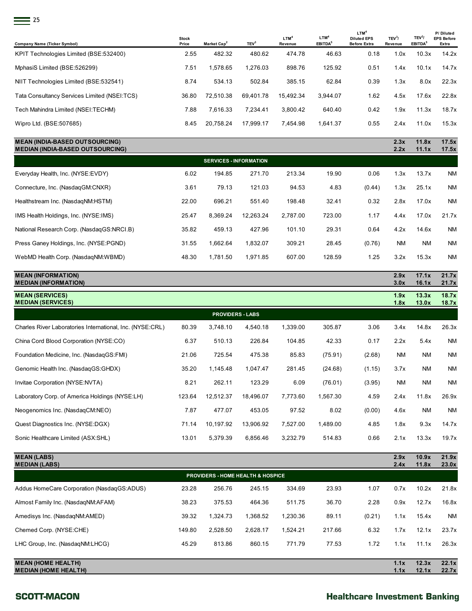| <b>Stock</b><br>Price | Market Cap <sup>2</sup> | TEV <sup>3</sup> | LTM <sup>4</sup><br>Revenue | LTM <sup>4</sup><br>EBITDA <sup>5</sup> | LTM <sup>4</sup><br><b>Diluted EPS</b><br><b>Before Extra</b> | TEV <sup>3</sup> /<br>Revenue | TEV <sup>3</sup> /<br>EBITDA <sup>5</sup> | P/Diluted<br><b>EPS Before</b><br>Extra |
|-----------------------|-------------------------|------------------|-----------------------------|-----------------------------------------|---------------------------------------------------------------|-------------------------------|-------------------------------------------|-----------------------------------------|
| 2.55                  | 482.32                  | 480.62           | 474.78                      | 46.63                                   | 0.18                                                          | 1.0x                          | 10.3x                                     | 14.2x                                   |
| 7.51                  | 1,578.65                | 1,276.03         | 898.76                      | 125.92                                  | 0.51                                                          | 1.4x                          | 10.1x                                     | 14.7x                                   |
| 8.74                  | 534.13                  | 502.84           | 385.15                      | 62.84                                   | 0.39                                                          | 1.3x                          | 8.0x                                      | 22.3x                                   |
| 36.80                 | 72,510.38               | 69,401.78        | 15,492.34                   | 3,944.07                                | 1.62                                                          | 4.5x                          | 17.6x                                     | 22.8x                                   |
| 7.88                  | 7,616.33                | 7,234.41         | 3,800.42                    | 640.40                                  | 0.42                                                          | 1.9x                          | 11.3x                                     | 18.7x                                   |
| 8.45                  | 20,758.24               | 17,999.17        | 7,454.98                    | 1,641.37                                | 0.55                                                          | 2.4x                          | 11.0x                                     | 15.3x                                   |
|                       |                         |                  |                             |                                         |                                                               |                               |                                           |                                         |

| <b>MEAN (INDIA-BASED OUTSOURCING)</b><br><b>MEDIAN (INDIA-BASED OUTSOURCING)</b> |       |          |           |          |        |        | 2.3x<br>2.2x | 11.8x<br>11.1x | 17.5x<br>17.5x |
|----------------------------------------------------------------------------------|-------|----------|-----------|----------|--------|--------|--------------|----------------|----------------|
| <b>SERVICES - INFORMATION</b>                                                    |       |          |           |          |        |        |              |                |                |
| Everyday Health, Inc. (NYSE:EVDY)                                                | 6.02  | 194.85   | 271.70    | 213.34   | 19.90  | 0.06   | 1.3x         | 13.7x          | NM             |
| Connecture, Inc. (NasdagGM:CNXR)                                                 | 3.61  | 79.13    | 121.03    | 94.53    | 4.83   | (0.44) | 1.3x         | 25.1x          | <b>NM</b>      |
| Healthstream Inc. (NasdagNM:HSTM)                                                | 22.00 | 696.21   | 551.40    | 198.48   | 32.41  | 0.32   | 2.8x         | 17.0x          | <b>NM</b>      |
| IMS Health Holdings, Inc. (NYSE:IMS)                                             | 25.47 | 8.369.24 | 12.263.24 | 2.787.00 | 723.00 | 1.17   | 4.4x         | 17.0x          | 21.7x          |
| National Research Corp. (NasdagGS:NRCI.B)                                        | 35.82 | 459.13   | 427.96    | 101.10   | 29.31  | 0.64   | 4.2x         | 14.6x          | NM             |
| Press Ganey Holdings, Inc. (NYSE:PGND)                                           | 31.55 | 1,662.64 | 1,832.07  | 309.21   | 28.45  | (0.76) | <b>NM</b>    | <b>NM</b>      | <b>NM</b>      |
| WebMD Health Corp. (NasdagNM:WBMD)                                               | 48.30 | 1.781.50 | 1,971.85  | 607.00   | 128.59 | 1.25   | 3.2x         | 15.3x          | NM.            |

| <b>MEAN (INFORMATION)</b><br><b>MEDIAN (INFORMATION)</b>  |        |           |           |          |          |        | 2.9x<br>3.0x | 17.1x<br>16.1x | 21.7x<br>21.7x |  |  |
|-----------------------------------------------------------|--------|-----------|-----------|----------|----------|--------|--------------|----------------|----------------|--|--|
| <b>MEAN (SERVICES)</b><br><b>MEDIAN (SERVICES)</b>        |        |           |           |          |          |        | 1.9x<br>1.8x | 13.3x<br>13.0x | 18.7x<br>18.7x |  |  |
| <b>PROVIDERS - LABS</b>                                   |        |           |           |          |          |        |              |                |                |  |  |
| Charles River Laboratories International, Inc. (NYSE:CRL) | 80.39  | 3,748.10  | 4,540.18  | 1,339.00 | 305.87   | 3.06   | 3.4x         | 14.8x          | 26.3x          |  |  |
| China Cord Blood Corporation (NYSE:CO)                    | 6.37   | 510.13    | 226.84    | 104.85   | 42.33    | 0.17   | 2.2x         | 5.4x           | NM             |  |  |
| Foundation Medicine, Inc. (NasdagGS:FMI)                  | 21.06  | 725.54    | 475.38    | 85.83    | (75.91)  | (2.68) | <b>NM</b>    | <b>NM</b>      | <b>NM</b>      |  |  |
| Genomic Health Inc. (NasdagGS:GHDX)                       | 35.20  | 1,145.48  | 1,047.47  | 281.45   | (24.68)  | (1.15) | 3.7x         | <b>NM</b>      | <b>NM</b>      |  |  |
| Invitae Corporation (NYSE:NVTA)                           | 8.21   | 262.11    | 123.29    | 6.09     | (76.01)  | (3.95) | <b>NM</b>    | <b>NM</b>      | <b>NM</b>      |  |  |
| Laboratory Corp. of America Holdings (NYSE:LH)            | 123.64 | 12,512.37 | 18,496.07 | 7,773.60 | 1,567.30 | 4.59   | 2.4x         | 11.8x          | 26.9x          |  |  |
| Neogenomics Inc. (NasdaqCM:NEO)                           | 7.87   | 477.07    | 453.05    | 97.52    | 8.02     | (0.00) | 4.6x         | <b>NM</b>      | NM             |  |  |
| Quest Diagnostics Inc. (NYSE:DGX)                         | 71.14  | 10,197.92 | 13,906.92 | 7,527.00 | 1,489.00 | 4.85   | 1.8x         | 9.3x           | 14.7x          |  |  |
| Sonic Healthcare Limited (ASX:SHL)                        | 13.01  | 5,379.39  | 6,856.46  | 3,232.79 | 514.83   | 0.66   | 2.1x         | 13.3x          | 19.7x          |  |  |

| <b>MEAN (LABS)</b><br><b>MEDIAN (LABS)</b>               |        |          |          |          |        |        | 2.9x<br>2.4x | 10.9x<br>11.8x | 21.9x<br>23.0x |  |
|----------------------------------------------------------|--------|----------|----------|----------|--------|--------|--------------|----------------|----------------|--|
| <b>PROVIDERS - HOME HEALTH &amp; HOSPICE</b>             |        |          |          |          |        |        |              |                |                |  |
| Addus HomeCare Corporation (NasdagGS:ADUS)               | 23.28  | 256.76   | 245.15   | 334.69   | 23.93  | 1.07   | 0.7x         | 10.2x          | 21.8x          |  |
| Almost Family Inc. (NasdagNM:AFAM)                       | 38.23  | 375.53   | 464.36   | 511.75   | 36.70  | 2.28   | 0.9x         | 12.7x          | 16.8x          |  |
| Amedisys Inc. (NasdagNM:AMED)                            | 39.32  | 1.324.73 | 1.368.52 | 1,230.36 | 89.11  | (0.21) | 1.1x         | 15.4x          | <b>NM</b>      |  |
| Chemed Corp. (NYSE:CHE)                                  | 149.80 | 2.528.50 | 2.628.17 | 1.524.21 | 217.66 | 6.32   | 1.7x         | 12.1x          | 23.7x          |  |
| LHC Group, Inc. (NasdagNM:LHCG)                          | 45.29  | 813.86   | 860.15   | 771.79   | 77.53  | 1.72   | 1.1x         | 11.1x          | 26.3x          |  |
| <b>MEAN (HOME HEALTH)</b><br><b>MEDIAN (HOME HEALTH)</b> |        |          |          |          |        |        | 1.1x<br>1.1x | 12.3x<br>12.1x | 22.1x<br>22.7x |  |

#### **SCOTT-MACON**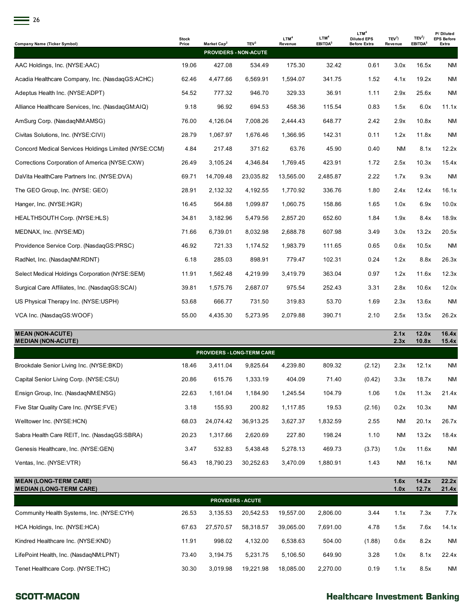| <b>Company Name (Ticker Symbol)</b>                  | <b>Stock</b><br>Price | Market Cap <sup>2</sup> | TEV <sup>3</sup> | LTM <sup>4</sup><br>Revenue | LTM <sup>4</sup><br>EBITDA <sup>5</sup> | LTM <sup>4</sup><br><b>Diluted EPS</b><br><b>Before Extra</b> | TEV <sup>3</sup> /<br>Revenue | TEV <sup>3</sup> /<br>EBITDA <sup>5</sup> | P/Diluted<br><b>EPS Before</b><br>Extra |
|------------------------------------------------------|-----------------------|-------------------------|------------------|-----------------------------|-----------------------------------------|---------------------------------------------------------------|-------------------------------|-------------------------------------------|-----------------------------------------|
|                                                      |                       | PROVIDERS - NON-ACUTE   |                  |                             |                                         |                                                               |                               |                                           |                                         |
| AAC Holdings, Inc. (NYSE:AAC)                        | 19.06                 | 427.08                  | 534.49           | 175.30                      | 32.42                                   | 0.61                                                          | 3.0x                          | 16.5x                                     | <b>NM</b>                               |
| Acadia Healthcare Company, Inc. (NasdagGS:ACHC)      | 62.46                 | 4,477.66                | 6,569.91         | 1,594.07                    | 341.75                                  | 1.52                                                          | 4.1x                          | 19.2x                                     | <b>NM</b>                               |
| Adeptus Health Inc. (NYSE:ADPT)                      | 54.52                 | 777.32                  | 946.70           | 329.33                      | 36.91                                   | 1.11                                                          | 2.9x                          | 25.6x                                     | <b>NM</b>                               |
| Alliance Healthcare Services, Inc. (NasdagGM:AIQ)    | 9.18                  | 96.92                   | 694.53           | 458.36                      | 115.54                                  | 0.83                                                          | 1.5x                          | 6.0x                                      | 11.1x                                   |
| AmSurg Corp. (NasdaqNM:AMSG)                         | 76.00                 | 4,126.04                | 7,008.26         | 2,444.43                    | 648.77                                  | 2.42                                                          | 2.9x                          | 10.8x                                     | <b>NM</b>                               |
| Civitas Solutions, Inc. (NYSE:CIVI)                  | 28.79                 | 1,067.97                | 1,676.46         | 1,366.95                    | 142.31                                  | 0.11                                                          | 1.2x                          | 11.8x                                     | <b>NM</b>                               |
| Concord Medical Services Holdings Limited (NYSE:CCM) | 4.84                  | 217.48                  | 371.62           | 63.76                       | 45.90                                   | 0.40                                                          | ΝM                            | 8.1x                                      | 12.2x                                   |
| Corrections Corporation of America (NYSE:CXW)        | 26.49                 | 3,105.24                | 4,346.84         | 1,769.45                    | 423.91                                  | 1.72                                                          | 2.5x                          | 10.3x                                     | 15.4x                                   |
| DaVita HealthCare Partners Inc. (NYSE:DVA)           | 69.71                 | 14,709.48               | 23,035.82        | 13,565.00                   | 2,485.87                                | 2.22                                                          | 1.7x                          | 9.3x                                      | ΝM                                      |
| The GEO Group, Inc. (NYSE: GEO)                      | 28.91                 | 2,132.32                | 4,192.55         | 1,770.92                    | 336.76                                  | 1.80                                                          | 2.4x                          | 12.4x                                     | 16.1x                                   |
| Hanger, Inc. (NYSE:HGR)                              | 16.45                 | 564.88                  | 1,099.87         | 1,060.75                    | 158.86                                  | 1.65                                                          | 1.0x                          | 6.9x                                      | 10.0x                                   |
| HEALTHSOUTH Corp. (NYSE:HLS)                         | 34.81                 | 3,182.96                | 5,479.56         | 2,857.20                    | 652.60                                  | 1.84                                                          | 1.9x                          | 8.4x                                      | 18.9x                                   |
| MEDNAX, Inc. (NYSE:MD)                               | 71.66                 | 6,739.01                | 8,032.98         | 2,688.78                    | 607.98                                  | 3.49                                                          | 3.0x                          | 13.2x                                     | 20.5x                                   |
| Providence Service Corp. (NasdagGS:PRSC)             | 46.92                 | 721.33                  | 1,174.52         | 1,983.79                    | 111.65                                  | 0.65                                                          | 0.6x                          | 10.5x                                     | ΝM                                      |
| RadNet, Inc. (NasdagNM:RDNT)                         | 6.18                  | 285.03                  | 898.91           | 779.47                      | 102.31                                  | 0.24                                                          | 1.2x                          | 8.8x                                      | 26.3x                                   |
| Select Medical Holdings Corporation (NYSE:SEM)       | 11.91                 | 1,562.48                | 4,219.99         | 3,419.79                    | 363.04                                  | 0.97                                                          | 1.2x                          | 11.6x                                     | 12.3x                                   |
| Surgical Care Affiliates, Inc. (NasdagGS:SCAI)       | 39.81                 | 1,575.76                | 2,687.07         | 975.54                      | 252.43                                  | 3.31                                                          | 2.8x                          | 10.6x                                     | 12.0x                                   |
| US Physical Therapy Inc. (NYSE:USPH)                 | 53.68                 | 666.77                  | 731.50           | 319.83                      | 53.70                                   | 1.69                                                          | 2.3x                          | 13.6x                                     | ΝM                                      |
| VCA Inc. (NasdaqGS:WOOF)                             | 55.00                 | 4,435.30                | 5,273.95         | 2,079.88                    | 390.71                                  | 2.10                                                          | 2.5x                          | 13.5x                                     | 26.2x                                   |
| <b>MEAN (NON-ACUTE)</b><br><b>MEDIAN (NON-ACUTE)</b> |                       |                         |                  |                             |                                         |                                                               | 2.1x<br>2.3x                  | 12.0x<br>10.8x                            | 16.4x<br>15.4x                          |

| <b>PROVIDERS - LONG-TERM CARE</b>            |       |           |           |          |          |        |           |       |           |  |  |
|----------------------------------------------|-------|-----------|-----------|----------|----------|--------|-----------|-------|-----------|--|--|
| Brookdale Senior Living Inc. (NYSE:BKD)      | 18.46 | 3.411.04  | 9.825.64  | 4.239.80 | 809.32   | (2.12) | 2.3x      | 12.1x | <b>NM</b> |  |  |
| Capital Senior Living Corp. (NYSE:CSU)       | 20.86 | 615.76    | 1,333.19  | 404.09   | 71.40    | (0.42) | 3.3x      | 18.7x | <b>NM</b> |  |  |
| Ensign Group, Inc. (NasdaqNM:ENSG)           | 22.63 | 1,161.04  | 1,184.90  | 1,245.54 | 104.79   | 1.06   | 1.0x      | 11.3x | 21.4x     |  |  |
| Five Star Quality Care Inc. (NYSE:FVE)       | 3.18  | 155.93    | 200.82    | 1.117.85 | 19.53    | (2.16) | 0.2x      | 10.3x | NM        |  |  |
| Welltower Inc. (NYSE:HCN)                    | 68.03 | 24.074.42 | 36.913.25 | 3.627.37 | 1,832.59 | 2.55   | <b>NM</b> | 20.1x | 26.7x     |  |  |
| Sabra Health Care REIT, Inc. (NasdagGS:SBRA) | 20.23 | 1,317.66  | 2,620.69  | 227.80   | 198.24   | 1.10   | <b>NM</b> | 13.2x | 18.4x     |  |  |
| Genesis Healthcare, Inc. (NYSE:GEN)          | 3.47  | 532.83    | 5.438.48  | 5.278.13 | 469.73   | (3.73) | 1.0x      | 11.6x | NM        |  |  |
| Ventas, Inc. (NYSE:VTR)                      | 56.43 | 18.790.23 | 30.252.63 | 3.470.09 | 1.880.91 | 1.43   | <b>NM</b> | 16.1x | ΝM        |  |  |

| <b>MEAN (LONG-TERM CARE)</b><br><b>MEDIAN (LONG-TERM CARE)</b> |       |           |           |           |          |        | 1.6x<br>1.0x | 14.2x<br>12.7x | 22.2x<br>21.4x |  |
|----------------------------------------------------------------|-------|-----------|-----------|-----------|----------|--------|--------------|----------------|----------------|--|
| <b>PROVIDERS - ACUTE</b>                                       |       |           |           |           |          |        |              |                |                |  |
| Community Health Systems, Inc. (NYSE:CYH)                      | 26.53 | 3.135.53  | 20.542.53 | 19.557.00 | 2.806.00 | 3.44   | 1.1x         | 7.3x           | 7.7x           |  |
| HCA Holdings, Inc. (NYSE:HCA)                                  | 67.63 | 27.570.57 | 58.318.57 | 39.065.00 | 7.691.00 | 4.78   | 1.5x         | 7.6x           | 14.1x          |  |
| Kindred Healthcare Inc. (NYSE:KND)                             | 11.91 | 998.02    | 4.132.00  | 6.538.63  | 504.00   | (1.88) | 0.6x         | 8.2x           | NM             |  |
| LifePoint Health, Inc. (NasdagNM:LPNT)                         | 73.40 | 3.194.75  | 5.231.75  | 5.106.50  | 649.90   | 3.28   | 1.0x         | 8.1x           | 22.4x          |  |
| Tenet Healthcare Corp. (NYSE:THC)                              | 30.30 | 3.019.98  | 19.221.98 | 18.085.00 | 2.270.00 | 0.19   | 1.1x         | 8.5x           | NM             |  |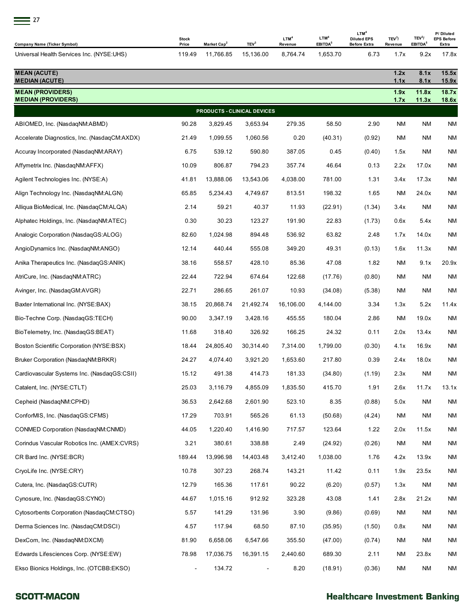

| = 27                                         |                       |                         |                             |                             |                                         |                                                               |                               |                                           |                                         |
|----------------------------------------------|-----------------------|-------------------------|-----------------------------|-----------------------------|-----------------------------------------|---------------------------------------------------------------|-------------------------------|-------------------------------------------|-----------------------------------------|
| <b>Company Name (Ticker Symbol)</b>          | <b>Stock</b><br>Price | Market Cap <sup>2</sup> | TEV <sup>3</sup>            | LTM <sup>4</sup><br>Revenue | LTM <sup>4</sup><br>EBITDA <sup>5</sup> | LTM <sup>4</sup><br><b>Diluted EPS</b><br><b>Before Extra</b> | TEV <sup>3</sup> /<br>Revenue | TEV <sup>3</sup> /<br>EBITDA <sup>5</sup> | P/Diluted<br><b>EPS Before</b><br>Extra |
| Universal Health Services Inc. (NYSE:UHS)    | 119.49                | 11,766.85               | 15,136.00                   | 8,764.74                    | 1,653.70                                | 6.73                                                          | 1.7x                          | 9.2x                                      | 17.8x                                   |
| <b>MEAN (ACUTE)</b><br><b>MEDIAN (ACUTE)</b> |                       |                         |                             |                             |                                         |                                                               | 1.2x<br>1.1x                  | 8.1x<br>8.1x                              | 15.5x<br>15.9x                          |
| <b>MEAN (PROVIDERS)</b>                      |                       |                         |                             |                             |                                         |                                                               | 1.9x                          | 11.8x                                     | 18.7x                                   |
| <b>MEDIAN (PROVIDERS)</b>                    |                       |                         | PRODUCTS - CLINICAL DEVICES |                             |                                         |                                                               | 1.7x                          | 11.3x                                     | 18.6x                                   |
| ABIOMED, Inc. (NasdaqNM:ABMD)                | 90.28                 | 3,829.45                | 3,653.94                    | 279.35                      | 58.50                                   | 2.90                                                          | <b>NM</b>                     | <b>NM</b>                                 | <b>NM</b>                               |
| Accelerate Diagnostics, Inc. (NasdaqCM:AXDX) | 21.49                 | 1,099.55                | 1,060.56                    | 0.20                        | (40.31)                                 | (0.92)                                                        | ΝM                            | ΝM                                        | NM                                      |
| Accuray Incorporated (NasdaqNM:ARAY)         | 6.75                  | 539.12                  | 590.80                      | 387.05                      | 0.45                                    | (0.40)                                                        | 1.5x                          | ΝM                                        | NM                                      |
| Affymetrix Inc. (NasdaqNM:AFFX)              | 10.09                 | 806.87                  | 794.23                      | 357.74                      | 46.64                                   | 0.13                                                          | 2.2x                          | 17.0x                                     | <b>NM</b>                               |
| Agilent Technologies Inc. (NYSE:A)           | 41.81                 | 13,888.06               | 13,543.06                   | 4,038.00                    | 781.00                                  | 1.31                                                          | 3.4x                          | 17.3x                                     | NM                                      |
| Align Technology Inc. (NasdaqNM:ALGN)        | 65.85                 | 5,234.43                | 4,749.67                    | 813.51                      | 198.32                                  | 1.65                                                          | <b>NM</b>                     | 24.0x                                     | ΝM                                      |
| Alliqua BioMedical, Inc. (NasdaqCM:ALQA)     | 2.14                  | 59.21                   | 40.37                       | 11.93                       | (22.91)                                 | (1.34)                                                        | 3.4x                          | ΝM                                        | ΝM                                      |
| Alphatec Holdings, Inc. (NasdaqNM:ATEC)      | 0.30                  | 30.23                   | 123.27                      | 191.90                      | 22.83                                   | (1.73)                                                        | 0.6x                          | 5.4x                                      | ΝM                                      |
| Analogic Corporation (NasdaqGS:ALOG)         | 82.60                 | 1,024.98                | 894.48                      | 536.92                      | 63.82                                   | 2.48                                                          | 1.7x                          | 14.0x                                     | ΝM                                      |
| AngioDynamics Inc. (NasdaqNM:ANGO)           | 12.14                 | 440.44                  | 555.08                      | 349.20                      | 49.31                                   | (0.13)                                                        | 1.6x                          | 11.3x                                     | ΝM                                      |
| Anika Therapeutics Inc. (NasdaqGS:ANIK)      | 38.16                 | 558.57                  | 428.10                      | 85.36                       | 47.08                                   | 1.82                                                          | ΝM                            | 9.1x                                      | 20.9x                                   |
| AtriCure, Inc. (NasdaqNM:ATRC)               | 22.44                 | 722.94                  | 674.64                      | 122.68                      | (17.76)                                 | (0.80)                                                        | NM                            | ΝM                                        | ΝM                                      |
| Avinger, Inc. (NasdaqGM:AVGR)                | 22.71                 | 286.65                  | 261.07                      | 10.93                       | (34.08)                                 | (5.38)                                                        | ΝM                            | ΝM                                        | ΝM                                      |
| Baxter International Inc. (NYSE:BAX)         | 38.15                 | 20.868.74               | 21.492.74                   | 16.106.00                   | 4,144.00                                | 3.34                                                          | 1.3x                          | 5.2x                                      | 11.4x                                   |
| Bio-Techne Corp. (NasdagGS:TECH)             | 90.00                 | 3,347.19                | 3,428.16                    | 455.55                      | 180.04                                  | 2.86                                                          | <b>NM</b>                     | 19.0x                                     | ΝM                                      |
| BioTelemetry, Inc. (NasdaqGS:BEAT)           | 11.68                 | 318.40                  | 326.92                      | 166.25                      | 24.32                                   | 0.11                                                          | 2.0x                          | 13.4x                                     | ΝM                                      |
| Boston Scientific Corporation (NYSE:BSX)     | 18.44                 | 24,805.40               | 30,314.40                   | 7,314.00                    | 1,799.00                                | (0.30)                                                        | 4.1x                          | 16.9x                                     | ΝM                                      |
| Bruker Corporation (NasdaqNM:BRKR)           | 24.27                 | 4,074.40                | 3,921.20                    | 1,653.60                    | 217.80                                  | 0.39                                                          | 2.4x                          | 18.0x                                     | <b>NM</b>                               |
| Cardiovascular Systems Inc. (NasdaqGS:CSII)  | 15.12                 | 491.38                  | 414.73                      | 181.33                      | (34.80)                                 | (1.19)                                                        | 2.3x                          | ΝM                                        | <b>NM</b>                               |
| Catalent, Inc. (NYSE:CTLT)                   | 25.03                 | 3,116.79                | 4,855.09                    | 1,835.50                    | 415.70                                  | 1.91                                                          | 2.6x                          | 11.7x                                     | 13.1x                                   |
| Cepheid (NasdagNM:CPHD)                      | 36.53                 | 2,642.68                | 2,601.90                    | 523.10                      | 8.35                                    | (0.88)                                                        | 5.0x                          | ΝM                                        | NM                                      |
| ConforMIS, Inc. (NasdaqGS:CFMS)              | 17.29                 | 703.91                  | 565.26                      | 61.13                       | (50.68)                                 | (4.24)                                                        | ΝM                            | ΝM                                        | <b>NM</b>                               |
| CONMED Corporation (NasdaqNM:CNMD)           | 44.05                 | 1,220.40                | 1,416.90                    | 717.57                      | 123.64                                  | 1.22                                                          | 2.0x                          | 11.5x                                     | <b>NM</b>                               |
| Corindus Vascular Robotics Inc. (AMEX:CVRS)  | 3.21                  | 380.61                  | 338.88                      | 2.49                        | (24.92)                                 | (0.26)                                                        | NM                            | ΝM                                        | <b>NM</b>                               |
| CR Bard Inc. (NYSE:BCR)                      | 189.44                | 13,996.98               | 14,403.48                   | 3,412.40                    | 1,038.00                                | 1.76                                                          | 4.2x                          | 13.9x                                     | <b>NM</b>                               |
| CryoLife Inc. (NYSE:CRY)                     | 10.78                 | 307.23                  | 268.74                      | 143.21                      | 11.42                                   | 0.11                                                          | 1.9x                          | 23.5x                                     | <b>NM</b>                               |
| Cutera, Inc. (NasdagGS:CUTR)                 | 12.79                 | 165.36                  | 117.61                      | 90.22                       | (6.20)                                  | (0.57)                                                        | 1.3x                          | ΝM                                        | <b>NM</b>                               |
| Cynosure, Inc. (NasdagGS:CYNO)               | 44.67                 | 1,015.16                | 912.92                      | 323.28                      | 43.08                                   | 1.41                                                          | 2.8x                          | 21.2x                                     | <b>NM</b>                               |
| Cytosorbents Corporation (NasdaqCM:CTSO)     | 5.57                  | 141.29                  | 131.96                      | 3.90                        | (9.86)                                  | (0.69)                                                        | ΝM                            | ΝM                                        | <b>NM</b>                               |
| Derma Sciences Inc. (NasdaqCM:DSCI)          | 4.57                  | 117.94                  | 68.50                       | 87.10                       | (35.95)                                 | (1.50)                                                        | 0.8x                          | ΝM                                        | NM                                      |
| DexCom, Inc. (NasdaqNM:DXCM)                 | 81.90                 | 6,658.06                | 6,547.66                    | 355.50                      | (47.00)                                 | (0.74)                                                        | ΝM                            | ΝM                                        | <b>NM</b>                               |
| Edwards Lifesciences Corp. (NYSE:EW)         | 78.98                 | 17,036.75               | 16,391.15                   | 2,440.60                    | 689.30                                  | 2.11                                                          | ΝM                            | 23.8x                                     | NM                                      |
| Ekso Bionics Holdings, Inc. (OTCBB:EKSO)     |                       | 134.72                  |                             | 8.20                        | (18.91)                                 | (0.36)                                                        | ΝM                            | ΝM                                        | NM                                      |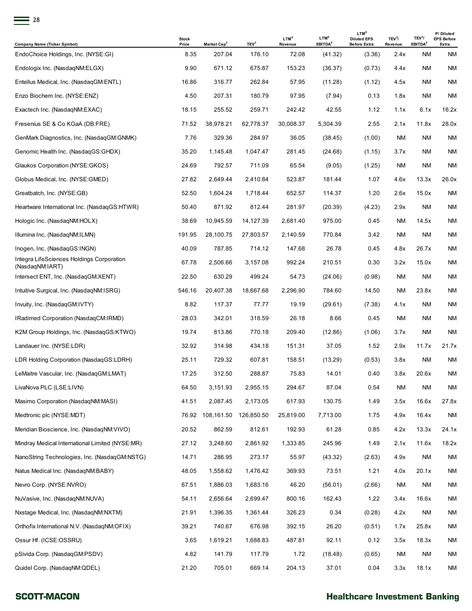| × |
|---|
|   |

| -28                                                          |                       |                         |                  |                             |                                         |                                                               |                               |                                           |                                         |
|--------------------------------------------------------------|-----------------------|-------------------------|------------------|-----------------------------|-----------------------------------------|---------------------------------------------------------------|-------------------------------|-------------------------------------------|-----------------------------------------|
| <b>Company Name (Ticker Symbol)</b>                          | <b>Stock</b><br>Price | Market Cap <sup>2</sup> | TEV <sup>3</sup> | LTM <sup>4</sup><br>Revenue | LTM <sup>4</sup><br>EBITDA <sup>5</sup> | LTM <sup>4</sup><br><b>Diluted EPS</b><br><b>Before Extra</b> | TEV <sup>3</sup> /<br>Revenue | TEV <sup>3</sup> /<br>EBITDA <sup>5</sup> | P/Diluted<br><b>EPS Before</b><br>Extra |
| EndoChoice Holdings, Inc. (NYSE:GI)                          | 8.35                  | 207.04                  | 176.10           | 72.08                       | (41.32)                                 | (3.36)                                                        | 2.4x                          | ΝM                                        | ΝM                                      |
| Endologix Inc. (NasdaqNM:ELGX)                               | 9.90                  | 671.12                  | 675.87           | 153.23                      | (36.37)                                 | (0.73)                                                        | 4.4x                          | <b>NM</b>                                 | ΝM                                      |
| Entellus Medical, Inc. (NasdagGM:ENTL)                       | 16.86                 | 316.77                  | 262.84           | 57.95                       | (11.28)                                 | (1.12)                                                        | 4.5x                          | <b>NM</b>                                 | ΝM                                      |
| Enzo Biochem Inc. (NYSE:ENZ)                                 | 4.50                  | 207.31                  | 180.79           | 97.95                       | (7.94)                                  | 0.13                                                          | 1.8x                          | ΝM                                        | ΝM                                      |
| Exactech Inc. (NasdagNM:EXAC)                                | 18.15                 | 255.52                  | 259.71           | 242.42                      | 42.55                                   | 1.12                                                          | 1.1x                          | 6.1x                                      | 16.2x                                   |
| Fresenius SE & Co KGaA (DB:FRE)                              | 71.52                 | 38,978.21               | 62,778.37        | 30,008.37                   | 5,304.39                                | 2.55                                                          | 2.1x                          | 11.8x                                     | 28.0x                                   |
| GenMark Diagnostics, Inc. (NasdaqGM:GNMK)                    | 7.76                  | 329.36                  | 284.97           | 36.05                       | (38.45)                                 | (1.00)                                                        | ΝM                            | ΝM                                        | ΝM                                      |
| Genomic Health Inc. (NasdaqGS:GHDX)                          | 35.20                 | 1,145.48                | 1,047.47         | 281.45                      | (24.68)                                 | (1.15)                                                        | 3.7x                          | <b>NM</b>                                 | ΝM                                      |
| Glaukos Corporation (NYSE:GKOS)                              | 24.69                 | 792.57                  | 711.09           | 65.54                       | (9.05)                                  | (1.25)                                                        | ΝM                            | ΝM                                        | ΝM                                      |
| Globus Medical, Inc. (NYSE:GMED)                             | 27.82                 | 2,649.44                | 2,410.84         | 523.87                      | 181.44                                  | 1.07                                                          | 4.6x                          | 13.3x                                     | 26.0x                                   |
| Greatbatch, Inc. (NYSE:GB)                                   | 52.50                 | 1,604.24                | 1,718.44         | 652.57                      | 114.37                                  | 1.20                                                          | 2.6x                          | 15.0x                                     | ΝM                                      |
| Heartware International Inc. (NasdagGS:HTWR)                 | 50.40                 | 871.92                  | 812.44           | 281.97                      | (20.39)                                 | (4.23)                                                        | 2.9x                          | ΝM                                        | ΝM                                      |
| Hologic Inc. (NasdaqNM:HOLX)                                 | 38.69                 | 10,945.59               | 14,127.39        | 2,681.40                    | 975.00                                  | 0.45                                                          | ΝM                            | 14.5x                                     | ΝM                                      |
| Illumina Inc. (NasdaqNM:ILMN)                                | 191.95                | 28,100.75               | 27,803.57        | 2,140.59                    | 770.84                                  | 3.42                                                          | ΝM                            | ΝM                                        | ΝM                                      |
| Inogen, Inc. (NasdaqGS:INGN)                                 | 40.09                 | 787.85                  | 714.12           | 147.68                      | 26.78                                   | 0.45                                                          | 4.8x                          | 26.7x                                     | ΝM                                      |
| Integra LifeSciences Holdings Corporation<br>(NasdagNM:IART) | 67.78                 | 2,506.66                | 3,157.08         | 992.24                      | 210.51                                  | 0.30                                                          | 3.2x                          | 15.0x                                     | ΝM                                      |
| Intersect ENT, Inc. (NasdaqGM:XENT)                          | 22.50                 | 630.29                  | 499.24           | 54.73                       | (24.06)                                 | (0.98)                                                        | ΝM                            | ΝM                                        | ΝM                                      |
| Intuitive Surgical, Inc. (NasdaqNM:ISRG)                     | 546.16                | 20,407.38               | 18,667.68        | 2,296.90                    | 784.60                                  | 14.50                                                         | ΝM                            | 23.8x                                     | ΝM                                      |
| Invuity, Inc. (NasdaqGM:IVTY)                                | 8.82                  | 117.37                  | 77.77            | 19.19                       | (29.61)                                 | (7.38)                                                        | 4.1x                          | ΝM                                        | ΝM                                      |
| IRadimed Corporation (NasdaqCM:IRMD)                         | 28.03                 | 342.01                  | 318.59           | 26.18                       | 8.66                                    | 0.45                                                          | ΝM                            | <b>NM</b>                                 | ΝM                                      |
| K2M Group Holdings, Inc. (NasdagGS:KTWO)                     | 19.74                 | 813.86                  | 770.18           | 209.40                      | (12.86)                                 | (1.06)                                                        | 3.7x                          | <b>NM</b>                                 | ΝM                                      |
| Landauer Inc. (NYSE:LDR)                                     | 32.92                 | 314.98                  | 434.18           | 151.31                      | 37.05                                   | 1.52                                                          | 2.9x                          | 11.7x                                     | 21.7x                                   |
| LDR Holding Corporation (NasdagGS:LDRH)                      | 25.11                 | 729.32                  | 607.81           | 158.51                      | (13.29)                                 | (0.53)                                                        | 3.8x                          | ΝM                                        | ΝM                                      |
| LeMaitre Vascular, Inc. (NasdagGM:LMAT)                      | 17.25                 | 312.50                  | 288.87           | 75.83                       | 14.01                                   | 0.40                                                          | 3.8x                          | 20.6x                                     | <b>NM</b>                               |
| LivaNova PLC (LSE:LIVN)                                      | 64.50                 | 3,151.93                | 2,955.15         | 294.67                      | 87.04                                   | 0.54                                                          | ΝM                            | ΝM                                        | <b>NM</b>                               |
| Masimo Corporation (NasdagNM:MASI)                           | 41.51                 | 2,087.45                | 2,173.05         | 617.93                      | 130.75                                  | 1.49                                                          | 3.5x                          | 16.6x                                     | 27.8x                                   |
| Medtronic plc (NYSE:MDT)                                     | 76.92                 | 108,161.50              | 126,850.50       | 25,819.00                   | 7,713.00                                | 1.75                                                          | 4.9x                          | 16.4x                                     | NM                                      |
| Meridian Bioscience, Inc. (NasdagNM:VIVO)                    | 20.52                 | 862.59                  | 812.61           | 192.93                      | 61.28                                   | 0.85                                                          | 4.2x                          | 13.3x                                     | 24.1x                                   |
| Mindray Medical International Limited (NYSE:MR)              | 27.12                 | 3,248.60                | 2,861.92         | 1,333.85                    | 245.96                                  | 1.49                                                          | 2.1x                          | 11.6x                                     | 18.2x                                   |
| NanoString Technologies, Inc. (NasdaqGM:NSTG)                | 14.71                 | 286.95                  | 273.17           | 55.97                       | (43.32)                                 | (2.63)                                                        | 4.9x                          | ΝM                                        | <b>NM</b>                               |
| Natus Medical Inc. (NasdaqNM:BABY)                           | 48.05                 | 1,558.62                | 1,476.42         | 369.93                      | 73.51                                   | 1.21                                                          | 4.0x                          | 20.1x                                     | ΝM                                      |
| Nevro Corp. (NYSE:NVRO)                                      | 67.51                 | 1,886.03                | 1,683.16         | 46.20                       | (56.01)                                 | (2.66)                                                        | ΝM                            | ΝM                                        | <b>NM</b>                               |
| NuVasive, Inc. (NasdaqNM:NUVA)                               | 54.11                 | 2,656.64                | 2,699.47         | 800.16                      | 162.43                                  | 1.22                                                          | 3.4x                          | 16.6x                                     | NM                                      |
| Nxstage Medical, Inc. (NasdagNM:NXTM)                        | 21.91                 | 1,396.35                | 1,361.44         | 326.23                      | 0.34                                    | (0.28)                                                        | 4.2x                          | ΝM                                        | <b>NM</b>                               |
| Orthofix International N.V. (NasdaqNM:OFIX)                  | 39.21                 | 740.67                  | 676.98           | 392.15                      | 26.20                                   | (0.51)                                                        | 1.7x                          | 25.8x                                     | NM                                      |
| Ossur Hf. (ICSE:OSSRU)                                       | 3.65                  | 1,619.21                | 1,688.83         | 487.81                      | 92.11                                   | 0.12                                                          | 3.5x                          | 18.3x                                     | ΝM                                      |
| pSivida Corp. (NasdaqGM:PSDV)                                | 4.82                  | 141.79                  | 117.79           | 1.72                        | (18.48)                                 | (0.65)                                                        | ΝM                            | ΝM                                        | NM                                      |
| Quidel Corp. (NasdaqNM:QDEL)                                 | 21.20                 | 705.01                  | 669.14           | 204.13                      | 37.01                                   | 0.04                                                          | 3.3x                          | 18.1x                                     | <b>NM</b>                               |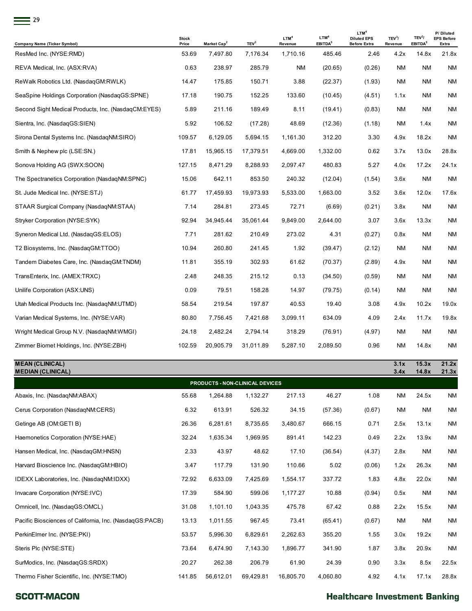| 29                                                  |                       |                         |                  |                             |                                         |                                                               |                               |                                           |                                         |
|-----------------------------------------------------|-----------------------|-------------------------|------------------|-----------------------------|-----------------------------------------|---------------------------------------------------------------|-------------------------------|-------------------------------------------|-----------------------------------------|
| <b>Company Name (Ticker Symbol)</b>                 | <b>Stock</b><br>Price | Market Cap <sup>2</sup> | TEV <sup>3</sup> | LTM <sup>4</sup><br>Revenue | LTM <sup>4</sup><br>EBITDA <sup>5</sup> | LTM <sup>4</sup><br><b>Diluted EPS</b><br><b>Before Extra</b> | TEV <sup>3</sup> /<br>Revenue | TEV <sup>3</sup> /<br>EBITDA <sup>5</sup> | P/Diluted<br><b>EPS Before</b><br>Extra |
| ResMed Inc. (NYSE:RMD)                              | 53.69                 | 7,497.80                | 7,176.34         | 1,710.16                    | 485.46                                  | 2.46                                                          | 4.2x                          | 14.8x                                     | 21.8x                                   |
| REVA Medical, Inc. (ASX:RVA)                        | 0.63                  | 238.97                  | 285.79           | ΝM                          | (20.65)                                 | (0.26)                                                        | ΝM                            | <b>NM</b>                                 | ΝM                                      |
| ReWalk Robotics Ltd. (NasdaqGM:RWLK)                | 14.47                 | 175.85                  | 150.71           | 3.88                        | (22.37)                                 | (1.93)                                                        | <b>NM</b>                     | <b>NM</b>                                 | <b>NM</b>                               |
| SeaSpine Holdings Corporation (NasdaqGS:SPNE)       | 17.18                 | 190.75                  | 152.25           | 133.60                      | (10.45)                                 | (4.51)                                                        | 1.1x                          | <b>NM</b>                                 | ΝM                                      |
| Second Sight Medical Products, Inc. (NasdaqCM:EYES) | 5.89                  | 211.16                  | 189.49           | 8.11                        | (19.41)                                 | (0.83)                                                        | <b>NM</b>                     | <b>NM</b>                                 | <b>NM</b>                               |
| Sientra, Inc. (NasdaqGS:SIEN)                       | 5.92                  | 106.52                  | (17.28)          | 48.69                       | (12.36)                                 | (1.18)                                                        | ΝM                            | 1.4x                                      | ΝM                                      |
| Sirona Dental Systems Inc. (NasdaqNM:SIRO)          | 109.57                | 6,129.05                | 5,694.15         | 1,161.30                    | 312.20                                  | 3.30                                                          | 4.9x                          | 18.2x                                     | ΝM                                      |
| Smith & Nephew plc (LSE:SN.)                        | 17.81                 | 15,965.15               | 17,379.51        | 4,669.00                    | 1,332.00                                | 0.62                                                          | 3.7x                          | 13.0x                                     | 28.8x                                   |
| Sonova Holding AG (SWX:SOON)                        | 127.15                | 8,471.29                | 8,288.93         | 2,097.47                    | 480.83                                  | 5.27                                                          | 4.0x                          | 17.2x                                     | 24.1x                                   |
| The Spectranetics Corporation (NasdaqNM:SPNC)       | 15.06                 | 642.11                  | 853.50           | 240.32                      | (12.04)                                 | (1.54)                                                        | 3.6x                          | <b>NM</b>                                 | ΝM                                      |
| St. Jude Medical Inc. (NYSE:STJ)                    | 61.77                 | 17,459.93               | 19,973.93        | 5,533.00                    | 1,663.00                                | 3.52                                                          | 3.6x                          | 12.0x                                     | 17.6x                                   |
| STAAR Surgical Company (NasdaqNM:STAA)              | 7.14                  | 284.81                  | 273.45           | 72.71                       | (6.69)                                  | (0.21)                                                        | 3.8x                          | <b>NM</b>                                 | ΝM                                      |
| Stryker Corporation (NYSE:SYK)                      | 92.94                 | 34,945.44               | 35,061.44        | 9,849.00                    | 2,644.00                                | 3.07                                                          | 3.6x                          | 13.3x                                     | <b>NM</b>                               |
| Syneron Medical Ltd. (NasdaqGS:ELOS)                | 7.71                  | 281.62                  | 210.49           | 273.02                      | 4.31                                    | (0.27)                                                        | 0.8x                          | <b>NM</b>                                 | ΝM                                      |
| T2 Biosystems, Inc. (NasdagGM:TTOO)                 | 10.94                 | 260.80                  | 241.45           | 1.92                        | (39.47)                                 | (2.12)                                                        | ΝM                            | <b>NM</b>                                 | <b>NM</b>                               |
| Tandem Diabetes Care, Inc. (NasdagGM:TNDM)          | 11.81                 | 355.19                  | 302.93           | 61.62                       | (70.37)                                 | (2.89)                                                        | 4.9x                          | <b>NM</b>                                 | ΝM                                      |
| TransEnterix, Inc. (AMEX:TRXC)                      | 2.48                  | 248.35                  | 215.12           | 0.13                        | (34.50)                                 | (0.59)                                                        | ΝM                            | <b>NM</b>                                 | <b>NM</b>                               |
| Unilife Corporation (ASX:UNS)                       | 0.09                  | 79.51                   | 158.28           | 14.97                       | (79.75)                                 | (0.14)                                                        | ΝM                            | <b>NM</b>                                 | ΝM                                      |
| Utah Medical Products Inc. (NasdaqNM:UTMD)          | 58.54                 | 219.54                  | 197.87           | 40.53                       | 19.40                                   | 3.08                                                          | 4.9x                          | 10.2x                                     | 19.0x                                   |
| Varian Medical Systems, Inc. (NYSE:VAR)             | 80.80                 | 7,756.45                | 7,421.68         | 3,099.11                    | 634.09                                  | 4.09                                                          | 2.4x                          | 11.7x                                     | 19.8x                                   |
| Wright Medical Group N.V. (NasdaqNM:WMGI)           | 24.18                 | 2,482.24                | 2,794.14         | 318.29                      | (76.91)                                 | (4.97)                                                        | <b>NM</b>                     | <b>NM</b>                                 | ΝM                                      |
| Zimmer Biomet Holdings, Inc. (NYSE:ZBH)             | 102.59                | 20,905.79               | 31,011.89        | 5,287.10                    | 2,089.50                                | 0.96                                                          | ΝM                            | 14.8x                                     | ΝM                                      |

| <b>MEAN (CLINICAL)</b><br><b>MEDIAN (CLINICAL)</b>      |        |           |                                 |           |          |        | 3.1x<br>3.4x | 15.3x<br>14.8x | 21.2x<br>21.3x |
|---------------------------------------------------------|--------|-----------|---------------------------------|-----------|----------|--------|--------------|----------------|----------------|
|                                                         |        |           | PRODUCTS - NON-CLINICAL DEVICES |           |          |        |              |                |                |
| Abaxis, Inc. (NasdagNM:ABAX)                            | 55.68  | 1,264.88  | 1,132.27                        | 217.13    | 46.27    | 1.08   | NM           | 24.5x          | <b>NM</b>      |
| Cerus Corporation (NasdagNM:CERS)                       | 6.32   | 613.91    | 526.32                          | 34.15     | (57.36)  | (0.67) | <b>NM</b>    | <b>NM</b>      | <b>NM</b>      |
| Getinge AB (OM:GETI B)                                  | 26.36  | 6,281.61  | 8,735.65                        | 3,480.67  | 666.15   | 0.71   | 2.5x         | 13.1x          | <b>NM</b>      |
| Haemonetics Corporation (NYSE:HAE)                      | 32.24  | 1,635.34  | 1,969.95                        | 891.41    | 142.23   | 0.49   | 2.2x         | 13.9x          | <b>NM</b>      |
| Hansen Medical, Inc. (NasdagGM:HNSN)                    | 2.33   | 43.97     | 48.62                           | 17.10     | (36.54)  | (4.37) | 2.8x         | <b>NM</b>      | <b>NM</b>      |
| Harvard Bioscience Inc. (NasdagGM:HBIO)                 | 3.47   | 117.79    | 131.90                          | 110.66    | 5.02     | (0.06) | 1.2x         | 26.3x          | <b>NM</b>      |
| IDEXX Laboratories, Inc. (NasdagNM:IDXX)                | 72.92  | 6,633.09  | 7,425.69                        | 1,554.17  | 337.72   | 1.83   | 4.8x         | 22.0x          | <b>NM</b>      |
| Invacare Corporation (NYSE:IVC)                         | 17.39  | 584.90    | 599.06                          | 1,177.27  | 10.88    | (0.94) | 0.5x         | <b>NM</b>      | <b>NM</b>      |
| Omnicell, Inc. (NasdagGS:OMCL)                          | 31.08  | 1,101.10  | 1,043.35                        | 475.78    | 67.42    | 0.88   | 2.2x         | 15.5x          | <b>NM</b>      |
| Pacific Biosciences of California, Inc. (NasdagGS:PACB) | 13.13  | 1,011.55  | 967.45                          | 73.41     | (65.41)  | (0.67) | <b>NM</b>    | <b>NM</b>      | <b>NM</b>      |
| PerkinElmer Inc. (NYSE:PKI)                             | 53.57  | 5,996.30  | 6,829.61                        | 2,262.63  | 355.20   | 1.55   | 3.0x         | 19.2x          | <b>NM</b>      |
| Steris Plc (NYSE:STE)                                   | 73.64  | 6,474.90  | 7,143.30                        | 1,896.77  | 341.90   | 1.87   | 3.8x         | 20.9x          | <b>NM</b>      |
| SurModics, Inc. (NasdaqGS:SRDX)                         | 20.27  | 262.38    | 206.79                          | 61.90     | 24.39    | 0.90   | 3.3x         | 8.5x           | 22.5x          |
| Thermo Fisher Scientific, Inc. (NYSE:TMO)               | 141.85 | 56.612.01 | 69.429.81                       | 16.805.70 | 4.060.80 | 4.92   | 4.1x         | 17.1x          | 28.8x          |

#### **SCOTT-MACON**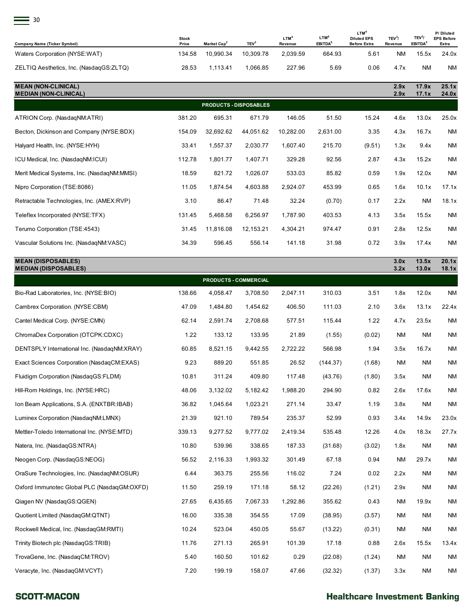| $\equiv$ 30                             |                       |                         |                  |                             |                                         |                                                               |                               |                                           |                                         |
|-----------------------------------------|-----------------------|-------------------------|------------------|-----------------------------|-----------------------------------------|---------------------------------------------------------------|-------------------------------|-------------------------------------------|-----------------------------------------|
| <b>Company Name (Ticker Symbol)</b>     | <b>Stock</b><br>Price | Market Cap <sup>2</sup> | TEV <sup>3</sup> | LTM <sup>4</sup><br>Revenue | LTM <sup>4</sup><br>EBITDA <sup>5</sup> | LTM <sup>4</sup><br><b>Diluted EPS</b><br><b>Before Extra</b> | TEV <sup>3</sup> /<br>Revenue | TEV <sup>3</sup> /<br>EBITDA <sup>5</sup> | P/Diluted<br><b>EPS Before</b><br>Extra |
| Waters Corporation (NYSE:WAT)           | 134.58                | 10,990.34               | 10,309.78        | 2,039.59                    | 664.93                                  | 5.61                                                          | <b>NM</b>                     | 15.5x                                     | 24.0x                                   |
| ZELTIQ Aesthetics, Inc. (NasdaqGS:ZLTQ) | 28.53                 | 1,113.41                | 1,066.85         | 227.96                      | 5.69                                    | 0.06                                                          | 4.7x                          | <b>NM</b>                                 | ΝM                                      |

| <b>MEAN (NON-CLINICAL)</b><br><b>MEDIAN (NON-CLINICAL)</b> |        |                               |           |           |          |        | 2.9x<br>2.9x | 17.9x<br>17.1x | 25.1x<br>24.0x |
|------------------------------------------------------------|--------|-------------------------------|-----------|-----------|----------|--------|--------------|----------------|----------------|
|                                                            |        | <b>PRODUCTS - DISPOSABLES</b> |           |           |          |        |              |                |                |
| ATRION Corp. (NasdaqNM:ATRI)                               | 381.20 | 695.31                        | 671.79    | 146.05    | 51.50    | 15.24  | 4.6x         | 13.0x          | 25.0x          |
| Becton, Dickinson and Company (NYSE:BDX)                   | 154.09 | 32,692.62                     | 44,051.62 | 10,282.00 | 2,631.00 | 3.35   | 4.3x         | 16.7x          | <b>NM</b>      |
| Halyard Health, Inc. (NYSE:HYH)                            | 33.41  | 1,557.37                      | 2,030.77  | 1,607.40  | 215.70   | (9.51) | 1.3x         | 9.4x           | <b>NM</b>      |
| ICU Medical, Inc. (NasdagNM:ICUI)                          | 112.78 | 1,801.77                      | 1,407.71  | 329.28    | 92.56    | 2.87   | 4.3x         | 15.2x          | NM             |
| Merit Medical Systems, Inc. (NasdagNM:MMSI)                | 18.59  | 821.72                        | 1,026.07  | 533.03    | 85.82    | 0.59   | 1.9x         | 12.0x          | NM             |
| Nipro Corporation (TSE:8086)                               | 11.05  | 1,874.54                      | 4,603.88  | 2,924.07  | 453.99   | 0.65   | 1.6x         | 10.1x          | 17.1x          |
| Retractable Technologies, Inc. (AMEX:RVP)                  | 3.10   | 86.47                         | 71.48     | 32.24     | (0.70)   | 0.17   | 2.2x         | <b>NM</b>      | 18.1x          |
| Teleflex Incorporated (NYSE:TFX)                           | 131.45 | 5,468.58                      | 6,256.97  | 1,787.90  | 403.53   | 4.13   | 3.5x         | 15.5x          | NM             |
| Terumo Corporation (TSE:4543)                              | 31.45  | 11,816.08                     | 12,153.21 | 4,304.21  | 974.47   | 0.91   | 2.8x         | 12.5x          | <b>NM</b>      |
| Vascular Solutions Inc. (NasdagNM:VASC)                    | 34.39  | 596.45                        | 556.14    | 141.18    | 31.98    | 0.72   | 3.9x         | 17.4x          | <b>NM</b>      |

| <b>MEAN (DISPOSABLES)</b><br><b>MEDIAN (DISPOSABLES)</b> |        |                       |          |          |          |        | 3.0x<br>3.2x | 13.5x<br>13.0x | 20.1x<br>18.1x |
|----------------------------------------------------------|--------|-----------------------|----------|----------|----------|--------|--------------|----------------|----------------|
|                                                          |        | PRODUCTS - COMMERCIAL |          |          |          |        |              |                |                |
| Bio-Rad Laboratories, Inc. (NYSE:BIO)                    | 138.66 | 4,058.47              | 3,708.50 | 2,047.11 | 310.03   | 3.51   | 1.8x         | 12.0x          | <b>NM</b>      |
| Cambrex Corporation. (NYSE:CBM)                          | 47.09  | 1,484.80              | 1,454.62 | 406.50   | 111.03   | 2.10   | 3.6x         | 13.1x          | 22.4x          |
| Cantel Medical Corp. (NYSE:CMN)                          | 62.14  | 2,591.74              | 2,708.68 | 577.51   | 115.44   | 1.22   | 4.7x         | 23.5x          | <b>NM</b>      |
| ChromaDex Corporation (OTCPK:CDXC)                       | 1.22   | 133.12                | 133.95   | 21.89    | (1.55)   | (0.02) | <b>NM</b>    | <b>NM</b>      | <b>NM</b>      |
| DENTSPLY International Inc. (NasdaqNM:XRAY)              | 60.85  | 8,521.15              | 9,442.55 | 2,722.22 | 566.98   | 1.94   | 3.5x         | 16.7x          | <b>NM</b>      |
| Exact Sciences Corporation (NasdaqCM:EXAS)               | 9.23   | 889.20                | 551.85   | 26.52    | (144.37) | (1.68) | ΝM           | ΝM             | <b>NM</b>      |
| Fluidigm Corporation (NasdaqGS:FLDM)                     | 10.81  | 311.24                | 409.80   | 117.48   | (43.76)  | (1.80) | 3.5x         | <b>NM</b>      | <b>NM</b>      |
| Hill-Rom Holdings, Inc. (NYSE:HRC)                       | 48.06  | 3,132.02              | 5,182.42 | 1,988.20 | 294.90   | 0.82   | 2.6x         | 17.6x          | <b>NM</b>      |
| Ion Beam Applications, S.A. (ENXTBR:IBAB)                | 36.82  | 1,045.64              | 1,023.21 | 271.14   | 33.47    | 1.19   | 3.8x         | ΝM             | <b>NM</b>      |
| Luminex Corporation (NasdaqNM:LMNX)                      | 21.39  | 921.10                | 789.54   | 235.37   | 52.99    | 0.93   | 3.4x         | 14.9x          | 23.0x          |
| Mettler-Toledo International Inc. (NYSE:MTD)             | 339.13 | 9,277.52              | 9,777.02 | 2,419.34 | 535.48   | 12.26  | 4.0x         | 18.3x          | 27.7x          |
| Natera, Inc. (NasdagGS:NTRA)                             | 10.80  | 539.96                | 338.65   | 187.33   | (31.68)  | (3.02) | 1.8x         | <b>NM</b>      | <b>NM</b>      |
| Neogen Corp. (NasdaqGS:NEOG)                             | 56.52  | 2,116.33              | 1,993.32 | 301.49   | 67.18    | 0.94   | NM           | 29.7x          | <b>NM</b>      |
| OraSure Technologies, Inc. (NasdaqNM:OSUR)               | 6.44   | 363.75                | 255.56   | 116.02   | 7.24     | 0.02   | 2.2x         | ΝM             | <b>NM</b>      |
| Oxford Immunotec Global PLC (NasdaqGM:OXFD)              | 11.50  | 259.19                | 171.18   | 58.12    | (22.26)  | (1.21) | 2.9x         | <b>NM</b>      | <b>NM</b>      |
| Qiagen NV (NasdaqGS:QGEN)                                | 27.65  | 6,435.65              | 7,067.33 | 1,292.86 | 355.62   | 0.43   | ΝM           | 19.9x          | <b>NM</b>      |
| Quotient Limited (NasdaqGM:QTNT)                         | 16.00  | 335.38                | 354.55   | 17.09    | (38.95)  | (3.57) | ΝM           | <b>NM</b>      | <b>NM</b>      |
| Rockwell Medical, Inc. (NasdaqGM:RMTI)                   | 10.24  | 523.04                | 450.05   | 55.67    | (13.22)  | (0.31) | NM           | <b>NM</b>      | <b>NM</b>      |
| Trinity Biotech plc (NasdaqGS:TRIB)                      | 11.76  | 271.13                | 265.91   | 101.39   | 17.18    | 0.88   | 2.6x         | 15.5x          | 13.4x          |
| TrovaGene, Inc. (NasdagCM:TROV)                          | 5.40   | 160.50                | 101.62   | 0.29     | (22.08)  | (1.24) | ΝM           | ΝM             | <b>NM</b>      |
| Veracyte, Inc. (NasdagGM:VCYT)                           | 7.20   | 199.19                | 158.07   | 47.66    | (32.32)  | (1.37) | 3.3x         | <b>NM</b>      | <b>NM</b>      |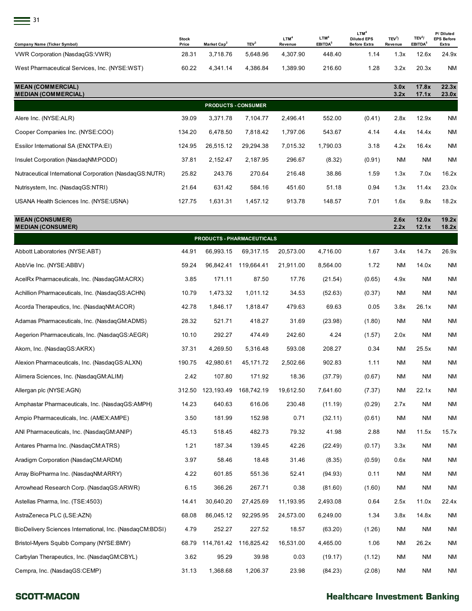| $\equiv$ 31                                   |                       |                         |                  |                             |                                         |                                                               |                               |                                           |                                         |
|-----------------------------------------------|-----------------------|-------------------------|------------------|-----------------------------|-----------------------------------------|---------------------------------------------------------------|-------------------------------|-------------------------------------------|-----------------------------------------|
| Company Name (Ticker Symbol)                  | <b>Stock</b><br>Price | Market Cap <sup>2</sup> | TEV <sup>3</sup> | LTM <sup>4</sup><br>Revenue | LTM <sup>4</sup><br>EBITDA <sup>5</sup> | LTM <sup>4</sup><br><b>Diluted EPS</b><br><b>Before Extra</b> | TEV <sup>3</sup> /<br>Revenue | TEV <sup>3</sup> /<br>EBITDA <sup>5</sup> | P/Diluted<br><b>EPS Before</b><br>Extra |
| VWR Corporation (NasdaqGS:VWR)                | 28.31                 | 3,718.76                | 5,648.96         | 4,307.90                    | 448.40                                  | 1.14                                                          | 1.3x                          | 12.6x                                     | 24.9x                                   |
| West Pharmaceutical Services, Inc. (NYSE:WST) | 60.22                 | 4,341.14                | 4,386.84         | 1,389.90                    | 216.60                                  | 1.28                                                          | 3.2x                          | 20.3x                                     | <b>NM</b>                               |

| <b>MEAN (COMMERCIAL)</b><br><b>MEDIAN (COMMERCIAL)</b>  |        |                            |           |          |          |        | 3.0x<br>3.2x | 17.8x<br>17.1x | 22.3x<br>23.0x |
|---------------------------------------------------------|--------|----------------------------|-----------|----------|----------|--------|--------------|----------------|----------------|
|                                                         |        | <b>PRODUCTS - CONSUMER</b> |           |          |          |        |              |                |                |
| Alere Inc. (NYSE:ALR)                                   | 39.09  | 3.371.78                   | 7.104.77  | 2,496.41 | 552.00   | (0.41) | 2.8x         | 12.9x          | NM             |
| Cooper Companies Inc. (NYSE:COO)                        | 134.20 | 6.478.50                   | 7.818.42  | 1.797.06 | 543.67   | 4.14   | 4.4x         | 14.4x          | <b>NM</b>      |
| Essilor International SA (ENXTPA:EI)                    | 124.95 | 26,515.12                  | 29,294.38 | 7,015.32 | 1,790.03 | 3.18   | 4.2x         | 16.4x          | <b>NM</b>      |
| Insulet Corporation (NasdagNM:PODD)                     | 37.81  | 2,152.47                   | 2.187.95  | 296.67   | (8.32)   | (0.91) | NM           | <b>NM</b>      | NM             |
| Nutraceutical International Corporation (NasdagGS:NUTR) | 25.82  | 243.76                     | 270.64    | 216.48   | 38.86    | 1.59   | 1.3x         | 7.0x           | 16.2x          |
| Nutrisystem, Inc. (NasdagGS:NTRI)                       | 21.64  | 631.42                     | 584.16    | 451.60   | 51.18    | 0.94   | 1.3x         | 11.4x          | 23.0x          |
| USANA Health Sciences Inc. (NYSE:USNA)                  | 127.75 | 1,631.31                   | 1,457.12  | 913.78   | 148.57   | 7.01   | 1.6x         | 9.8x           | 18.2x          |

| <b>MEAN (CONSUMER)</b><br><b>MEDIAN (CONSUMER)</b>       |        |            |                            |           |          |        | 2.6x<br>2.2x | 12.0x<br>12.1x | 19.2x<br>18.2x |
|----------------------------------------------------------|--------|------------|----------------------------|-----------|----------|--------|--------------|----------------|----------------|
|                                                          |        |            | PRODUCTS - PHARMACEUTICALS |           |          |        |              |                |                |
| Abbott Laboratories (NYSE:ABT)                           | 44.91  | 66,993.15  | 69,317.15                  | 20,573.00 | 4,716.00 | 1.67   | 3.4x         | 14.7x          | 26.9x          |
| AbbVie Inc. (NYSE:ABBV)                                  | 59.24  | 96,842.41  | 119,664.41                 | 21,911.00 | 8,564.00 | 1.72   | <b>NM</b>    | 14.0x          | NM             |
| AcelRx Pharmaceuticals, Inc. (NasdaqGM:ACRX)             | 3.85   | 171.11     | 87.50                      | 17.76     | (21.54)  | (0.65) | 4.9x         | NM             | <b>NM</b>      |
| Achillion Pharmaceuticals, Inc. (NasdaqGS:ACHN)          | 10.79  | 1,473.32   | 1,011.12                   | 34.53     | (52.63)  | (0.37) | ΝM           | NM             | ΝM             |
| Acorda Therapeutics, Inc. (NasdaqNM:ACOR)                | 42.78  | 1,846.17   | 1,818.47                   | 479.63    | 69.63    | 0.05   | 3.8x         | 26.1x          | ΝM             |
| Adamas Pharmaceuticals, Inc. (NasdaqGM:ADMS)             | 28.32  | 521.71     | 418.27                     | 31.69     | (23.98)  | (1.80) | ΝM           | NM             | ΝM             |
| Aegerion Pharmaceuticals, Inc. (NasdaqGS:AEGR)           | 10.10  | 292.27     | 474.49                     | 242.60    | 4.24     | (1.57) | 2.0x         | NM             | NM             |
| Akorn, Inc. (NasdaqGS:AKRX)                              | 37.31  | 4,269.50   | 5,316.48                   | 593.08    | 208.27   | 0.34   | ΝM           | 25.5x          | ΝM             |
| Alexion Pharmaceuticals, Inc. (NasdaqGS:ALXN)            | 190.75 | 42,980.61  | 45,171.72                  | 2,502.66  | 902.83   | 1.11   | <b>NM</b>    | ΝM             | <b>NM</b>      |
| Alimera Sciences, Inc. (NasdagGM:ALIM)                   | 2.42   | 107.80     | 171.92                     | 18.36     | (37.79)  | (0.67) | <b>NM</b>    | ΝM             | ΝM             |
| Allergan plc (NYSE:AGN)                                  | 312.50 | 123,193.49 | 168,742.19                 | 19,612.50 | 7,641.60 | (7.37) | ΝM           | 22.1x          | NM             |
| Amphastar Pharmaceuticals, Inc. (NasdagGS:AMPH)          | 14.23  | 640.63     | 616.06                     | 230.48    | (11.19)  | (0.29) | 2.7x         | ΝM             | ΝM             |
| Ampio Pharmaceuticals, Inc. (AMEX:AMPE)                  | 3.50   | 181.99     | 152.98                     | 0.71      | (32.11)  | (0.61) | <b>NM</b>    | ΝM             | <b>NM</b>      |
| ANI Pharmaceuticals, Inc. (NasdaqGM:ANIP)                | 45.13  | 518.45     | 482.73                     | 79.32     | 41.98    | 2.88   | <b>NM</b>    | 11.5x          | 15.7x          |
| Antares Pharma Inc. (NasdaqCM:ATRS)                      | 1.21   | 187.34     | 139.45                     | 42.26     | (22.49)  | (0.17) | 3.3x         | <b>NM</b>      | <b>NM</b>      |
| Aradigm Corporation (NasdaqCM:ARDM)                      | 3.97   | 58.46      | 18.48                      | 31.46     | (8.35)   | (0.59) | 0.6x         | NM             | ΝM             |
| Array BioPharma Inc. (NasdaqNM:ARRY)                     | 4.22   | 601.85     | 551.36                     | 52.41     | (94.93)  | 0.11   | <b>NM</b>    | ΝM             | ΝM             |
| Arrowhead Research Corp. (NasdagGS:ARWR)                 | 6.15   | 366.26     | 267.71                     | 0.38      | (81.60)  | (1.60) | ΝM           | ΝM             | ΝM             |
| Astellas Pharma, Inc. (TSE:4503)                         | 14.41  | 30,640.20  | 27,425.69                  | 11,193.95 | 2,493.08 | 0.64   | 2.5x         | 11.0x          | 22.4x          |
| AstraZeneca PLC (LSE:AZN)                                | 68.08  | 86,045.12  | 92,295.95                  | 24,573.00 | 6,249.00 | 1.34   | 3.8x         | 14.8x          | ΝM             |
| BioDelivery Sciences International, Inc. (NasdagCM:BDSI) | 4.79   | 252.27     | 227.52                     | 18.57     | (63.20)  | (1.26) | ΝM           | ΝM             | ΝM             |
| Bristol-Myers Squibb Company (NYSE:BMY)                  | 68.79  | 114,761.42 | 116,825.42                 | 16,531.00 | 4,465.00 | 1.06   | ΝM           | 26.2x          | ΝM             |
| Carbylan Therapeutics, Inc. (NasdaqGM:CBYL)              | 3.62   | 95.29      | 39.98                      | 0.03      | (19.17)  | (1.12) | ΝM           | <b>NM</b>      | NM             |
| Cempra, Inc. (NasdaqGS:CEMP)                             | 31.13  | 1,368.68   | 1,206.37                   | 23.98     | (84.23)  | (2.08) | ΝM           | ΝM             | ΝM             |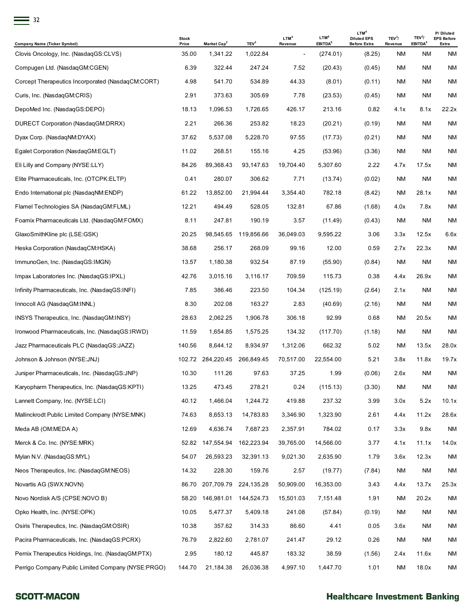|                                                                              | <b>Stock</b>   |                                     |                              | LTM <sup>4</sup>          | LTM <sup>4</sup>                | LTM <sup>4</sup><br><b>Diluted EPS</b> | TEV <sup>3</sup> / | TEV <sup>3</sup> /        | P/Diluted<br><b>EPS Before</b> |
|------------------------------------------------------------------------------|----------------|-------------------------------------|------------------------------|---------------------------|---------------------------------|----------------------------------------|--------------------|---------------------------|--------------------------------|
| <b>Company Name (Ticker Symbol)</b><br>Clovis Oncology, Inc. (NasdaqGS:CLVS) | Price<br>35.00 | Market Cap <sup>2</sup><br>1,341.22 | TEV <sup>3</sup><br>1,022.84 | Revenue<br>$\blacksquare$ | EBITDA <sup>5</sup><br>(274.01) | <b>Before Extra</b><br>(8.25)          | Revenue<br>ΝM      | EBITDA <sup>5</sup><br>ΝM | Extra<br>ΝM                    |
|                                                                              | 6.39           | 322.44                              |                              | 7.52                      |                                 |                                        | ΝM                 | <b>NM</b>                 | ΝM                             |
| Compugen Ltd. (NasdaqGM:CGEN)                                                | 4.98           | 541.70                              | 247.24<br>534.89             |                           | (20.43)                         | (0.45)                                 | ΝM                 | <b>NM</b>                 | ΝM                             |
| Corcept Therapeutics Incorporated (NasdaqCM:CORT)                            | 2.91           | 373.63                              |                              | 44.33                     | (8.01)                          | (0.11)                                 |                    |                           | ΝM                             |
| Curis, Inc. (NasdaqGM:CRIS)                                                  |                |                                     | 305.69                       | 7.78                      | (23.53)                         | (0.45)                                 | ΝM                 | ΝM                        |                                |
| DepoMed Inc. (NasdagGS:DEPO)                                                 | 18.13          | 1,096.53                            | 1,726.65                     | 426.17                    | 213.16                          | 0.82                                   | 4.1x               | 8.1x                      | 22.2x                          |
| DURECT Corporation (NasdaqGM:DRRX)                                           | 2.21           | 266.36                              | 253.82                       | 18.23                     | (20.21)                         | (0.19)                                 | ΝM                 | <b>NM</b>                 | <b>NM</b>                      |
| Dyax Corp. (NasdagNM:DYAX)                                                   | 37.62          | 5,537.08                            | 5,228.70                     | 97.55                     | (17.73)                         | (0.21)                                 | ΝM                 | <b>NM</b>                 | NM                             |
| Egalet Corporation (NasdaqGM:EGLT)                                           | 11.02          | 268.51                              | 155.16                       | 4.25                      | (53.96)                         | (3.36)                                 | ΝM                 | ΝM                        | NM                             |
| Eli Lilly and Company (NYSE:LLY)                                             | 84.26          | 89,368.43                           | 93,147.63                    | 19,704.40                 | 5,307.60                        | 2.22                                   | 4.7x               | 17.5x                     | NM                             |
| Elite Pharmaceuticals, Inc. (OTCPK:ELTP)                                     | 0.41           | 280.07                              | 306.62                       | 7.71                      | (13.74)                         | (0.02)                                 | ΝM                 | ΝM                        | <b>NM</b>                      |
| Endo International plc (NasdaqNM:ENDP)                                       | 61.22          | 13,852.00                           | 21,994.44                    | 3,354.40                  | 782.18                          | (8.42)                                 | ΝM                 | 28.1x                     | NM                             |
| Flamel Technologies SA (NasdaqGM:FLML)                                       | 12.21          | 494.49                              | 528.05                       | 132.81                    | 67.86                           | (1.68)                                 | 4.0x               | 7.8x                      | NM                             |
| Foamix Pharmaceuticals Ltd. (NasdaqGM:FOMX)                                  | 8.11           | 247.81                              | 190.19                       | 3.57                      | (11.49)                         | (0.43)                                 | ΝM                 | ΝM                        | ΝM                             |
| GlaxoSmithKline plc (LSE:GSK)                                                | 20.25          | 98,545.65                           | 119,856.66                   | 36,049.03                 | 9,595.22                        | 3.06                                   | 3.3x               | 12.5x                     | 6.6x                           |
| Heska Corporation (NasdaqCM:HSKA)                                            | 38.68          | 256.17                              | 268.09                       | 99.16                     | 12.00                           | 0.59                                   | 2.7x               | 22.3x                     | NM                             |
| ImmunoGen, Inc. (NasdaqGS:IMGN)                                              | 13.57          | 1,180.38                            | 932.54                       | 87.19                     | (55.90)                         | (0.84)                                 | ΝM                 | ΝM                        | NM                             |
| Impax Laboratories Inc. (NasdaqGS:IPXL)                                      | 42.76          | 3,015.16                            | 3,116.17                     | 709.59                    | 115.73                          | 0.38                                   | 4.4x               | 26.9x                     | ΝM                             |
| Infinity Pharmaceuticals, Inc. (NasdaqGS:INFI)                               | 7.85           | 386.46                              | 223.50                       | 104.34                    | (125.19)                        | (2.64)                                 | 2.1x               | ΝM                        | ΝM                             |
| Innocoll AG (NasdaqGM:INNL)                                                  | 8.30           | 202.08                              | 163.27                       | 2.83                      | (40.69)                         | (2.16)                                 | ΝM                 | ΝM                        | ΝM                             |
| INSYS Therapeutics, Inc. (NasdaqGM:INSY)                                     | 28.63          | 2,062.25                            | 1,906.78                     | 306.18                    | 92.99                           | 0.68                                   | ΝM                 | 20.5x                     | ΝM                             |
| Ironwood Pharmaceuticals, Inc. (NasdaqGS:IRWD)                               | 11.59          | 1,654.85                            | 1,575.25                     | 134.32                    | (117.70)                        | (1.18)                                 | ΝM                 | ΝM                        | ΝM                             |
| Jazz Pharmaceuticals PLC (NasdaqGS:JAZZ)                                     | 140.56         | 8,644.12                            | 8,934.97                     | 1,312.06                  | 662.32                          | 5.02                                   | ΝM                 | 13.5x                     | 28.0x                          |
| Johnson & Johnson (NYSE:JNJ)                                                 | 102.72         | 284,220.45                          | 266,849.45                   | 70,517.00                 | 22,554.00                       | 5.21                                   | 3.8x               | 11.8x                     | 19.7x                          |
| Juniper Pharmaceuticals, Inc. (NasdaqGS:JNP)                                 | 10.30          | 111.26                              | 97.63                        | 37.25                     | 1.99                            | (0.06)                                 | 2.6x               | ΝM                        | <b>NM</b>                      |
| Karyopharm Therapeutics, Inc. (NasdaqGS:KPTI)                                | 13.25          | 473.45                              | 278.21                       | 0.24                      | (115.13)                        | (3.30)                                 | ΝM                 | <b>NM</b>                 | <b>NM</b>                      |
| Lannett Company, Inc. (NYSE:LCI)                                             | 40.12          | 1,466.04                            | 1,244.72                     | 419.88                    | 237.32                          | 3.99                                   | 3.0x               | 5.2x                      | 10.1x                          |
| Mallinckrodt Public Limited Company (NYSE:MNK)                               | 74.63          | 8,653.13                            | 14,783.83                    | 3,346.90                  | 1,323.90                        | 2.61                                   | 4.4x               | 11.2x                     | 28.6x                          |
| Meda AB (OM:MEDA A)                                                          | 12.69          | 4,636.74                            | 7,687.23                     | 2,357.91                  | 784.02                          | 0.17                                   | 3.3x               | 9.8x                      | <b>NM</b>                      |
| Merck & Co. Inc. (NYSE:MRK)                                                  | 52.82          | 147,554.94                          | 162,223.94                   | 39,765.00                 | 14,566.00                       | 3.77                                   | 4.1x               | 11.1x                     | 14.0x                          |
| Mylan N.V. (NasdaqGS:MYL)                                                    | 54.07          | 26,593.23                           | 32,391.13                    | 9,021.30                  | 2,635.90                        | 1.79                                   | 3.6x               | 12.3x                     | <b>NM</b>                      |
| Neos Therapeutics, Inc. (NasdaqGM:NEOS)                                      | 14.32          | 228.30                              | 159.76                       | 2.57                      | (19.77)                         | (7.84)                                 | NM                 | ΝM                        | <b>NM</b>                      |
| Novartis AG (SWX:NOVN)                                                       | 86.70          | 207,709.79                          | 224,135.28                   | 50,909.00                 | 16,353.00                       | 3.43                                   | 4.4x               | 13.7x                     | 25.3x                          |
| Novo Nordisk A/S (CPSE:NOVO B)                                               | 58.20          | 146,981.01                          | 144,524.73                   | 15,501.03                 | 7,151.48                        | 1.91                                   | ΝM                 | 20.2x                     | <b>NM</b>                      |
| Opko Health, Inc. (NYSE:OPK)                                                 | 10.05          | 5,477.37                            | 5,409.18                     | 241.08                    | (57.84)                         | (0.19)                                 | ΝM                 | ΝM                        | <b>NM</b>                      |
| Osiris Therapeutics, Inc. (NasdaqGM:OSIR)                                    | 10.38          | 357.62                              | 314.33                       | 86.60                     | 4.41                            | 0.05                                   | 3.6x               | ΝM                        | <b>NM</b>                      |
| Pacira Pharmaceuticals, Inc. (NasdaqGS:PCRX)                                 | 76.79          | 2,822.60                            | 2,781.07                     | 241.47                    | 29.12                           | 0.26                                   | ΝM                 | ΝM                        | <b>NM</b>                      |
| Pernix Therapeutics Holdings, Inc. (NasdaqGM:PTX)                            | 2.95           | 180.12                              | 445.87                       | 183.32                    | 38.59                           | (1.56)                                 | 2.4x               | 11.6x                     | <b>NM</b>                      |
| Perrigo Company Public Limited Company (NYSE:PRGO)                           | 144.70         | 21,184.38                           | 26,036.38                    | 4,997.10                  | 1,447.70                        | 1.01                                   | ΝM                 | 18.0x                     | <b>NM</b>                      |
|                                                                              |                |                                     |                              |                           |                                 |                                        |                    |                           |                                |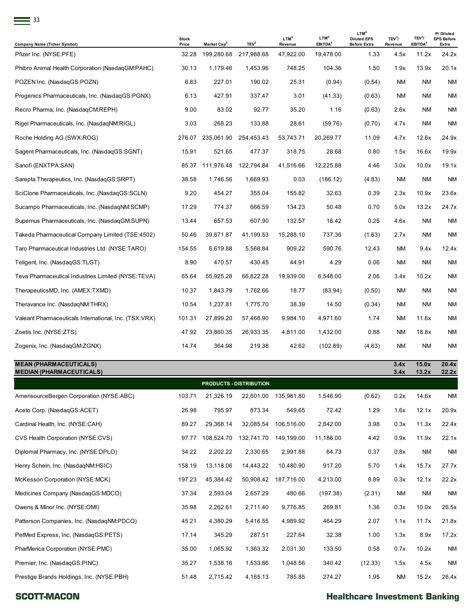| 33                                                    |                       |                         |                  |                             |                                         |                                                               |                               |                                           |                                         |
|-------------------------------------------------------|-----------------------|-------------------------|------------------|-----------------------------|-----------------------------------------|---------------------------------------------------------------|-------------------------------|-------------------------------------------|-----------------------------------------|
| <b>Company Name (Ticker Symbol)</b>                   | <b>Stock</b><br>Price | Market Cap <sup>2</sup> | TEV <sup>3</sup> | LTM <sup>4</sup><br>Revenue | LTM <sup>4</sup><br>EBITDA <sup>5</sup> | LTM <sup>4</sup><br><b>Diluted EPS</b><br><b>Before Extra</b> | TEV <sup>3</sup> /<br>Revenue | TEV <sup>3</sup> /<br>EBITDA <sup>5</sup> | P/Diluted<br><b>EPS Before</b><br>Extra |
| Pfizer Inc. (NYSE:PFE)                                | 32.28                 | 199,280.68              | 217,988.68       | 47,922.00                   | 19,478.00                               | 1.33                                                          | 4.5x                          | 11.2x                                     | 24.2x                                   |
| Phibro Animal Health Corporation (NasdaqGM:PAHC)      | 30.13                 | 1,179.46                | 1,453.96         | 748.25                      | 104.36                                  | 1.50                                                          | 1.9x                          | 13.9x                                     | 20.1x                                   |
| POZEN Inc. (NasdaqGS:POZN)                            | 6.83                  | 227.01                  | 190.02           | 25.31                       | (0.94)                                  | (0.54)                                                        | <b>NM</b>                     | <b>NM</b>                                 | ΝM                                      |
| Progenics Pharmaceuticals, Inc. (NasdaqGS:PGNX)       | 6.13                  | 427.91                  | 337.47           | 3.01                        | (41.33)                                 | (0.63)                                                        | ΝM                            | ΝM                                        | <b>NM</b>                               |
| Recro Pharma, Inc. (NasdaqCM:REPH)                    | 9.00                  | 83.02                   | 92.77            | 35.20                       | 1.16                                    | (0.63)                                                        | 2.6x                          | <b>NM</b>                                 | ΝM                                      |
| Rigel Pharmaceuticals, Inc. (NasdagNM:RIGL)           | 3.03                  | 268.23                  | 133.88           | 28.61                       | (59.76)                                 | (0.70)                                                        | 4.7x                          | <b>NM</b>                                 | <b>NM</b>                               |
| Roche Holding AG (SWX:ROG)                            | 276.07                | 235,061.90              | 254,453.43       | 53,743.71                   | 20,269.77                               | 11.09                                                         | 4.7x                          | 12.6x                                     | 24.9x                                   |
| Sagent Pharmaceuticals, Inc. (NasdaqGS:SGNT)          | 15.91                 | 521.65                  | 477.37           | 318.75                      | 28.68                                   | 0.80                                                          | 1.5x                          | 16.6x                                     | 19.9x                                   |
| Sanofi (ENXTPA:SAN)                                   | 85.37                 | 111,976.48              | 122,794.84       | 41,516.66                   | 12,225.88                               | 4.46                                                          | 3.0x                          | 10.0x                                     | 19.1x                                   |
| Sarepta Therapeutics, Inc. (NasdaqGS:SRPT)            | 38.58                 | 1,746.56                | 1,669.93         | 0.03                        | (186.12)                                | (4.83)                                                        | ΝM                            | <b>NM</b>                                 | <b>NM</b>                               |
| SciClone Pharmaceuticals, Inc. (NasdaqGS:SCLN)        | 9.20                  | 454.27                  | 355.04           | 155.82                      | 32.63                                   | 0.39                                                          | 2.3x                          | 10.9x                                     | 23.6x                                   |
| Sucampo Pharmaceuticals, Inc. (NasdaqNM:SCMP)         | 17.29                 | 774.37                  | 666.59           | 134.23                      | 50.48                                   | 0.70                                                          | 5.0x                          | 13.2x                                     | 24.7x                                   |
| Supernus Pharmaceuticals, Inc. (NasdaqGM:SUPN)        | 13.44                 | 657.53                  | 607.90           | 132.57                      | 16.42                                   | 0.25                                                          | 4.6x                          | <b>NM</b>                                 | ΝM                                      |
| Takeda Pharmaceutical Company Limited (TSE:4502)      | 50.46                 | 39,671.87               | 41,199.53        | 15,288.10                   | 737.36                                  | (1.63)                                                        | 2.7x                          | <b>NM</b>                                 | <b>NM</b>                               |
| Taro Pharmaceutical Industries Ltd. (NYSE:TARO)       | 154.55                | 6,619.88                | 5,568.84         | 909.22                      | 590.76                                  | 12.43                                                         | ΝM                            | 9.4x                                      | 12.4x                                   |
| Teligent, Inc. (NasdagGS:TLGT)                        | 8.90                  | 470.57                  | 430.45           | 44.91                       | 4.29                                    | 0.06                                                          | <b>NM</b>                     | <b>NM</b>                                 | <b>NM</b>                               |
| Teva Pharmaceutical Industries Limited (NYSE:TEVA)    | 65.64                 | 55,925.28               | 66,822.28        | 19,939.00                   | 6,548.00                                | 2.06                                                          | 3.4x                          | 10.2x                                     | ΝM                                      |
| TherapeuticsMD, Inc. (AMEX:TXMD)                      | 10.37                 | 1,843.79                | 1,762.66         | 18.77                       | (83.94)                                 | (0.50)                                                        | ΝM                            | <b>NM</b>                                 | <b>NM</b>                               |
| Theravance Inc. (NasdaqNM:THRX)                       | 10.54                 | 1,237.81                | 1,775.70         | 38.39                       | 14.50                                   | (0.34)                                                        | ΝM                            | <b>NM</b>                                 | ΝM                                      |
| Valeant Pharmaceuticals International, Inc. (TSX:VRX) | 101.31                | 27,899.20               | 57,468.90        | 9,984.10                    | 4,971.60                                | 1.74                                                          | ΝM                            | 11.6x                                     | <b>NM</b>                               |
| Zoetis Inc. (NYSE:ZTS)                                | 47.92                 | 23,860.35               | 26,933.35        | 4,811.00                    | 1,432.00                                | 0.88                                                          | ΝM                            | 18.8x                                     | ΝM                                      |
| Zogenix, Inc. (NasdaqGM:ZGNX)                         | 14.74                 | 364.98                  | 219.38           | 42.62                       | (102.89)                                | (4.63)                                                        | ΝM                            | <b>NM</b>                                 | <b>NM</b>                               |

| <b>MEAN (PHARMACEUTICALS)</b>   |
|---------------------------------|
| <b>MEDIAN (PHARMACEUTICALS)</b> |

| <b>MEDIAN (PHARMACEUTICALS)</b>           |        |            |                         |            |           |         | 3.4x      | 13.2x     | 22.2x     |
|-------------------------------------------|--------|------------|-------------------------|------------|-----------|---------|-----------|-----------|-----------|
|                                           |        |            | PRODUCTS - DISTRIBUTION |            |           |         |           |           |           |
| AmerisourceBergen Corporation (NYSE:ABC)  | 103.71 | 21,326.19  | 22,601.00               | 135,961.80 | 1,546.90  | (0.62)  | 0.2x      | 14.6x     | <b>NM</b> |
| Aceto Corp. (NasdagGS:ACET)               | 26.98  | 795.97     | 873.34                  | 549.65     | 72.42     | 1.29    | 1.6x      | 12.1x     | 20.9x     |
| Cardinal Health, Inc. (NYSE:CAH)          | 89.27  | 29,368.14  | 32,085.54               | 106,516.00 | 2,842.00  | 3.98    | 0.3x      | 11.3x     | 22.4x     |
| CVS Health Corporation (NYSE:CVS)         | 97.77  | 108,524.70 | 132,741.70              | 149,199.00 | 11,186.00 | 4.42    | 0.9x      | 11.9x     | 22.1x     |
| Diplomat Pharmacy, Inc. (NYSE:DPLO)       | 34.22  | 2,202.22   | 2,330.65                | 2,991.88   | 64.73     | 0.37    | 0.8x      | <b>NM</b> | NM        |
| Henry Schein, Inc. (NasdaqNM:HSIC)        | 158.19 | 13,118.06  | 14,443.22               | 10,480.90  | 917.20    | 5.70    | 1.4x      | 15.7x     | 27.7x     |
| McKesson Corporation (NYSE:MCK)           | 197.23 | 45,384.42  | 50,908.42               | 187,716.00 | 4,213.00  | 8.89    | 0.3x      | 12.1x     | 22.2x     |
| Medicines Company (NasdaqGS:MDCO)         | 37.34  | 2,593.04   | 2,657.29                | 480.66     | (197.38)  | (2.31)  | <b>NM</b> | <b>NM</b> | <b>NM</b> |
| Owens & Minor Inc. (NYSE:OMI)             | 35.98  | 2,262.61   | 2,711.40                | 9,776.85   | 269.81    | 1.36    | 0.3x      | 10.0x     | 26.5x     |
| Patterson Companies, Inc. (NasdaqNM:PDCO) | 45.21  | 4,380.29   | 5,416.55                | 4,989.92   | 464.29    | 2.07    | 1.1x      | 11.7x     | 21.8x     |
| PetMed Express, Inc. (NasdagGS:PETS)      | 17.14  | 345.29     | 287.51                  | 227.64     | 32.38     | 1.00    | 1.3x      | 8.9x      | 17.2x     |
| PharMerica Corporation (NYSE:PMC)         | 35.00  | 1,065.92   | 1,363.32                | 2,031.30   | 133.50    | 0.58    | 0.7x      | 10.2x     | <b>NM</b> |
| Premier, Inc. (NasdagGS:PINC)             | 35.27  | 1,538.16   | 1,533.86                | 1,048.56   | 340.42    | (12.33) | 1.5x      | 4.5x      | <b>NM</b> |
| Prestige Brands Holdings, Inc. (NYSE:PBH) | 51.48  | 2,715.42   | 4,165.13                | 785.85     | 274.27    | 1.95    | <b>NM</b> | 15.2x     | 26.4x     |

#### **SCOTT-MACON**

# **Healthcare Investment Banking**

**MEAN (PHARMACEUTICALS) 3.4x 15.0x 20.4x**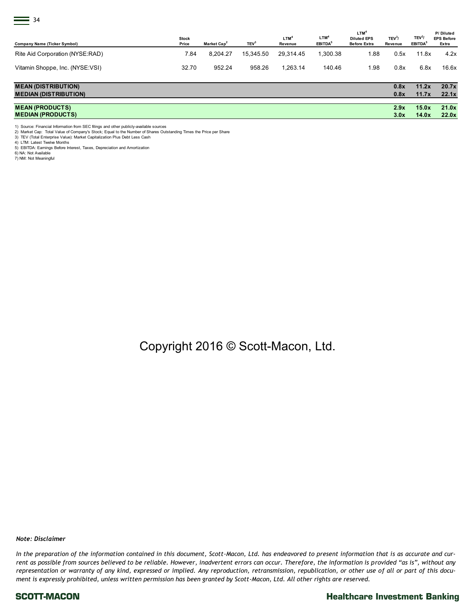| $\equiv$ 34<br><b>Company Name (Ticker Symbol)</b>         | <b>Stock</b><br>Price | Market Cap <sup>2</sup> | TEV <sup>3</sup> | LTM <sup>4</sup><br>Revenue | LTM <sup>4</sup><br>EBITDA <sup>5</sup> | LTM <sup>4</sup><br><b>Diluted EPS</b><br><b>Before Extra</b> | TEV <sup>3</sup> /<br>Revenue | TEV <sup>3</sup> /<br>EBITDA <sup>5</sup> | P/Diluted<br><b>EPS Before</b><br>Extra |
|------------------------------------------------------------|-----------------------|-------------------------|------------------|-----------------------------|-----------------------------------------|---------------------------------------------------------------|-------------------------------|-------------------------------------------|-----------------------------------------|
| Rite Aid Corporation (NYSE:RAD)                            | 7.84                  | 8,204.27                | 15,345.50        | 29,314.45                   | 1,300.38                                | 1.88                                                          | 0.5x                          | 11.8x                                     | 4.2x                                    |
| Vitamin Shoppe, Inc. (NYSE:VSI)                            | 32.70                 | 952.24                  | 958.26           | 1,263.14                    | 140.46                                  | 1.98                                                          | 0.8x                          | 6.8x                                      | 16.6x                                   |
| <b>MEAN (DISTRIBUTION)</b><br><b>MEDIAN (DISTRIBUTION)</b> |                       |                         |                  |                             |                                         |                                                               | 0.8x<br>0.8x                  | 11.2x<br>11.7x                            | 20.7x<br>22.1x                          |
| <b>MEAN (PRODUCTS)</b>                                     |                       |                         |                  |                             |                                         |                                                               | 2.9x                          | 15.0x                                     | 21.0x                                   |

#### **MEDIAN (PRODUCTS) 3.0x 14.0x 22.0x**

1) Source: Financial Information from SEC filings and other publicly-available sources

2) Market Cap: Total Value of Company's Stock; Equal to the Number of Shares Outstanding Times the Price per Share

3) TEV (Total Enterprise Value): Market Capitalization Plus Debt Less Cash 4) LTM: Latest Twelve Months

5) EBITDA: Earnings Before Interest, Taxes, Depreciation and Amortization 6) NA: Not Available

7) NM: Not Meaningful

Copyright 2016 © Scott-Macon, Ltd.

*Note: Disclaimer*

*In the preparation of the information contained in this document, Scott-Macon, Ltd. has endeavored to present information that is as accurate and current as possible from sources believed to be reliable. However, inadvertent errors can occur. Therefore, the information is provided "as is", without any representation or warranty of any kind, expressed or implied. Any reproduction, retransmission, republication, or other use of all or part of this document is expressly prohibited, unless written permission has been granted by Scott-Macon, Ltd. All other rights are reserved.* 

#### SCOTT-MACON